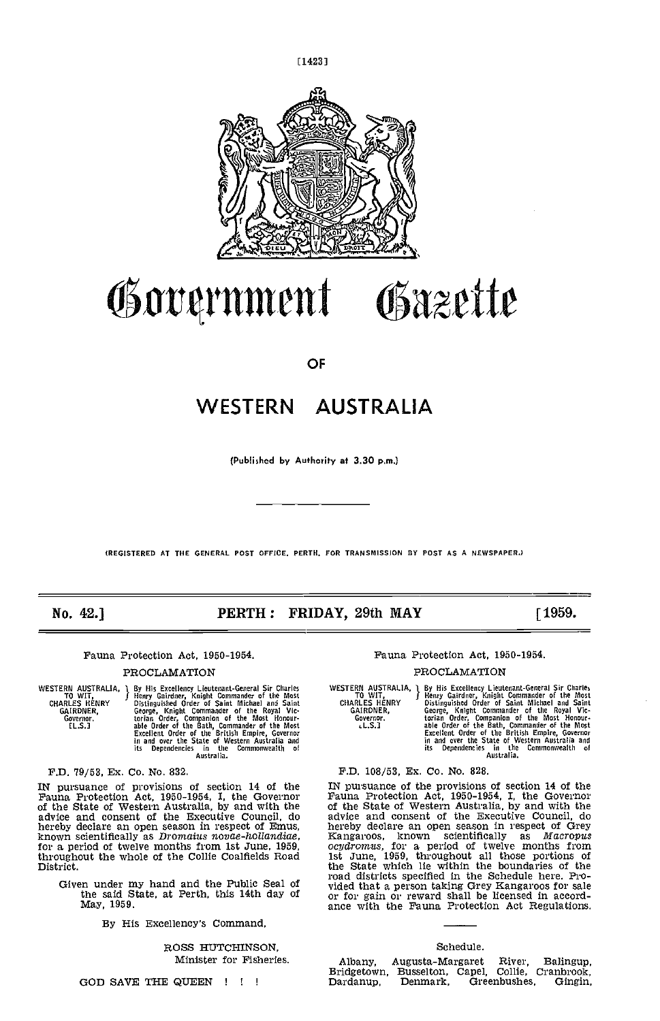

[1423]

Government Gazette

**OF** 

# WESTERN AUSTRALIA

(Published by Authority at 3.30 p.m.)

(REGISTERED AT THE GENERAL POST OFFICE. PERTH, FOR TRANSNISSION BY POST AS A NEWSPAPER.)

# No. 42.] **PERTH: FRIDAY, 29th MAY** [1959.

Fauna Protection Act, 1950-1954.

#### PROCLAMATION

WESTERN AUSTRALIA, 1 By Hi<br>CHARLES HENRY Bistin<br>CHARLES HENRY Distin<br>GAIRDNER, Georg<br>Governor. the LLS.3

1 By His Excellency Lieutenant-General Sir Charles I Henry Gairdner, Knight Commander of the Most<br>I Henry Gairdner, Knight Commander of the Most<br>Oistinguished Order of Saint Michael and Saint<br>George, Knight Commander of th torian Order, Companion of the Most Honour-<br>able Order of the Bath, Commander of the Most<br>Excellent Order of the British Empire, Governor<br>in and over the State of Western Australia and<br>its Dependencies in the Commonwealth

F.D. 79/53, Ex. Co. No. 832.

hereby declare an open season in respect of Emus, known scientifically as *Dromatus novae-hollandiae*, for a period of twelve months from 1st June, 1959, throughout the whole of the Collie Coalfields Road District.

Given under my hand and the Public Seal of

By His Excellency's Command,

ROSS HUTCHINSON, Minister for Fisheries.

GOD SAVE THE QUEEN !!!

Fauna Protection Act, 1950-1954.

#### PROCLAMATION

WESTERN AUSTRALIA, TO WIT, CHARLES HENRY GAIRDNER, Governor. tL.S.3 By His Excellency Lieutenart-General Sir Charles<br>
Henry Gairdner, Knight Commander of the Most<br>
Distinguished Order of Saint Michael and Saint<br>
George, Knight Commander of the Royal Vic-<br>
Grain Order, Companion of the Most

F.D. 108/53, Ex. Co. No. 828.

IN pursuance of provisions of section 14 of the IN pursuance of the provisions of section 14 of the Fauna Protection Act, 1950-1954, I, the Governor of the State of Western Australia, by and with the advice and consent of the said State, at Perth, this 14th day of  $\frac{1}{2}$  or for gain or reward shall be licensed in accord-<br>May, 1959. IN pursuance of the provisions of section 14 of the Fauna Protection Act, 1950-1954, I, the Governor of the State of Western Australia, by and with the advice and consent of the Executive Council, do hereby declare an open season in respect of Grey<br>Kangaroos, known scientifically as *Macropus*<br>ocydrcmus, for a period of twelve months from 1st June, 1959, throughout all those portions of the State which lie within the boundaries of the vided that a person taking Grey Kangaroos for sale or for gain or reward shall be licensed in accord-

#### Schedule.

Albany, Augusta-Margaret River, Balingup, Bridgetown, Busselton, Capel, Collie, Cranbrook, Dardanup, Denmark, Greenbushes, Gingin,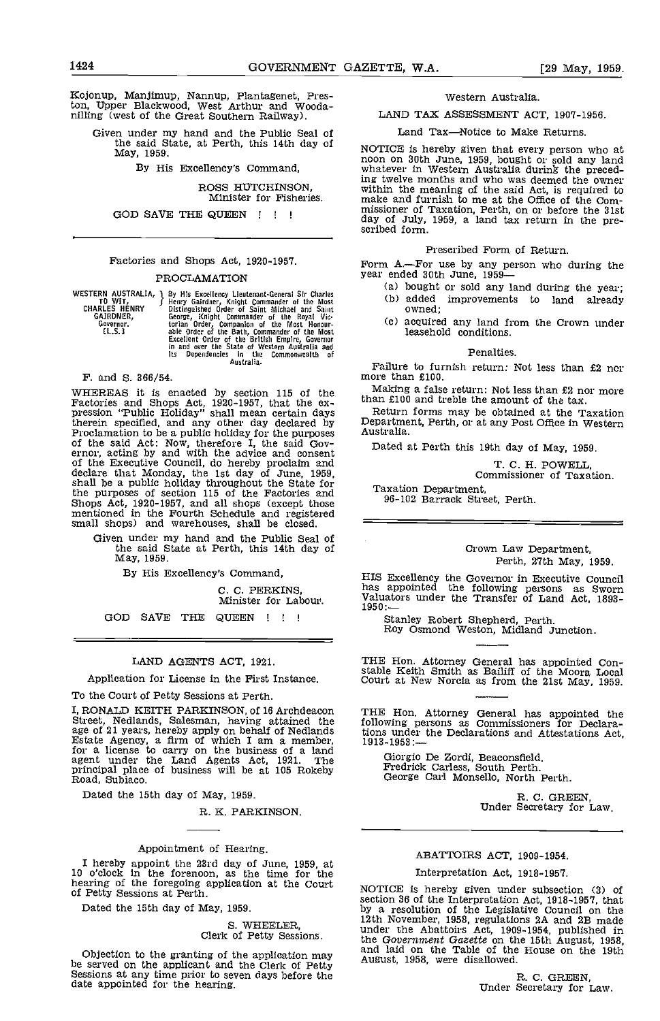Kojonup, Manjimup, Nannup, Plantagenet, Preston, Upper Blackwood, West Arthur and Wooda- nilling (west of the Great Southern Railway).

Given under my hand and the Public Seal of the said State, at Perth, this 14th day of  $M\alpha$ , 1959.

By His Excellency's Command,

# ROSS HUTCHINSON,

Minister for Fisheries.

GOD SAVE THE QUEEN ! ! !

# Factories and Shops Act, 1920-1957.

#### PROCLAMATION

WESTERN AUSTRALIA, 1 By HY<br>
TO WIT, CHARLES HENRY Bistin<br>
CHARLES HENRY GAIRDNER, Georg<br>
GAIRDNER, Georg<br>
Governor. torian<br>
L.S.] able

P By His Excellency Lieutenant-General Sir Charles<br>
J Henry Gairdner, Knight Commander of the Most<br>
Distinguished Order of Saint Michael and Saint<br>
George, Knight Commander of the Royal Vic-<br>
torian Order, Companion of the

F. and S. 366/54.

WHEREAS it is enacted by section 115 of the Making a false return: Not less than £2 nor more Factories and Shops Act, 1920-1957, that the ex-<br>pression "Public Holiday" shall mean certain days<br>Return forms may be obtained a pression Fund Funday State interaction and the pression of the said Act: Now, therefore a public holiday for the purposes and any other day of the purposes and Frederick Council and Governor, acting by and with the advice of the Executive Council, do hereby proclaim and declare that Monday, the 1st day of June, 1959, shall be a public holiday throughout the State for the purposes of section 115 of the Factories and Shops Act, 1920-1957, and small shops) and warehouses, shall be closed.

Given under my hand and the Public Seal of the said State at Perth, this 14th day of May, 1959.

By His Excellency's Command,

C. C. PERKINS, Minister for Labour.

GOD SAVE THE QUEEN <sup>I</sup>

#### LAND AGENTS ACT, 1921.

Application for License in the First Instance.

To the Court of Petty Sessions at Perth.

I, RONALD KEITH PARKINSON, of 16 Archdeacon THE<br>Street, Nedlands, Salesman, having attained the follov age of 21 years, hereby apply on behalf of Nedlands<br>
Estate Agency, a firm of which I am a member, for a license to carry on the business of a land agent under the Land Agents Act, 1921, The Gram principal place of business will be at 105 Rokeby **Road, Subiaco, C**<br>Road, Subiaco, C

Dated the 15th day of May, 1959.

R. K. PARKINSON.

#### Appointment of Hearing.

I hereby appoint the 23rd day of June, 1959, at<br>
10 o'clock in the forenoon, as the time for the hearing of the foregoing application at the Court<br>
of Petty Sessions at Perth.<br>
10 o'clock in the foregoing application at th

Dated the 15th day of May, 1959.

# S. WHEELER, Clerk of Petty Sessions.

Objection to the granting of the application may be served on the applicant and the Clerk of Petty Sessions at any time prior to seven days before the date appointed for the hearing.

#### Western Australia.

LAND TAX ASSESSMENT ACT, 1907-1956.

Land Tax-Notice to Make Returns.

NOTICE is hereby given that every person who at noon on 30th June, 1959, bought or sold any land whatever in Western Australia during the preceding twelve months and who was deemed the owner within the meaning of the said Act, is required to make and furnish to me at the Office of the Commissioner of Taxation, Perth, on or before the 31st day of July, 1959, a land tax return in the pre-

Prescribed Form of Return.

Form A—For use by any person who during the year ended 30th June, 1959-

- (a) bought or sold any land during the year; (b) added improvements to land already owned;
- acquired any land from the Crown under leasehold conditions.

#### Penalties.

Failure to furnish return: Not less than £2 nor more than £100.

Making a false return: Not less than £2 nor more than £100 and treble the amount of the tax.

Department, Perth, or at any Post Office in Western

Dated at Perth this 19th day of May, 1959.

T. C. H. POWELL,

Commissioner of Taxation.

96-102 Barrack Street, Perth.

#### Crown Law Department, Perth, 27th May, 1959.

HIS Excellency the Governor in Executive Council has appointed the following persons as Sworn Valuators under the Transfer of Land Act, 1893-1950:

Stanley Robert Shepherd, Perth. Roy Osmond Weston, Midland Junction.

THE Hon. Attorney General has appointed Con- stable Keith Smith as Bailiff of the Moora Local Court at New Norcia as from the 21st May, 1959.

THE Hon. Attorney General has appointed the following persons as Commissioners for Declara-tions under the Declarations and Attestations Act, 1913-1953:

Giorgio De Zordi, Beaconsfield, Predrick Carless, South Perth. George Carl Monsello, North Perth.

R. C. GREEN,<br>Under Secretary for Law.

# ABATTOIRS ACT, 1909-1954.

# Interpretation Act, 1918-1957.

NOTICE is hereby given under subsection (3) of<br>section 36 of the Interpretation Act, 1918-1957, that<br>by a resolution of the Legislative Council on the<br>12th November, 1958, regulations 2A and 2B made<br>under the Abattoirs Act the Government Gazette on the 15th August, 1958, and laid on the Table of the House on the 19th August, 1958, were disallowed.

R. C. GREEN,<br>Under Secretary for Law.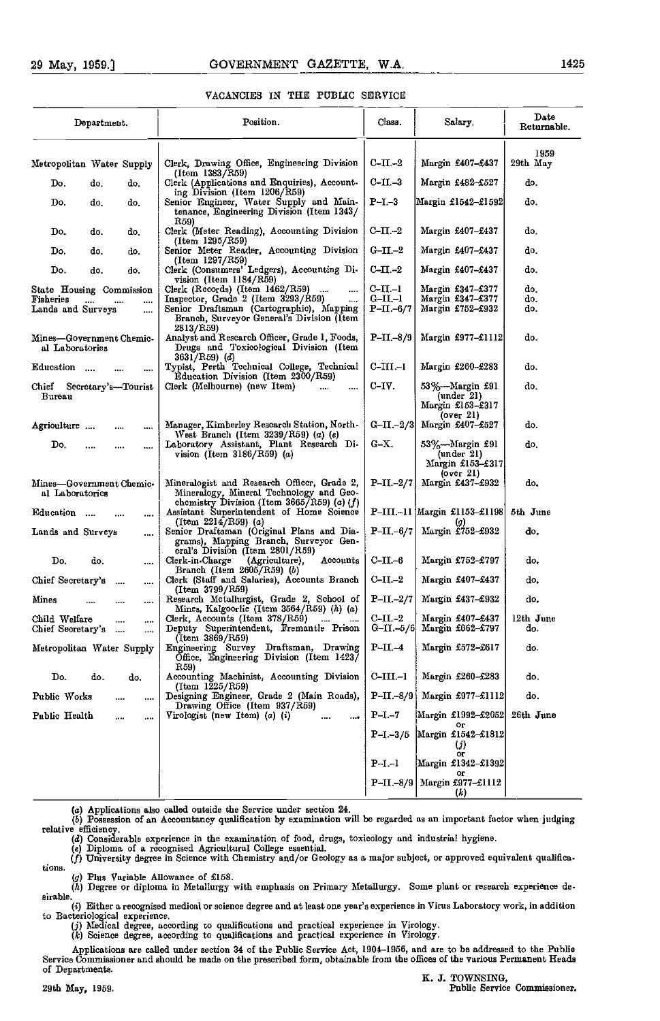## VAOANOIES IN THE PUBLIC SERVICE

| Department.                                                |              |          | Position.                                                                                                                                                          | Class.                               | Salary.                                                  | Date<br>Returnable. |
|------------------------------------------------------------|--------------|----------|--------------------------------------------------------------------------------------------------------------------------------------------------------------------|--------------------------------------|----------------------------------------------------------|---------------------|
| Metropolitan Water Supply                                  |              |          | Clerk, Drawing Office, Engineering Division<br>(Item 1383/R59)                                                                                                     | $C-II-2$                             | Margin £407–£437                                         | 1959<br>29th May    |
| Do.                                                        | do,          | do,      | Clerk (Applications and Enquiries), Account-                                                                                                                       | $C-II. -3$                           | Margin £482-£527                                         | do.                 |
| Do.                                                        | do,          | do.      | ing Division (Item 1206/R59)<br>Senior Engineer, Water Supply and Main-<br>tenance, Engineering Division (Item 1343/                                               | $P-I - 3$                            | Margin £1542–£1592                                       | do.                 |
| Do.                                                        | do.          | do.      | R59)<br>Clerk (Meter Reading), Accounting Division<br>$(Item \ 1295/R59)$                                                                                          | $C-II-2$                             | Margin £407–£437                                         | do,                 |
| Do.                                                        | do,          | do.      | Senior Meter Reader, Accounting Division<br>(Item 1297/R59)                                                                                                        | $G-II-2$                             | Margin £407–£437                                         | do.                 |
| Do.                                                        | do.          | do.      | Clerk (Consumers' Ledgers), Accounting Di-<br>$vision$ (Item $1184/R59$ )                                                                                          | $C-II. -2$                           | Margin £407–£437                                         | do.                 |
| State Housing Commission<br>Fisheries<br>Lands and Surveys |              | <br>     | Clerk (Records) (Item 1462/R59)<br><br>Inspector, Grade 2 (Item 3293/R59)<br>Senior Draftsman (Cartographic), Mapping<br>Branch, Surveyor General's Division (Item | $C-II-1$<br>$G-II-1$<br>$P-II - 6/7$ | Margin £347–£377<br>Margin £347–£377<br>Margin £752–£932 | do,<br>do.<br>do.   |
| Mines-Government Chemic-<br>al Laboratories                |              |          | 2813/R59)<br>Analyst and Rescarch Officer, Grade 1, Foods,<br>Drugs and Toxicological Division (Item                                                               | $P-II - 8/9$                         | Margin $£977 - £1112$                                    | do.                 |
| Education                                                  |              |          | $3631/R59)$ (d)<br>Typist, Perth Technical College, Technical<br>Education Division (Item 2300/R59)                                                                | $C-III-1$                            | Margin £260–£283                                         | do.                 |
| Chief Secretary's-Tourist<br>Bureau                        |              |          | Clerk (Melbourne) (new Item)<br>$\cdots$<br>                                                                                                                       | $C-IV.$                              | 53%—Margin £91<br>(under 2l)<br>Margin £153-£317         | do,                 |
| Agrioulture                                                |              |          | Manager, Kimberley Rescarch Station, North-                                                                                                                        | $G-II-2/3$                           | (over 2l)<br>Margin £407-£527                            | do.                 |
| Do.                                                        | <br>         |          | West Branch (Item $3239/R59$ ) (a) (e)<br>Laboratory Assistant, Plant Research Di-<br>vision (Item $3186/R59$ ) (a)                                                | G-X.                                 | 53%—Margin £91<br>(under 21)<br>Margin £153–£317         | do.                 |
| Mines-Government Chemic-<br>al Laboratorics                |              |          | Mineralogist and Research Officer, Grade 2,<br>Mineralogy, Mineral Technology and Geo-                                                                             | $P-II-2/7$                           | $(0 \nu c \mathbf{r} 21)$<br>Margin £437-£932            | do.                 |
| Education                                                  | $\sim$       |          | chemistry Division (Item $3665/R59$ ) (a) (f)<br>Assistant Superintendent of Home Science<br>(Item $2214/RS9$ ) (a)                                                |                                      | P-III.-11 Margin £1153-£1198<br>(g)                      | 5th June            |
| Lands and Surveys                                          |              |          | Senior Draftsman (Original Plans and Dia-<br>grams), Mapping Branch, Surveyor Gen-<br>eral's Division (Item 2801/R59)                                              | $P-II - 6/7$                         | Margin £752-£932                                         | do.                 |
| Do.                                                        | do,          |          | Accounts<br>Clerk-in-Charge<br>(Agriculture),<br>Branch (Item 2605/R59) (b)                                                                                        | $C-II-6$                             | Margin £752–£797                                         | do,                 |
| Chief Secretary's                                          | $\cdots$     |          | Clerk (Staff and Salaries), Accounts Branch<br>(Item 3799/R59)                                                                                                     | $C-II-2$                             | Margin £407–£437                                         | do,                 |
| Mines                                                      |              |          | Research Metallurgist, Grade 2, School of<br>Mines, Kalgoorlie (Item 3564/R59) $(h)$ $(a)$                                                                         | $P-II-2/7$                           | Margin £437-£932                                         | do,                 |
| Child Welfare<br>Chief Secretary's                         | $\cdots$<br> | <br>     | Clerk, Accounts (Item $378/R59$ )<br>$\cdots$<br>Deputy Superintendent, Fremantle Prison<br>(Item 3869/R59)                                                        | C-II.-2<br>$G-II - 5/6$              | Margin £407–£437<br>Margin £662-£797                     | 12th June<br>do.    |
| Metropolitan Water Supply                                  |              |          | Engineering Survey Draftsman, Drawing<br>Office, Engineering Division (Item 1423)                                                                                  | $P-II-4$                             | Margin £572-£617                                         | do.                 |
| Do.                                                        | do.          | do.      | R59)<br>Accounting Machinist, Accounting Division<br>$(Item \ 1225/RS9)$                                                                                           | C-III.-1                             | Margin £260-£283                                         | do.                 |
| Public Works                                               |              | $\cdots$ | Designing Engineer, Grade 2 (Main Roads),<br>Drawing Office (Item 937/R59)                                                                                         | $P-TI - 8/9$                         | Margin £977-£1112                                        | do.                 |
| Public Health                                              |              | $\cdots$ | Virologist (new Item) $(a)$ $(i)$<br>$\cdots$<br>                                                                                                                  | $P-I. -7$                            | Margin £1992–£2052<br>ог                                 | 26th June           |
|                                                            |              |          |                                                                                                                                                                    | $P-I - 3/5$                          | Margin £1542-£1812<br>(j)<br>ог                          |                     |
|                                                            |              |          |                                                                                                                                                                    | $P-I-1$                              | Margin £1342-£1392<br>ог                                 |                     |
|                                                            |              |          |                                                                                                                                                                    | $P-TI - 8/9$                         | Margin £977-£1112<br>$\left( k\right)$                   |                     |

(a) Applications also called outside the Service under section 24.<br>(b) Possession of an Accountancy qualification by examination will be regarded as an important factor when judging<br>relative efficiency. relative efficiency.<br>(d) Considerable experience in the examination of food, drugs, toxicology and industrial hygiene.

Diploma of a recognised Agricultural College essential.<br>University degree in Science with Chemistry and/or Geology as a major subject, or approved equivalent qualifica tions.

Plus Variable Allowance of £158. Degree or diploma in Metallurgy with emphasis on Primary Metallurgy. Some plant or research experience de. sirable.

Either a recognised medical or science degree and at least one year's experience in Virus Laboratory work, in addition to Bacteriological experience.<br>
(i) Medical degree, according to qualifications and practical experience in Virology.<br>
(k) Science degree, according to qualifications and practical experience in Virology.

Applications are called under section 34 of the Public Service Act, 1904–1956, and are to be addressed to the Public<br>Service Commissioner and should be made on the prescribed form, obtainable from the offices of the variou of Departments.<br> **E. J. TOWNSING.**<br> **E. J. TOWNSING.** 

29th May, 1959. **Public Service Commissioner.** Public Service Commissioner.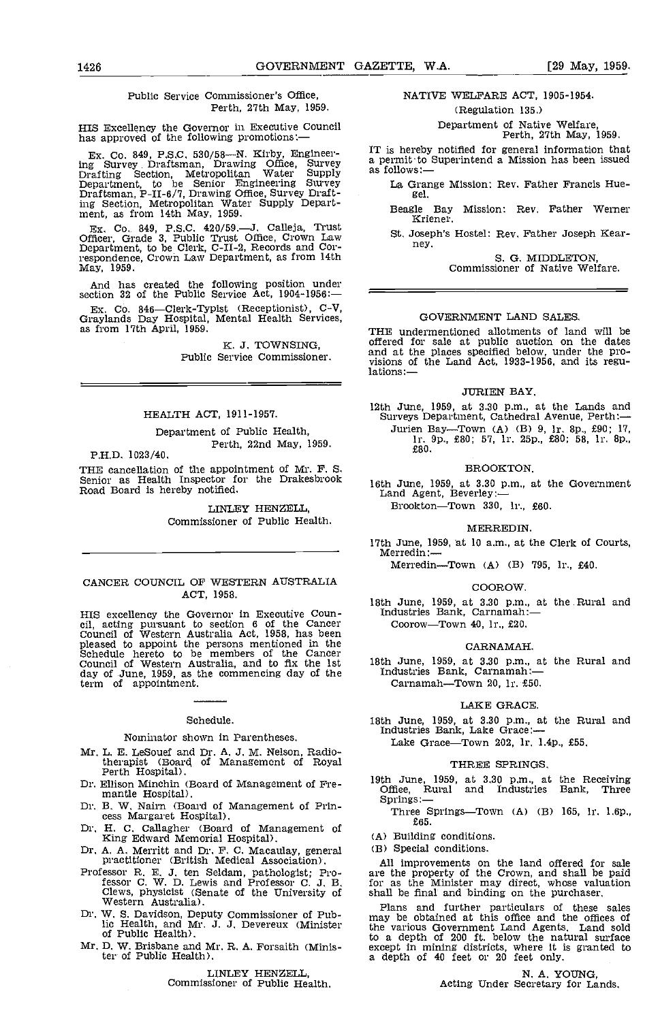#### Public Service Commissioner's Office, Perth, 27th May, 1959.

HIS Excellency the Governor in Executive Council has approved of the following promotions:

Ex. Co. 849, P.S.C. 530/58—N. Kirby, Engineer-<br>ing Survey Draftsman, Drawing Office, Survey a per Drafting Section, Metropolitan Water Supply Department, to he Senior Engineering Survey Draftsman, P-II-6/7, Drawing Office, Survey Drafting Section, Metropolitan Water Supply Depart- ment, as from 14th May, 1959.

Ex. Co. 849, P.S.C. 420/59.— J. Calleja, Trust  $\overline{S}$ . J. Calleja, Trust  $\overline{S}$ . J. Department, to be Clerk, C-II-2, Records and Cor-respondence, Crown Law Department, as from 14th May, 1959.

And has created the following position under section 32 of the Public Service Act, 1904-1956:

Ex. Co. 846—Clerk-Typist (Receptionist), C-V, Graylands Day Hospital, Mental Health Services, as from 17th April, 1959.

K, J. TOWNSING, Public Service Commissioner.

## HEALTH ACT, 1911-1957.

Department of Public Health, Perth, 22nd May, 1959.

PH.D. 1023/40.

THE cancellation of the appointment of Mr. F. S. [IROO]<br>Senior as Health Inspector for the Drakesbrook [16th June, 1959, at 3.30]<br>Road Board is hereby notified. [Reference Land Agent, Beverley:

LINLEY HENZELL, Commissioner of Public Health.

#### CANCER COUNCIL OF WESTERN AUSTRALIA ACT, 1958.

HIS excellency the Governor in Executive Coun-<br>cil, acting pursuant to section 6 of the Cancer<br>Council of Western Australia Act, 1958, has been<br>pleased to appoint the persons mentioned in the<br>Schedule hereto to be members Council of Western Australia, and to fix the 1st day of June, 1959, as the commencing day of the day of June, 1959, as the commencing day of the term of appointment.

#### Schedule.

#### Nominator shown in Parentheses.

- Mr. L, E. LeSouef and Dr. A. J. M. Nelson, Radio-therapist (Board of Management of Royal Perth Hospital).
- Dr. Ellison Minchin (Board of Management of Fre- mantle Hospital).
- Dr. B. W. Nairn (Board of Management of Prin-<br>cess Margaret Hospital).<br>Dr. H. C. Callagher (Board of Management of King Edward Memorial Hospital).
- 
- Dr. A. A. Merritt and Dr. F. C. Macaulay, general practitioner (British Medical Association).
- Professor R. E. J. ten Seldam, pathologist; Professor C, W. D. Lewis and Professor C. J. B. Clews, physicist (Senate of the University of Western Australia).
- Dr. W. S. Davidson, Deputy Commissioner of Pub-<br>lic Health, and Mr. J. J. Devereux (Minister the<br>of Public Health).
- Mr. D. W. Brisbane and Mr. R. A. Forsaith (Minister of Public Health).

# LINLEY HENZELL Commissioner of Public Health.

## NATIVE WELFARE ACT, 1905-1954. (Regulation 135.)

Department of Native Welfare, Perth, 27th May, 1959.

IT is hereby notified for general information that a permit to Superintend a Mission has been issued as follows:

La Grange Mission: Rev. Father Francis Hue- gel.

Beagle Bay Mission: Rev. Father Werner Kriener.

St. Joseph's Hostel: Rev. Father Joseph Kearney.

S. G. MIDDLETON,<br>Commissioner of Native Welfare.

#### GOVERNMENT LAND SALES.

THE undermentioned allotments of land will be offered for sale at public auction on the dates and at the places specified below, under the pro- visions of the Land Act, 1933-1956, and its regu- lations:

#### **JURIEN BAY.**

12th June, 1959, at 3.30 p.m., at the Lands and Surveys Department, Cathedral Avenue, Perth:- Jurien Bay—Town (A) (B) 9, lr, 8p., £90; 17, lr, 9p., £80; 57, lr, 25p., £80; 58, lr. 8p., £80.

#### BROOKTON.

16th June, 1959, at 3.30 p.m., at the Government

Brookton-Town 330, lr., £60.

#### MERREDIN.

17th June, 1959, at 10 a.m., at the Clerk of Courts, Merredin:-

Merredin-Town (A) (B) 795, lr.,  $£40$ .

#### COOROW.

18th June, 1959, at 3.30 p.m., at the Rural and<br>Industries Bank, Carnamah:— Coorow-Town 40, lr., £20.

#### CARNAMAH.

18th June, 1959, at 3.30 p.m., at the Rural and Industries Bank, Carnamah:—

Carnamah-Town 20, lr. £50.

#### LAKE GRACE.

18th June, 1959, at 3.30 p.m., at the Rural and Industries Bank, Lake Grace: Lake Grace-Town 202, lr. 1.4p., £55.

#### THREE SPRINGS.

19th June, 1959, at 3.30 p.m., at the Receiving Office, Rural and Industries Bank, Three Springs: Three Springs-Town (A) (B) 165, lr. 1.6p.,

£65.

Building conditions.

(B) Special conditions.

All improvements on the land offered for sale are the property of the Crown, and shall be paid for as the Minister may direct, whose valuation shall be final and binding on the purchaser.

Plans and further particulars of these sales may be obtained at this office and the offices of the various Government Land Agents. Land sold to a depth of 200 ft. below the natural surface except in mining districts, where it is granted to a depth of 40 feet or 20 feet only.

N. A. YOUNG,<br>Acting Under Secretary for Lands.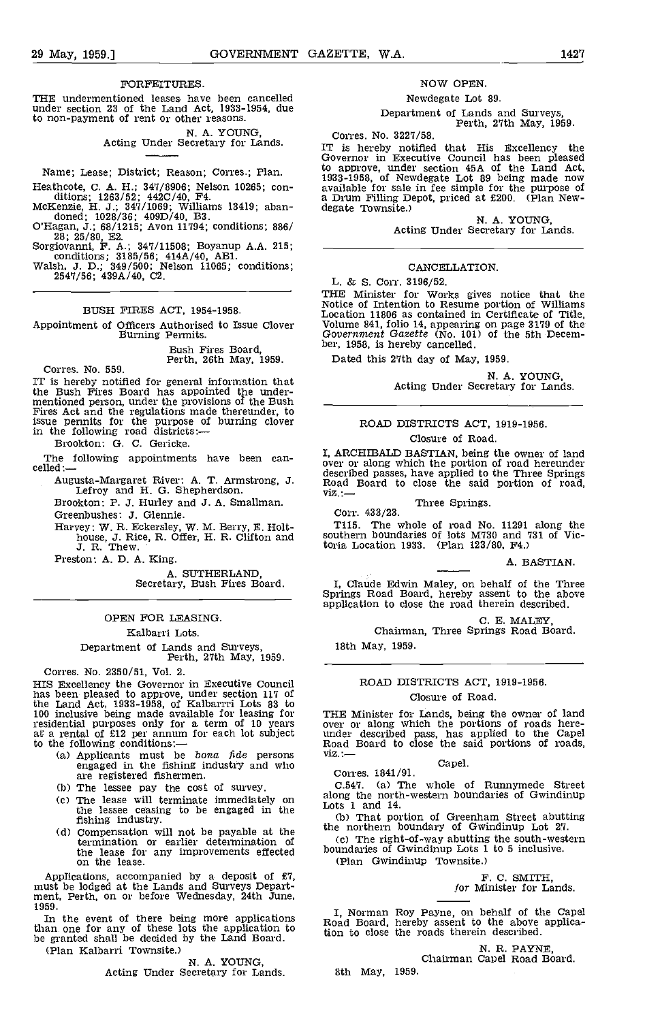#### FORFEITURES.

THE undermentioned leases have been cancelled under section 23 of the Land Act, 1933-1954, due to non-payment of rent or other reasons.

N. A. YOUNG,<br>Acting Under Secretary for Lands.

Name; Lease; District; Reason; Corres.; Plan.

## BUSH FIRES ACT, 1954-1958.

Appointment of Officers Authorised to Issue Clover Volume 841, folio 14, appearing Burning Permits.<br>
Burning Permits.<br>
Duck Board ber, 1958, is hereby cancelled.

Bush Fires Board.

Perth, 26th May, 1959.<br>The Corres. No. 559.<br>IT is hereby notified for general information that IT is hereby notified for general information that the Bush Fires Board has appointed the under- mentioned person, under the provisions of the Bush Fires Act and the regulations made thereunder, to issue permits for the purpose of burning clover in the following road districts:-

Brookton: G. C. Gericke.

Augusta-Margaret River: A. T. Armstrong, J. Lefroy and H. G. Shepherdson.

Brookton: P. J. Hurley and J. A. Smallman.

Greenbushes: J. Glennie.

Harvey: W. R. Eckersley, W. M. Berry, E. Holt- house, J. Rice, R. Offer, H. R. Clifton and J. R. Thew.

Preston: A. D. A. King.

A. SUTHERLAND, Secretary, Bush Fires Board.

#### OPEN FOR LEASING.

#### Kalbarri Lots.

Department of Lands and Surveys, Perth, 27th May, 1959.

Corres. No. 2350/51, Vol. 2.

HIS Excellency the Governor in Executive Council has been pleased to approve, under section 117 of the Land Act, 1933-1958, of Kalbarrri Lots 83 to 100 inclusive being made available for leasing for THE N<br>residential purposes only for a term of 10 years over o<br>at a rental of £12 per annum for each lot subject under<br>to the following conditions:— Road<br>(a) Applicants mu

- (a) Applicants must be *bona fide* persons engaged in the fishing industry and who are registered fishermen.<br>
(b) The lessee pay the cost of survey.
- 
- (c) The lease will terminate immediately on along the lessee ceasing to be engaged in the  $\frac{L_{\text{obs}}}{(L_{\text{obs}})}$
- fishing industry. (b)<br>
(d) Compensation will not be payable at the the complete the complete that termination or earlier determination of the lease for any improvements effected<br>on the lease.

Applications, accompanied by a deposit of £7, must be lodged at the Lands and Surveys Depart- ment, Perth, on or before Wednesday, 24th June, 1959.

In the event of there being more applications  $\begin{bmatrix} 1, N \\ \text{f,} & \text{f,} \\ \text{f,} & \text{f,} \\ \text{f,} & \text{f,} \end{bmatrix}$ be granted shall be decided by the Land Board. (Plan Kalbarri Townsite.)

N. A. YOUNG,<br>Acting Under Secretary for Lands.

#### NOW OPEN.

#### Newdegate Lot 89.

Department of Lands and Surveys, Perth, 27th May, 1959.

Corres. No. 3227/58.

Heathcote, C. A. H.; 347/8906; Nelson 10265; con-<br>
available for sale in fee simple for the purpose of<br>
ditions; 1263/52; 442C/40, F4.<br>
McKenzie, H. J.; 347/1069; Williams 13419; aban-<br>
dende; 1028/36; 409D/40, B3.<br>
O'Haga IT is hereby notified that His Excellency the Governor in Executive Council has been pleased to approve, under section 45A of the Land Act, 1933-1958, of Newdegate Lot 89 being made now available for sale in fee simple for the purpose of a Drum Filling Depot, priced at £200. (Plan New-<br>degate Townsite.)

N. A. YOUNG,<br>Acting Under Secretary for Lands.

#### CANCELLATION.

L. & S. Corr. 3196/52.

THE Minister for Works gives notice that the Notice of Intention to Resume portion of Williams<br>Location 11806 as contained in Certificate of Title,<br>Volume 841, folio 14, appearing on page 3179 of the<br>Government Gazette (N

Dated this 27th day of May, 1959.

N. A, YOUNG, Acting Under Secretary for Lands.

# ROAD DISTRICTS ACT, 1919-1956.

# Closure of Road.

The following appointments have been can-<br>celled:—<br>celled:— I, I, ARCHMALD BASTIAN, being the portion of road hereunder described passes, have applied to the Three Springs Road Board to close the said portion of road, viz...

Three Springs. Corr. 433/23.

T115. The whole of road No. 11291 along the southern boundaries of lots M730 and 731 of Victoria Location 1933. (Plan 123/80, F4.)

#### A. BASTIAN.

I, Claude Edwin Maley, on behalf of the Three Springs Road Board, hereby assent to the above application to close the road therein described.

C. E. MALEY,<br>Chairman, Three Springs Road Board.

18th May, 1959.

# ROAD DISTRICTS ACT, 1919-1956.

# Closure of Road.

THE Minister for Lands, being the owner of land over or along which the portions of roads here-<br>under described pass, has applied to the Capel<br>Road Board to close the said portions of roads,<br>viz.:—<br>Capel.

Corres. 1841/91.

C.547. (a) The whole of Runnymede Street along the north-western boundaries of Gwindinup Lots 1 and 14.

(b) That portion of Greenham Street abutting the northern boundary of Gwindinup Lot 27.

The right-of-way abutting the south-western boundaries of Gwindinup Lots 1 to 5 inclusive.

(Plan Gwindinup Townsite.)

F. C. SMITH, for Minister for Lands.

I, Norman Roy Payne, on behalf of the Capel Road Board, hereby assent to the above applica tion to close the roads therein described.

N. R. PAYNE, Chairman Capel Road Board.

8th May, 1959.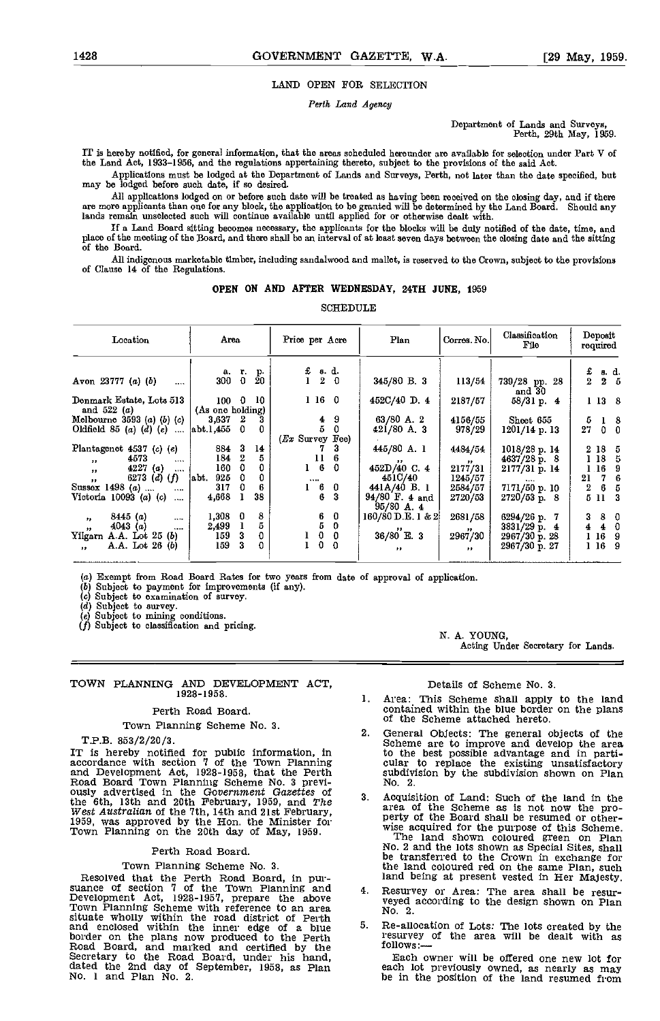# LAND OPEN FOR SELECTION

Perth Land Agency

Department of Lands and Surveys, Perth, 29th May, 1969.

IT is hereby notified, for general information, that the areas scheduled hereunder are available for selection under Part V of the Land Act, 1933-1956, and the regulations appertaining thereto, subject to the provisions of the said Act.

Applications must be lodged at the Department of Lands aad Surveys, Perth, not later than the date specified, but may be lodged before such date, if so desired.

All applications lodged on or before such date will be treated as having been received on the closing day, and if there are more applicants than one for any bloolc, the applioation to be granted will be determined by the Land Board. Should any lands remain unselected such will continue available until applied for or otherwise dealt with.

If a Land Board sitting becomes necessary, the applicants for the blocks will be duly notified of the date, time, and place of the meeting of the Board, and there shall be an interval of at least seven days between the closing date and the sitting of the Board.

All indigenous marketable timber, including sandalwood and mallet, is reserved to the Crown, subject to the provisions of Clause 14 of the Regulations.

#### OPEN ON AND AFTER WEDNESDAY, 24TH JUNE, 1959

**SCHEDULE** 

| Location                                 | Area                    |                         |                | Price per Acre                                                                            |                        | Plan                           | Corres. No.                 | Classification<br>File  | Deposit<br>required |                         |
|------------------------------------------|-------------------------|-------------------------|----------------|-------------------------------------------------------------------------------------------|------------------------|--------------------------------|-----------------------------|-------------------------|---------------------|-------------------------|
|                                          |                         |                         |                |                                                                                           |                        |                                |                             |                         |                     |                         |
| Avon 23777 (a) (b)<br>                   | a.<br>300               | $\frac{r}{0}$           | $\frac{p}{20}$ | $\begin{array}{cc} \texttt{f. g. d.} \\ \texttt{1} & \texttt{2} & \texttt{0} \end{array}$ |                        | 345/80 B. 3                    | 113/54                      | 739/28 pp. 28<br>and 30 | $\frac{c}{2}$       | 8 d.<br>$2\quad 5$      |
| Denmark Estate, Lots 513<br>and $522(a)$ | 100<br>(As one holding) | $\overline{0}$          | 10             |                                                                                           | 1160                   | $452C/40$ D. 4                 | 2187/57                     | 58/31 p. 4              |                     | 1138                    |
| Melbourne $3593(a)$ (b) (c)              | 3,637                   | $\overline{2}$          | 3              |                                                                                           | -9<br>$\blacktriangle$ | 63/80 A. 2                     | 4156/55                     | Sheet 655               | 5                   | $1 \quad 8$             |
| Oldfield 85 $(a)$ $(d)$ $(e)$<br>$\sim$  | [abt.1, 455]            | $\overline{\mathbf{0}}$ |                | $(Ex$ Survey Fee)                                                                         | 5                      | $421/80$ A. 3                  | 978/29                      | 1201/14 p. 13           | 27                  | $\mathbf 0$<br>$\Omega$ |
| Plantagenet 4537 (c) (e)                 | 884                     | -3                      | 14             |                                                                                           | з                      | 445/80 A. 1                    | 4484/54                     | 1018/28 p. 14           | 2 18 5              |                         |
| 4573<br>$\cdots$                         | 184                     | $\boldsymbol{2}$        | 5              | 11                                                                                        |                        |                                |                             | 4637/28 p. 8            | 118                 | -5                      |
| $\bullet \bullet$<br>4227(a)<br>$\cdots$ | 160                     | 0                       | 0              | $1 \quad 6$                                                                               | $\Omega$               | 452D/40C.4                     | $\bullet\bullet$<br>2177/31 | 2177/31 p. 14           | 1.16                | 9                       |
| $\bullet\bullet$<br>6273 (d) $(f)$       | 925<br>labt.            | 0                       |                |                                                                                           |                        | 451C/40                        | 1245/57                     |                         | 21                  | 7<br>6                  |
| $\pmb{\cdot}$<br>Sussex 1498 (a)<br>     | 317                     |                         |                | <br>6                                                                                     | $\mathbf 0$            | 441A/40 B. 1                   | 2584/57                     | 7171/50 p. 10           | $\bf{2}$            | 6<br>5                  |
| Victoria 10093 (a) (c)<br>$\cdots$       | 4,668                   |                         | 38             |                                                                                           | 6<br>3                 | 94/80 F. 4 and<br>$95/80$ A. 4 | 2720/53                     | $2720/53$ p. 8          | 5 11                | -3                      |
| 8445(a)<br>"<br>$\cdots$                 | 1,308                   | 0                       | 8              |                                                                                           | 0                      | 160/80 D.E. 1 & 2              | 2681/58                     | 6294/26 p. 7            | 3                   | 8<br>0                  |
| 4043(a)<br>,,<br>$\cdots$                | 2,499                   |                         | 5              | $\frac{6}{5}$                                                                             | 0                      |                                |                             | 3831/29 p. 4            | 4                   | 4<br>0                  |
| Yilgarn A.A. Lot 25 (b)                  | 159                     | 3                       | 0              | $\mathbf 0$                                                                               | $\mathbf 0$            | $36/80$ 'E. 3                  | $\bullet\bullet$<br>2967/30 | 2967/30 p. 28           | 116                 | 9                       |
| A.A. Lot 26 (b)<br>$\mathbf{r}$          | 159                     | 3                       | 0              | $\mathbf 0$                                                                               | $\Omega$               | $^{\bullet}$                   | $\bullet$                   | 2967/30 p. 27           | 116                 | -9                      |

(a) Exempt from Road Board Rates for two years from date of approval of application.<br>
(b) Subject to payment for improvements (if any).<br>
(c) Subject to examination of survey.<br>
(d) Subject to eurvey.

Subject to survey. Subject to mining conditions.

Subject to classification and pricing.

#### TOWN PLANNING AND DEVELOPMENT ACT, 1928-1958.

#### Perth Road Board.

Town Planning Scheme No. 3.

#### T.P.B. 853/2/20/3.

IT is hereby notified for public information, in to accordance with section 7 of the Town Planning cu and Development Act, 1928-1938, that the Ferth subdivision by the subdivision shown on Plancolar Doad Board Town Plancolar Town Plancolar Consequent Catalients of the Scheme as is not now the pro-<br>
West Australian of the 7

#### Perth Road Board.

Town Planning Scheme No. 3.<br>
Resolved that the Perth Road Board, in pur-<br>
Resolved that the Perth Road Board, in pur-<br>
land being at present vested in Her Majesty.<br>
suance of section 7 of the Town Planning and<br>
Development Development Act, 1928-1957, prepare the above<br>Town Planning Scheme with reference to an area<br>situate wholly within the road district of Perth<br>and enclosed within the inner edge of a blue<br>border on the plans now produced to

N. A. YOUNG, Acting Under Secretary for Lands.

#### Details of Scheme No. 3.

- Area: This Scheme shall apply to the land  $1.$ contained within the blue border on the plans of the Scheme attached hereto.
- General Objects; The general objects of the Scheme are to improve and develop the area to the best possible advantage and in parti- cular to replace the existing unsatisfactory subdivision by the subdivision shown on Plan
- Acquisition of Land: Such of the land in the<br>area of the Scheme as is not now the pro-<br>perty of the Board shall be resumed or other-<br>wise acquired for the purpose of this Scheme.<br>The land shown coloured green on Plan<br>No. 2 the land coloured red en the same Plan, such land being at present vested in Her Majesty.
- Resurvey or Area: The area shall be resur-<br>veyed according to the design shown on Plan
- resurvey of the area will be dealt with as follows:

Each owner will be offered one new lot for each lot previously owned, as nearly as may be in the position of the land resumed from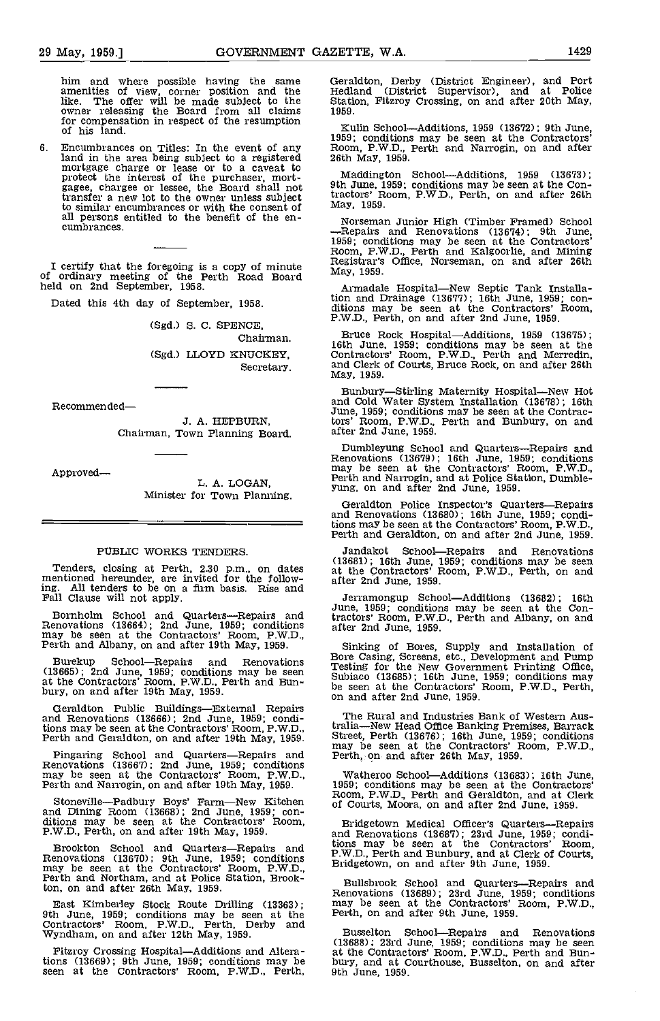him and where possible having the same amenities of view, corner position and the like. The offer will be made subject to the Station owner releasing the Board from all claims 1959. for compensation in respect of the resumption  $\frac{1}{1000}$ .

6. Encumbrances on Titles: In the event of any Room,<br>land in the area being subject to a registered 26th M<br>mortgage charge or lease or to a caveat to<br>protect the interest of the purchaser, mort-<br>gagee, chargee or lessee, t transfer a new lot to the owner unless subject to similar encumbrances or with the consent of Mail persons entitled to the benefit of the encumbrances.

I certify that the foregoing is a copy of minute the Bistrafe of ordinary meeting of the Perth Road Board May, 19<br>held on 2nd September, 1958. Arma

Dated this 4th day of September, 1958.

(Sgd.) S. C. SPENCE,

Chairman. (Sgd.) LLOYD KNUCKEY, Secretary.

Recommended

J. A. HEPBURN, Chairman, Town Planning Board

Approved

L. A. LOGAN, Minister for Town Planning.

# PUBLIC WORKS TENDERS.

Tenders, closing at Perth, 2.30 p.m., on dates at the mentioned hereunder, are invited for the following. All tenders to be on a firm basis. Rise and Fall Clause will not apply.

Bornholm School and Quarters-Repairs and Renovations (13664); 2nd June, 1959; conditions may be seen at the Contractors' Room, P.W.D., Perth and Albany, on and after 19th May, 1959.

Burekup School—Repairs and Renovations Bore C<br>(13665); 2nd June, 1959; conditions may be seen Subjac at the Contractors' Room, P.W.D., Perth and Bun- bury, on and after 19th May, 1959.

Geraldton Public Buildings—External Repairs<br>and Renovations (13666); 2nd June, 1959; conditions may be seen at the Contractors' Room, P.W.D., Perth and Geraldton, on and after 19th May, 1959.

Pingaring School and Quarters—Repairs and Renovations (13667); 2nd June, 1959; conditions may be seen at the Contractors' Room, P.W.D., Watheroo School—Additions (1368); Perth and Narrogin, on and after 19th May, 1959. 195

Stoneville—Padbury Boys' Farm—New Kitchen of Cour and Dining Room (13668); 2nd June, 1959; con-<br>ditions may be seen at the Contractors' Room, P,W.D., Perth, on and after 19th May, 1959. and

Brookton School and Quarters-Repairs and Renovations (13670); 9th June, 1959; conditions may be seen at the Contractors' Room, P.W.D., Perth and Northam, and at Police Station, Brookton, on and after 26th May, 1959.

East Kimberley Stock Route Drilling (13363);<br>
9th June, 1959; conditions may be seen at the Perth, on and after 9th June, 1959.<br>
2011 Contractors' Room, P.W.D., Perth, Derby and Busselton School—Repairs and Wyndham, on and

Fitzroy Crossing Hospital-Additions and Alterations (13669); 9th June, 1959; conditions may be seen at the Contractors' Room, P.W.D., Perth,

Geraldton, Derby (District Engineer), and Port Hedland (District Supervisor), and at Police Station, Fitzroy Crossing, on and after 20th May, 1959.

Kulin School—Additions, 1959 (13672); 9th June, 1959; conditions may be seen at the Contractors' Room, P.W.D., Perth and Narrogin, on and after 26th May, 1959.

Maddington School—Additions, 1959 (13673);<br>9th June, 1959; conditions may be seen at the Contractors' Room, P.W.D., Perth, on and after 26th May, 1959.

Norseman Junior High (Timber Framed) School – Repairs and Renovations (13674); 9th June, 1959; conditions may be seen at the Contractors' Room, P.W.D., Perth and Kalgoorlie, and Mining Resistrar's Office, Norseman, on and

Armadale Hospital-New Septic Tank Installation and Drainage (13677); 16th June, 1959; con- ditions may be seen at the Contractors' Room, P.W.D., Perth, on and after 2nd June, 1959.

Bruce Rock Hospital—Additions, 1959 (13675); 16th June, 1959; conditions may be seen at the Contractors' Room, P.W.D., Perth and Merredin, and Clerk of Courts, Bruce Rock, on and after 26th May, 1959.

Bunbury—Stirling Maternity Hospital—New Hot<br>and Cold Water System Installation (13678); 16th June, 1959; conditions may be seen at the Contrac-tors' Room, P.W.D., Perth and Bunbury, on and after 2nd June, 1959.

Dumbleyung School and Quarters—Repairs and Renovations (13679); 16th June, 1959; conditions may be seen at the Contractors' Room, P.W.D., Perth and Narrogin, and at Police Station, Dumble- yung, on and after 2nd June, 1959

Geraldton Police Inspector's Quarters—Repairs<br>and Renovations (13680); 16th June, 1959; conditions may be seen at the Contractors' Room, P.W.D.,<br>Perth and Geraldton, on and after 2nd June, 1959.

Jandakot School—Repairs and Renovations<br>(13681); 16th June, 1959; conditions may be seen<br>at the Contractors' Room, P.W.D., Perth, on and after 2nd June, 1959.

Jerramongup School—Additions (13682); 16th June, 1959; conditions may be seen at the Contractors' Room, P.W.D., Perth and Albany, on and after 2nd June, 1959.

Sinking of Bores, Supply and Installation of Bore Casing, Screens, etc., Development and Pump<br>Testing for the New Government Printing Office, Subiaco (13685); 16th June, 1959; conditions may<br>be seen at the Contractors' Roo

The Rural and Industries Bank of Western Australia—New Head Office Banking Premises, Barrack Street, Perth (13676); 16th June, 1959; conditions may be seen at the Contractors' Room, P.W.D.,

Watheroo School—Additions (13683); 16th June,<br>1959; conditions may be seen at the Contractors'<br>Room, P.W.D., Perth and Geraldton, and at Clerk of Courts, Moora, on and after 2nd June, 1959.

Bridgetown Medical Officer's Quarters—Repairs<br>and Renovations (13687); 23rd June, 1959; condi-<br>tions may be seen at the Contractors' Room,<br>P.W.D., Perth and Bunbury, and at Clerk of Courts,<br>Bridgetown, on and after 9th Jun

Bullsbrook School and Quarters-Repairs and Renovations (13689); 23rd June, 1959; conditions may be seen at the Contractors' Room, P.W.D.,

Busselton School—Repairs and Renovations  $(13688)$ ;  $23rd$  June,  $1959$ ; conditions may be seen at the Contractors' Room, P.W.D., Perth and Bun- bury, and at Courthouse, Busselton, on and after 9th June, 1959.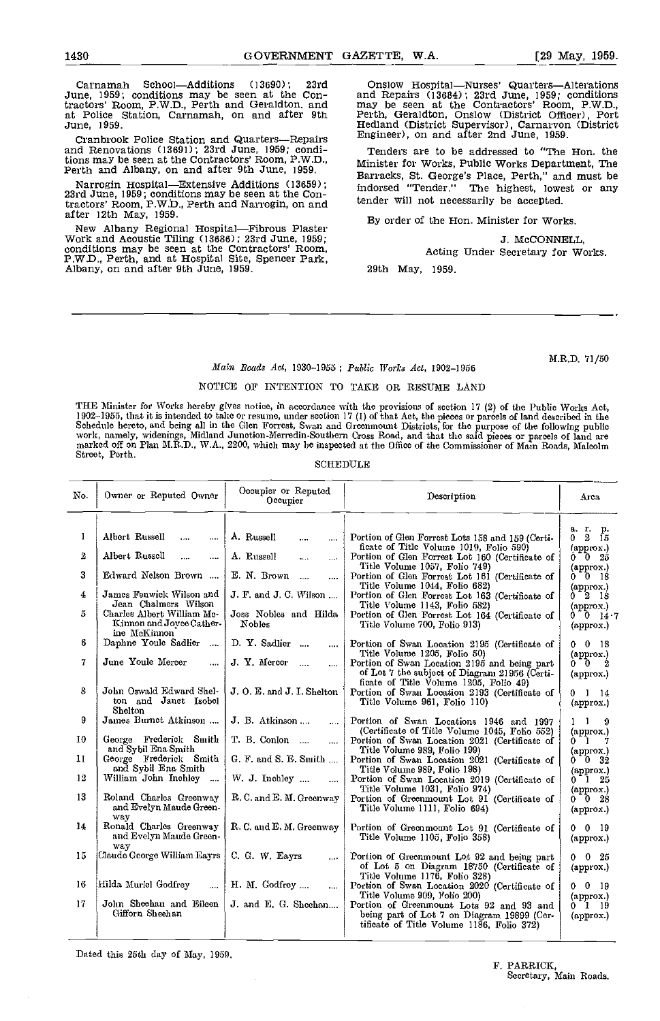June, 1959; conditions may be seen at the Contractors' Room, P.W.D., Perth and Geraldton, and at Police Station, Carnamah, on and after 9th June, 1959.

Cranbrook Police Station and Quarters—Repairs <sup>Eng</sup><br>and Renovations (13691); 23rd June, 1959; conditions may be seen at the Contractors' Room, P.W.D., Perth and Albany, on and after 9th June, 1959.

Narrogin Hospital—Extensive Additions (13659); 23rd June, 1959; conditions may be seen at the Contractors' Room, P.W.b., Perth and Narrogin, on and after 12th May, 1959.

New Albany Regional Hospital—Fibrous Plaster<br>Work and Acoustic Tiling (13686); 23rd June, 1959;<br>conditions may be seen at the Contractors' Room,<br>P.W.D., Perth, and at Hospital Site, Spencer Park,<br>Albany, on and after 9th J

Carnamah School—Additions (13690); 23rd Onslow Hospital—Nurses' Quarters—Alterations Since The Separation (13684); 23rd June, 1959; conditions<br>may be seen at the Contractors' Room, P.W.D.,<br>Perth, Geraldton, Onslow (District Officer), Port<br>Hedland (District Supervisor), Carnaryon (District<br>Engineer), on and

> Tenders are to be addressed to "The Hon. the Minister for Works, Public Works Department, The Barracks, St. George's Place, Perth," and must be indorsed "Tender." The highest, lowest or any tender will not necessarily be accepted.

By order of the Hon. Minister for Works.

J. McCONNELL

Acting Under Secretary for Works.

29th May, 1959.

M.R.D. 71/50

#### Main Roads Act, 1930-1955; Public Works Act, 1902-1956

#### NOTICE OF INTENTION TO TAKE OR RESUME LAND

THE Minister for Works hereby gives notice, in accordance with the provisions of scction 17 (2) of the Public Works Act, 1902–1955, that it is intended to take or resume, under section 17 (1) of that Act, the pieces or parcels of land described in the<br>Schedule hereto, and being all in the Glen Forrest, Swan and Greenmount Districts, for the work, namely, widenings, Midland Junction Merredin Southern Cross Road, and that the said pieces or parcels of land are<br>marked off on Plan M.R.D., W.A., 2200, which may be inspected at the Office of the Commissioner of Mai Street, Perth.

### SCHEDULE

| No. | Owner or Reputed Owner                                                 | Occupier or Reputed<br>Occupier            | Description                                                                                                                                                        | Arca                                                              |
|-----|------------------------------------------------------------------------|--------------------------------------------|--------------------------------------------------------------------------------------------------------------------------------------------------------------------|-------------------------------------------------------------------|
|     |                                                                        |                                            |                                                                                                                                                                    |                                                                   |
| 1   | Albert Russell<br><br>$\cdots$                                         | A. Russell<br>                             | Portion of Glen Forrest Lots 158 and 159 (Certi-                                                                                                                   | a. r. p.<br>$2-\bar{15}$<br>0.                                    |
| 2   | Albert Russell<br>.<br>$\cdots$                                        | A. Russell<br>$\cdots$<br>.                | ficate of Title Volume 1019, Folio 590)<br>Portion of Glen Forrest Lot 160 (Certificate of                                                                         | (approx.)<br>$0 - 0 = 25$                                         |
| 3   | Edward Nelson Brown                                                    | E. N. Brown<br>$\ddotsc$<br>               | Title Volume 1057, Folio 749)<br>Portion of Glen Forrest Lot 161 (Certificate of                                                                                   | (approx.)<br>$0^-0$ 18                                            |
| 4   | James Fenwick Wilson and<br>Jean Chalmers Wilson                       | J. F. and J. C. Wilson                     | Title Volume 1044, Folio 682)<br>Portion of Glen Forrest Lot 163 (Certificate of<br>Title Volume 1143, Folio 582)                                                  | (approx.)<br>$0^-2$ 18                                            |
| 5.  | Charles Albert William Mc-<br>Kinnon and Joyce Cather-<br>ine McKinnon | Joss Nobles and Hilda<br>Nobles            | Portion of Glen Forrest Lot 164 (Certificate of<br>Title Volume 700, Folio 913)                                                                                    | (approx.)<br>$0^{\circ}0^{\circ}14.7$<br>(approx.)                |
| 6   | Daphne Youle Sadlier                                                   | D. Y. Sadlier<br>$\sim$<br>                | Portion of Swan Location 2195 (Certificate of<br>Title Volume 1205, Folio 50)                                                                                      | $0\quad 0\quad 18$<br>(approx.)                                   |
| 7   | June Youle Mercer                                                      | J. Y. Mercer<br>$\mathbf{r}$<br>$\cdots$   | Portion of Swan Location 2195 and being part<br>of Lot 7 the subject of Diagram 21956 (Certi-                                                                      | $0^-0^-$<br>- 2<br>(approx.)                                      |
| 8   | John Oswald Edward Shel-<br>ton and Janet Isobel<br><b>Shelton</b>     | J. O. E. and J. I. Shelton                 | ficate of Title Volume 1205, Folio 49)<br>Portion of Swan Location 2193 (Certificate of<br>Title Volume 961, Folio 110)                                            | $0 \quad 1 \quad 14$<br>(approx.)                                 |
| 9   | James Burnet Atkinson                                                  | J. B. Atkinson<br>$\cdots$                 | Portion of Swan Locations 1946 and 1997                                                                                                                            | $1\quad 1$<br>-9                                                  |
| 10  | George Frederick Smith<br>and Sybil Ena Smith                          | T. B. Conlon<br><b>College</b><br>$\cdots$ | (Certificate of Title Volume 1045, Folio 552)<br>Portion of Swan Location 2021 (Certificate of                                                                     | $\langle$ approx. $\rangle$<br>0 <sub>1</sub><br>7                |
| 11  | George Frederick Smith<br>and Sybil Ena Smith                          | $G. F.$ and S. E. Smith                    | Title Volume 989, Folio 199)<br>Portion of Swan Location 2021 (Certificate of                                                                                      | $(\text{approx.})$<br>$0 - 0 = 32$                                |
| 12  | William John Inchley                                                   | W. J. Inchley<br>                          | Title Volume 989, Folio 198)<br>Portion of Swan Location 2019 (Certificate of                                                                                      | (approx.)<br>$0 - 1 = 25$                                         |
| 13  | Roland Charles Greenway<br>and Evelyn Maude Green-                     | R.C. and E.M. Greenway                     | Title Volume 1031, Folio 974)<br>Portion of Greenmount Lot 91 (Certificate of<br>Title Volume 1111, Folio 694)                                                     | (approx.)<br>$0^{\circ}0^{\circ}28$<br>$\left($ approx. $\right)$ |
| 14  | wav<br>Ronald Charles Greenway<br>and Evelyn Maude Green-              | R. C. and E. M. Greenway                   | Portion of Greenmount Lot 91 (Certificate of<br>Title Volume 1105, Folio 358)                                                                                      | $0\quad 0\quad 19$<br>(approx.)                                   |
| 15  | $\mathbf{v}\mathbf{a}\mathbf{v}$<br>Claude George William Eayrs        | C. G. W. Eayrs<br>$\cdots$                 | Portion of Greenmount Lot 92 and being part<br>of Lot 5 on Diagram 18750 (Certificate of                                                                           | $0\quad 25$<br>0.<br>(approx.)                                    |
| 16  | Hilda Muriel Godfrey                                                   | H. M. Godfrey<br>$\cdots$                  | Title Volume 1176, Folio 328)<br>Portion of Swan Location 2020 (Certificate of                                                                                     | $0 \t 0 \t 19$                                                    |
| 17  | John Sheehan and Eileen<br>Gifforn Sheehan                             | J. and E. G. Sheehan                       | Title Volume 909, Foho 200)<br>Portion of Greenmount Lots 92 and 93 and<br>being part of Lot 7 on Diagram 19899 (Cer-<br>tificate of Title Volume 1186, Folio 372) | $(\text{approx.})$<br>$0^-1$ 19<br>(approx.)                      |

Dated this 25th day of May, 1959.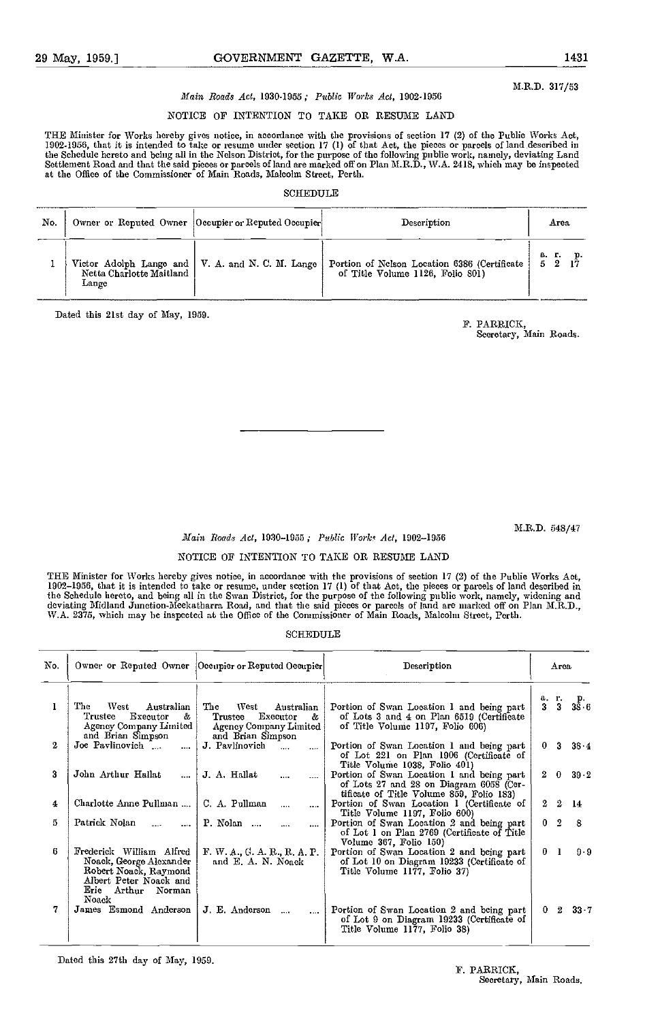M.R.D. 317/53

# Main Roads Act, 1930-1955; Public Works Act, 1902-1956

# NOTICE OF INTENTION TO TAKE OR RESUME LAND

THE Minister for Works hereby gives notice, in accordance with the provisions of section 17 (2) of the Public Works Act, 1902-1956, that it is intended to take or resume under section 17 (1) of that Act, the pieces or parcels of land described in<br>the Schedule hereto and being all in the Nelson District, for the purpose of the following publi

### SCHEDULE<sub>R</sub>

| No. |                                   | Owner or Reputed Owner   Occupier or Reputed Occupier | Description                                                                      | Агеа        |
|-----|-----------------------------------|-------------------------------------------------------|----------------------------------------------------------------------------------|-------------|
|     | Netta Charlotte Maitland<br>Lange | Victor Adolph Lange and   V. A. and N. C. M. Lange    | Portion of Nelson Location 6386 (Certificate<br>of Title Volume 1126, Folio 801) | а. г.<br>52 |

Dated this 21st day of May, 1959.

# F. PARRICK,

Secretary, Main Roads.

M.R.D. 548/47

# Main Roads Act, 1930-1955; Public Works Act, 1902-1956

## NOTICE OF INTENTION TO TAKE OR RESUME LAND

THE Minister for Works hereby gives notice, in accordance with the provisions of section 17 (2) of the Publie Works Act,<br>1902–1956, that it is intended to take or resume, under section 17 (1) of that Act, the pieces or par the Schedule hereto, and being all in the Swan District, for the purpose of the following public work, namely, widening and<br>deviating Midland Junction-Meekatharra Road, and that the said pieces or parcels of land are marke W.A. 2375, which may he inspected at the Office of the Commissioner of Main Roads, Malcolm Street, Perth.

## SCHEDULE

| No. |                                                                                                                                       | Owner or Reputed Owner Occupier or Reputed Occupier                                                  | Description                                                                                                                      | Агса                                        |
|-----|---------------------------------------------------------------------------------------------------------------------------------------|------------------------------------------------------------------------------------------------------|----------------------------------------------------------------------------------------------------------------------------------|---------------------------------------------|
| 1   | The<br>West<br>Australian<br>Executor<br>Trustee<br>å.<br>Agency Company Limited<br>and Brian Simpson                                 | The<br>West<br>Australian<br>Executor<br>Trustee<br>&<br>Agency Company Limited<br>and Brian Simpson | Portion of Swan Location 1 and being part<br>of Lots 3 and 4 on Plan 6519 (Certificate<br>of Title Volume 1197, Folio 606)       | а. г.<br>P.<br>$3\bar{8}\cdot 6$<br>3<br>3. |
| 2   | Joe Pavlinovich<br>$\cdots$                                                                                                           | J. Pavlinovich<br>$\cdots$<br>$\cdots$                                                               | Portion of Swan Location 1 and being part<br>of Lot 221 on Plan 1906 (Certificate of<br>Title Volume 1038, Folio 401)            | 3<br>$38 - 4$<br>0.                         |
| 3   | John Arthur Hallat<br>$\cdots$                                                                                                        | J. A. Hallat<br>$\cdots$                                                                             | Portion of Swan Location 1 and being part<br>of Lots 27 and 28 on Diagram 6058 (Cer-<br>tificate of Title Volume 859, Folio 183) | $2\quad 0$<br>$39-2$                        |
| 4   | Charlotte Anne Pullman                                                                                                                | C. A. Pullman<br>$\cdots$                                                                            | Portion of Swan Location 1 (Certificate of<br>Title Volume 1197, Folio 600)                                                      | 2<br>$\overline{2}$<br>-14                  |
| 5   | Patrick Nolan<br>$\mathbf{L}$<br>$\cdots$                                                                                             | P. Nolan<br>$\cdots$                                                                                 | Portion of Swan Location 2 and being part<br>of Lot 1 on Plan 2769 (Certificate of Title)<br>Volume 367, Folio 150)              | $0\quad 2$<br>- 8                           |
| 6   | Frederick William Alfred<br>Noack, George Alexander<br>Robert Noack, Raymond<br>Albert Peter Noack and<br>Erie Arthur Norman<br>Noack | F. W. A., G. A. R., R. A. P.<br>and E. A. N. Noack                                                   | Portion of Swan Location 2 and being part<br>of Lot 10 on Diagram 19233 (Certificate of<br>Title Volume 1177, Folio 37)          | $\mathbf{1}$<br>$9-9$<br>$\bf{0}^-$         |
|     | James Esmond Anderson                                                                                                                 | J. E. Anderson<br>$\cdots$<br>$\cdots$                                                               | Portion of Swan Location 2 and being part<br>of Lot 9 on Diagram 19233 (Certificate of<br>Title Volume 1177, Folio 38)           | $33 - 7$<br>$^{2}$<br>0.                    |

Dated this 27th day of May, 1059.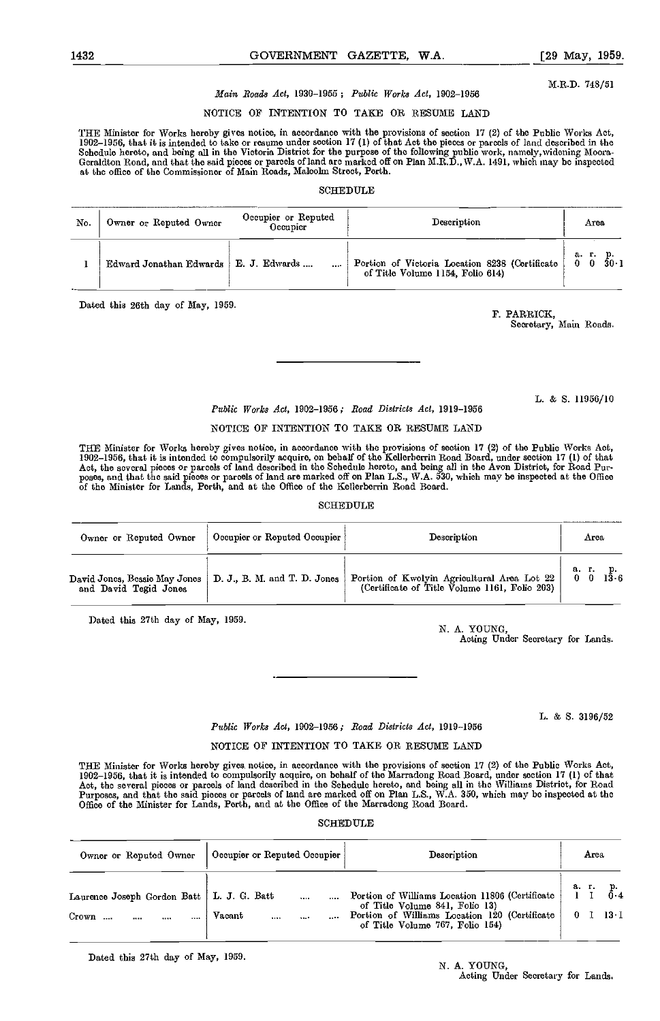M.R.D. 748/51

# Main Roads Act, 1930-1955; Public Works Act, 1902-1956

# NOTICE OF INTENTION TO TAKE OR RESUXE LAND

THE Minister for Works hereby gives notice, in accordance with the provisions of section 17 (2) of the Public Works Act,<br>1902–1956, that it is intended to take or resume under section 17 (1) of that Act the pieces or parce Schedule hereto, and being all in the Victoria District for the purpose of the following public work, namely,widening Moora-<br>Geraldton Road, and that the said pieces or parcels of land arc marked off on Plan M.R.D.,W.A. 14 at the office of the Commissioner of Main Roads, Malcolm Street, Perth.

### SCHEDULE

| No. | Owner or Reputed Owner  | Occupier or Reputed<br>Occupier | Description                                                                        | Area                                 |
|-----|-------------------------|---------------------------------|------------------------------------------------------------------------------------|--------------------------------------|
|     | Edward Jonathan Edwards | E. J. Edwards<br>$\cdots$       | Portion of Victoria Location 8238 (Certificate<br>of Title Volume 1154, Folio 614) | а. г.<br>$30 - 1$<br>$\Omega$<br>- 0 |

Dated this 26th day of May, 1959.

F. PARRICK,

Secretary, Main Roads.

L. & 5. 11956/10

# Public Works Act, 1902-1956; Road Districts Act, 1919-1956

# NOTICE OF INTENTION TO TAKE OR RESUME LAND

THE Minister for Works hereby gives notice, in accordance with the provisions of section 17 (2) of the Public Works Act, 1902–1956, that it is intended to compulsorily acquire, on behalf of the Kellerberrin Road Board, under section 17 (1) of that<br>Act, the several pieces or parcels of land described in the Schedule hereto, and being all in t

#### **SCHEDULE**

| Owner or Reputed Owner        | Occupier or Reputed Occupier | Description                                   | Агоа                      |
|-------------------------------|------------------------------|-----------------------------------------------|---------------------------|
| David Jones, Bessie May Jones | D. J., B. M. and T. D. Jones | Portion of Kwolyin Agricultural Area Lot 22   | 136                       |
| and David Tegid Jones         |                              | (Certificate of Title Volume 1161, Folio 203) | $\mathbf{0}$ $\mathbf{0}$ |

Dated this 27th day of May, 1959.

N. A. YOUNG,

Acting Under Secretary for Lands.

L. & S. 3196/52

# Public Works Act, 1902-1956; Road Districts Act, 1919-1956

### NOTICE OF INTENTION TO TAKE OR RESUME LAND

THE Minister for Works hereby gives notice, in accordance with the provisions of section 17 (2) of the Public Works Act, 1902–1956, that it is intended to compulsorily acquire, on behalf of the Marradong Road Board, under section 17 (1) of that<br>Act, the several pieces or parcels of land described in the Schedulc hereto, and being all in the Purposes, and that the said pieces or parcels of land are marked off on Plan L.S., WA. 350, which may be inspected at the Office of the Minister for Lands, Perth, and at the Office of the Marradong Road Board.

### **SCHEDULE**

| Owner or Reputed Owner                                       | Occupier or Reputed Occupier | Description                                                                                                                                                           | Агеа            |
|--------------------------------------------------------------|------------------------------|-----------------------------------------------------------------------------------------------------------------------------------------------------------------------|-----------------|
| Laurence Joseph Gordon Batt   L. J. G. Batt<br>Crown<br><br> | <br>Vacant<br>1.1.1<br>      | Portion of Williams Location 11806 (Certificate<br>of Title Volume 841, Folio 13)<br>Portion of Williams Location 120 (Certificate<br>of Title Volume 767, Folio 154) | а. г.<br>$13-1$ |

Dated this 27th day of May, 1959.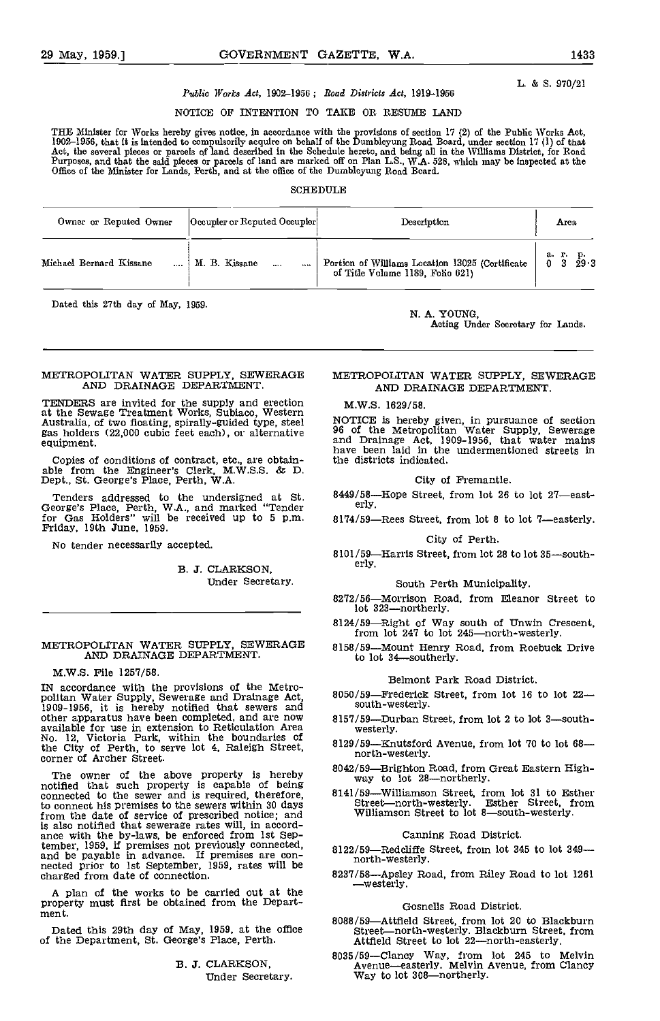L. & 5. 970/21

# Public Works Act, 1902-1956; Road Districts Act, 1919-1956

NOTICE OF INTENTION TO TAKE OR RESUME LAND

THE Minister for Works hereby gives notice, in accordance with the provisions of section 17 (2) of the Public Works Act,<br>1902–1956, that it is intended to compulsorily acquire on behalf of the Dumbleyung Road Board, under Act, the several pieces or parcels of land described in the Schedule hereto, and being all in the Williams District, for Road<br>Purposes, and that the said pieces or parcels of land are marked off on Plan L.S., W.A. 528, whi Office of the Minister for Lands, Perth, and at the office of the Dumbleyung Road Board.

#### SCHEDULE

| Owner or Reputed Owner  | Occupier or Reputed Occupier | Description                                                                         | Атеа.                                  |
|-------------------------|------------------------------|-------------------------------------------------------------------------------------|----------------------------------------|
| Michael Bernard Kissane | M. B. Kissane<br>$\cdots$    | Portion of Williams Location 13025 (Certificate<br>of Title Volume 1189, Folio 621) | а г.<br>р.<br>29 · 3<br>0 <sub>3</sub> |

Dated this 27th day of May, 1959. N. A. YOUNG,

Acting Under Secretary for Lands.

#### METROPOLITAN WATER SUPPLY, SEWERAGE AND DRAINAGE DEPARTMENT.

TENDERS are invited for the supply and erection M.V at the Sewage Treatment Works, Subiaco, Western Australia, of two floating, spirally-guided type, steel MOTI<br>gas holders (22,000 cubic feet each), or alternative 96 of equipment.

Copies of conditions of contract, etc., are obtain- able from the Engineer's Clerk, M.W.S.S. & D. Dept., St. George's Place, Perth, WA.

Tenders addressed to the undersigned at St. George's Place, Perth, WA., and marked "Tender for Gas Holders" will be received up to 5 p.m. FrIday, 19th June, 1959.

No tender necessarily accepted.

B. J. CLARKSON, Under Secretary.

#### METROPOLITAN WATER SUPPLY, SEWERAGE 8158/59 AND DRAINAGE DEPARTMENT.

#### M.W.S. File 1257/58.

IN accordance with the provisions of the Metro-<br>politan Water Supply, Sewerage and Drainage Act,  $8050/59-1909-1956$ , it is hereby notified that sewers and sout<br>other apparatus have been completed, and are now  $8157/59$ other apparatus have been completed, and are now available for use in extension to Reticulation Area<br>No. 12, Victoria Park, within the boundaries of the City of Perth, to serve lot 4, Raleigh Street, corner of Archer Street.

The owner of the above property is hereby  $\frac{8042}{100}$ <br>notified that such property is capable of being connected to the sewer and is required, therefore, 814<br>to connect his premises to the sewers within 30 days from the date of service of prescribed notice; and is also notified that sewerage rates will, in accord- ance with the by-laws, be enforced from 1st September, 1959, if premises not previously connected, and be payable in advance. If premises are con- nected prior to 1st September, 1959, rates will be charged from date of connection.

A plan of the works to be carried out at the  $\rule{1em}{0.15mm}$  westerly property must first be obtained from the Department.

Dated this 29th day of May, 1959, at the office of the Department, St. George's Place, Perth.

B. J. CLARKSON, Under Secretary.

# METROPOLITAN WATER SUPPLY, SEWERAGE AND DRAINAGE DEPARTMENT.

M.W.S. 1629/58.

NOTICE is hereby given, in pursuance of section 96 of the Metropolitan Water Supply, Sewerage and Drainage Act, 1909-1056, that water mains have been laid in the undermentioned streets in the districts indicated.

# City of Fremantle.

8449/58—Hope Street, from lot 26 to lot 27—east-erly.

8174/59-Rees Street, from lot 8 to lot 7-easterly.

#### City of Perth.

8101/59—Harris Street, from lot 28 to lot 35—south-erly.

#### South Perth Municipality.

- 8272/56—Morrison Road, from Eleanor Street to lot 323—northerly.
- 8124/59-Right of Way south of Unwin Crescent, from lot 247 to lot 245-north-westerly.
- 8158/59-Mount Henry Road, from Roebuck Drive to lot 34-southerly.

#### Belmont Park Road District.

- 8050/59-Frederick Street, from lot 16 to lot 22south-westerly.
- -Durban Street, from lot 2 to lot 3-southwesterly.
- 8129/59-Knutsford Avenue, from lot 70 to lot 68north-westerly.
- 8042/59—Brighton Road, from Great Eastern High-<br>way to lot 28—northerly.
- 8141/59—Williamson Street, from lot 31 to Esther<br>Street—north-westerly. Esther Street, from<br>Williamson Street to lot 8—south-westerly.

#### Canning Road District.

- 8122/59-Redcliffe Street, from lot 345 to lot 349north-westerly.
- 8237/58-Apsley Road, from Riley Road to lot 1261

#### Gosnells Road District.

- 8088/59—Attfield Street, from lot 20 to Blackburn<br>Street—north-westerly. Blackburn Street, from Attfield Street to lot 22-north-easterly.
- 8035/59-Clancy Way, from lot 245 to Melvin Avenue—easterly. Melvin Avenue, from Clancy<br>Way to lot 308—northerly.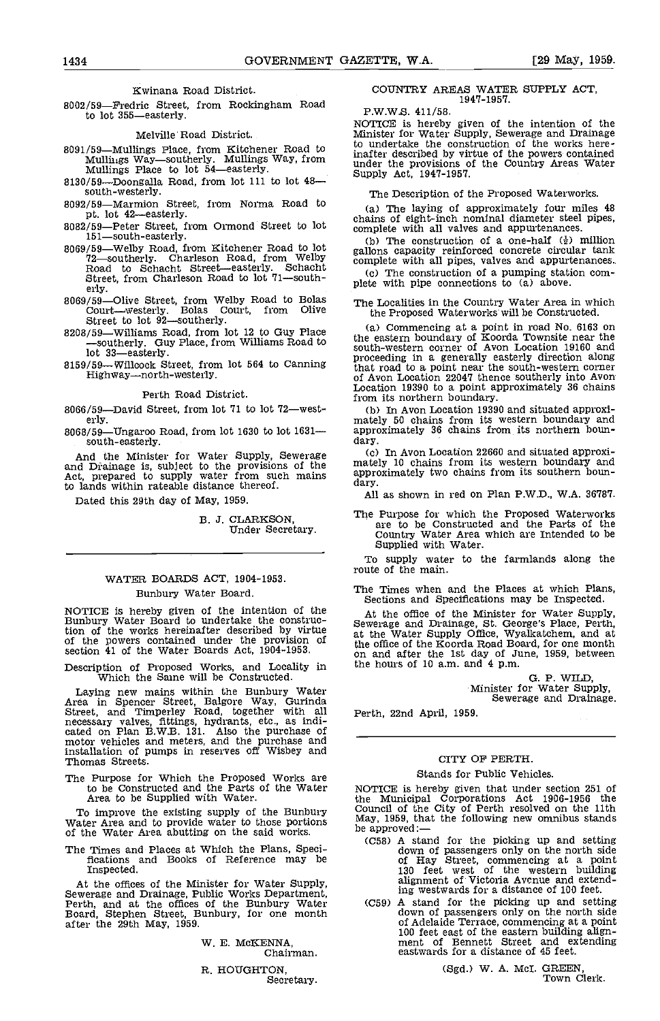Kwinana Road District.

8002/59-Fredric Street, from Rockingham Road to lot 355-easterly.

Melville Road District.

- 
- 
- 
- 
- 8069/59—Welby Road, from Kitchener Road to lot 72—southerly. Charleson Road, from Welby Road to Schacht Street—easterly. Schacht (c)<br>Road to Schacht Street—easterly. Schacht (c)<br>Street, from Charleson Road to lot 71—south-
- erly. 8069/59Olive Street, from Welby Road to Bolas Courtwesterly. Bolas Court, from Olive
- Street to lot 92—southerly.<br>8208/59—Williams Road, from lot 12 to Guy Place  $\begin{array}{c} \text{(a)} \\ \text{(b)} \end{array}$ 8208/59—Williams Road, from lot 12 to Guy Place —southerly. Guy Place, from Williams Road to lot 33—easterly.
- 

Perth Road District.

8066/59-David Street, from lot  $71$  to lot  $72$ -westerly.

 $8068/59$ —Ungaroo Road, from lot 1630 to lot 1631— approsouth-easterly day. south-easterly.

And the Minister for Water Supply, Sewerage (c)<br>and Drainage is, subject to the provisions of the matel<br>Act, prepared to supply water from such mains appro to lands within rateable distance thereof.

Dated this 29th day of May, 1959.

B. J. CLARKSON, Under Secretary.

# WATER BOARDS ACT, 1904-1953. Bunbury Water Board.

NOTICE is hereby given of the intention of the At<br>Bunbury Water Board to undertake the construc- Sewer tion of the works hereinafter described by virtue of the powers contained under the provision of the oscion 41 of the Water Boards Act, 1904-1953.

Description of Proposed Works, and Locality in Which the Same will be Constructed.

Laying new mains within the Bunbury Water Area in Spencer Street, Balgore Way, Gurinda Street, and Timperley Road, together with all necessary valves, fittings, hydrants, etc., as indi-<br>cated on Plan B.W.B. 131. Also the purchase of<br>motor vehicles and meters, and the purchase and installation of pumps in reserves off Wisbey and Thomas Streets.

The Purpose for Which the Proposed Works are to be Constructed and the Parts of the Water Area to be Supplied with Water.

To improve the existing supply of the Bunbury Council of the City of Perth resolved on the 11th Water Area and to provide water to those portions May, 1959, that the following new omnibus stands of the Water Area abutting

The Times and Places at Which the Plans, Speci- fications and Books of Reference may be Inspected,

At the offices of the Minister for Water Supply, Sewerage and Drainage, Public Works Department, Perth, and at the offices of the Bunbury Water Board, Stephen Street. Bunbury, for one month after the 29th May, 1959.

W. E. McICENNA, Chairman.

R. HOUGHTON, Secretary.

#### COUNTRY AREAS WATER SUPPLY ACT, 1947-1957.

P.W.W.S. 411/58.

8091/59—Mullings Place, from Kitchener Road to Mullings Waysoutherly. Mullings Way, from Mullings Waysoutherly. Mullings Way, from Mullings Place to lot 54—easterly.<br>8130/59—Doongalla Road, from lot 111 to lot 48—<br>8130/59 NOTICE is hereby given of the intention of the Minister for Water Supply, Sewerage and Drainage to undertake the construction of the works hereinafter described by virtue of the powers contained under the provisions of the Country Areas Water Supply Act, 1947-1957.

The Description of the Proposed Waterworks.

8092/59—Marmion Street, from Norma Road to pt. lot 42—easterly.<br>
pt. lot 42—easterly.<br>
8082/59—Peter Street, from Ormond Street to lot publies of eight-inch nominal diameter steel<br>
151—south-easterly.<br>
(b) The constructio The laying of approximately four miles 48 chains of eight-inch nominal diameter steel pipes,

(b) The construction of a one-half  $(\frac{1}{2})$  million gallons capacity reinforced concrete circular tank complete with all pipes, valves and appurtenances..

 $(c)$  The construction of a pumping station complete with pipe connections to  $(a)$  above.

The Localities in the Country Water Area in which the Proposed Waterworks will be Constructed.

8159/59—Willcock Street, from lot 564 to Canning Highway Highway—north-westerly.<br>Highway—north-westerly. 61 Aven Location 22047 thence southerly into Aven Commencing at a point in road No. 6163 on the eastern boundary of Koorda Townsite near the south-western corner of Avon Location 19160 and proceeding in a generally easterly direction along that road to a point near the south-western corner of Avon Location 22047 thence southerly into Avon Location 19390 to a point approximately 36 chains Location 19390 to a point approximately 36 chains<br>from its northern boundary.<br>(b) In Avon Location 19390 and situated approxi-

In Avon Location 19390 and situated approxi- mately 50 chains from its western boundary and approximately 36 chains from its northern boun-

dary.<br>Io In Avon Location 22660 and situated approxi- to In Avon Location 22660 and situated approxiapproximately two chains from its southern boun-<br>dary.

All as shown in red on Plan P.W.D., W.A. 36787.

The Purpose for which the Proposed Waterworks are to be Constructed and the Parts of the Country Water Area which are Intended to be Supplied with Water.

To supply water to the farmlands along the route of the main.

The Times when and the Places at which Plans, Sections and Specifications may be Inspected.

At the office of the Minister for Water Supply, Sewerage and Drainage, St. George's Place, Perth, at the Water Supply Office, Wyalkatchem, and at the office of the Koorda Road Board, for one month on and after the 1st day of June, 1959, between the hours of 10 a.m. and 4 p.m.

G. P. WILD,<br>Minister for Water Supply,<br>Sewerage and Drainage.

Perth, 22nd April, 1959.

#### CITY OF PERTH.

#### Stands for Public Vehicles.

NOTICE is hereby given that under section 251 of the Municipal Corporations Act 1906-1956 the Council of the City of Perth resolved on the 11th<br>May, 1959, that the following new omnibus stands<br>be approved: —<br>(C58) A stand for the picking up and setting

- down of passengers only on the north side of Hay Street, commencing at a point 130 feet west of the western building alignment of Victoria Avenue and extending westwards for a distance of 100 feet. A stand for the picking up and setting
- down of passengers only on the north side of Adelaide Terrace, commencing at a point 100 feet east of the eastern building align-<br>ment of Bennett Street and extending eastwards for a distance of 45 feet.

(Sgd.) W. A. McI. GREEN,<br>Town Clerk.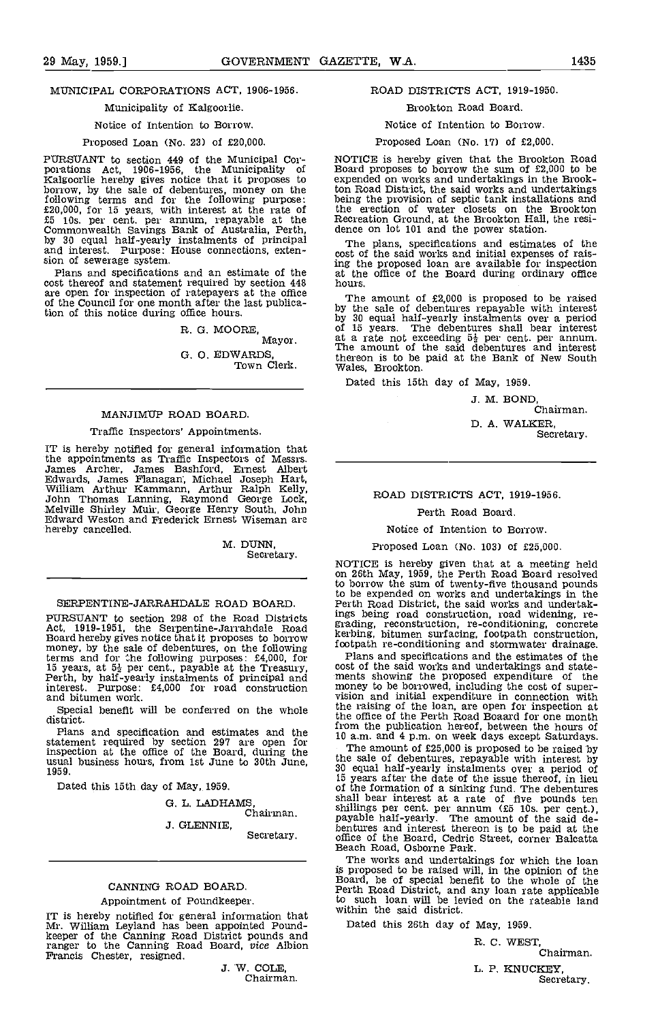# MUNICIPAL CORPORATIONS ACT, 1906-1956.

#### Municipality of Kalgoorlie.

# Notice of Intention to Borrow.

### Proposed Loan (No. 23) of £20,000.

PURSUANT to section 449 of the Municipal Cor- porations Act, 1906-1956, the Municipality of Kalgoorlie hereby gives notice that it proposes to borrow, by the sale of debentures, money on the following terms and for the following purpose:<br>f20,000, for 15 years, with interest at the rate of<br>f5 10s. per cent. per annum, repayable at the<br>Commonwealth Savings Bank of Australia, Perth,<br>by 30 equal half-yearly instal

cost thereof and statement required by section 448 are open for inspection of ratepayers at the office  $\overline{r}$  The amount of £2,000 is proposed to be raised of the Council for one month after the last publication of this notice during office hours,

R. G. MOORE,

Mayor.

G. 0. EDWARDS, Town Clerk.

#### MANJIMUP ROAD BOARD.

#### Traffic Inspectors' Appointments.

IT is hereby notified for general information that the appointments as Traffic Inspectors of Messrs. James Archer, James Eashford, Ernest Albert Edwards, James Flanagan, Michael Joseph Hart,<br>William Arthur Kammann, Arthur Ralph Kelly,<br>John Thomas Lanning, Raymond George Lock,<br>Melville Shirley Muir, George Henry South, John<br>Edward Weston and Frederick Ernest Wiseman hereby cancelled.

> M. DUNN, Secretary.

#### SERPENTINE-JARRAHDALE ROAD BOARD.

PURSUANT to section 298 of the Road Districts and Board hereby gives notice that it proposes to borrow and all the Board hereby gives notice that it proposes to borrow kerbing, by money, by the sale of debentures, on the f terms and for the following purposes:  $£4,000$ , for Plan 15 years, at  $5\frac{1}{2}$  per cent., payable at the Treasury, cost of perth, by half-yearly instalments of principal and ments interest. Purpose: £4,000 for road construction money and bitumen work.

Special benefit will be conferred on the whole district.

statement required by section 297 are open for inspection at the office of the Board, during the usual business hours, from 1st June to 30th June, usual business hours, from 1st June to 30th June,<br>1959.

Dated this 15th day of May, 1959.

G. L. LADHAMS, Chairman.

J. GLENNIE, Secretary.

#### CANNING ROAD BOARD

#### Appointment of Poundkeeper.

IT is hereby notified for general information that Michin<br>Mr. William Leyland has been appointed Pound- Date<br>keeper of the Canning Road District pounds and ranger to the Canning Road Board, vice Albion Francis Chester, resigned.

J. W. COLE, Chairman.

#### ROAD DISTRICTS ACT, 1919-1950.

#### Brookton Road Board.

### Notice of Intention to Borrow.

#### Proposed Loan (No. 17) of £2,000.

NOTICE is hereby given that the Brookton Road Board proposes to borrow the sum of £2,000 to be expended on works and undertakings in the Brookton Road District, the said works and undertakings being the provision of septic tank installations and the erection of water closets on the Brookton Recreation Ground, at the Brookton Hall, the resi- dence on lot 101 and the power station.

The plans, specifications and estimates of the cost of the said works and initial expenses of raising the proposed loan are available for inspection at the office of the Board during ordinary office hours.

The amount of £2,000 is proposed to be raised by the sale of debentures repayable with interest by 30 equal half-yearly instalments over a period of 15 years. The debentures shall bear interest at a rate not exceeding  $5\frac{1}{2}$  per cent. per annum. The amount of the said debentures and interest thereon is to be paid at the Bank of New South Wales, Brookton.

Dated this 15th day of May, 1959.

J. M. BOND, Chairman.

D. A. WALKER, Secretary.

## ROAD DISTRICTS ACT, 1919-1956.

Perth Road Board.

#### Notice of Intention to Borrow.

Proposed Loan (No. 103) of £25,000.

NOTICE is hereby given that at a meeting held on 26th May, 1959, the Perth Road Board resolved to borrow the sum of twenty-five thousand pounds to be expended on works and undertakings in the Perth Road District, the said works and undertakings being road construction, road widening, re- grading, reconstruction, re-conditioning, concrete kerbing, bitumen surfacing, footpath construction, footpath re-conditioning and stormwater drainage.

Plans and specifications and the estimates of the<br>cost of the said works and undertakings and state-<br>ments showing the proposed expenditure of the<br>money to be borrowed, including the cost of super-<br>vision and initial expen the raising of the loan, are open for inspection at the office of the Perth Road Boaard for one month from the publication hereof, between the hours of 10 a.m. and 4 p.m. on week days except Saturdays, Plans and specification and estimates and the 10 a.m. and 4 p.m. on week days except Saturdays.

The amount of £25,000 is proposed to be raised by the sale of debentures, repayable with interest by the sale of debentures, repayable with interest by 30 equal half-yearly instalments over a period of 15 years after the date of the issue thereof, in lieu of the formation of a sinking fund. The debentures shall bear interest at a rate of five pounds ten shillings per cent, per annum (£5 10s, per cent.), payable half-yearly. The amount of the said debentures and interest thereon is to be paid at the office of the Board, Cedric Street, corner Balcatta Beach Road, Osborne Park.

The works and undertakings for which the loan is proposed to be raised will, in the opinion of the Board, be of special benefit to the whole of the Perth Road District, and any loan rate applicable to such loan will be levied on the rateable land within the said district.

Dated this 26th day of May, 1959.

R. C. WEST, Chairman. L. P. KNUCKEY, Secretary.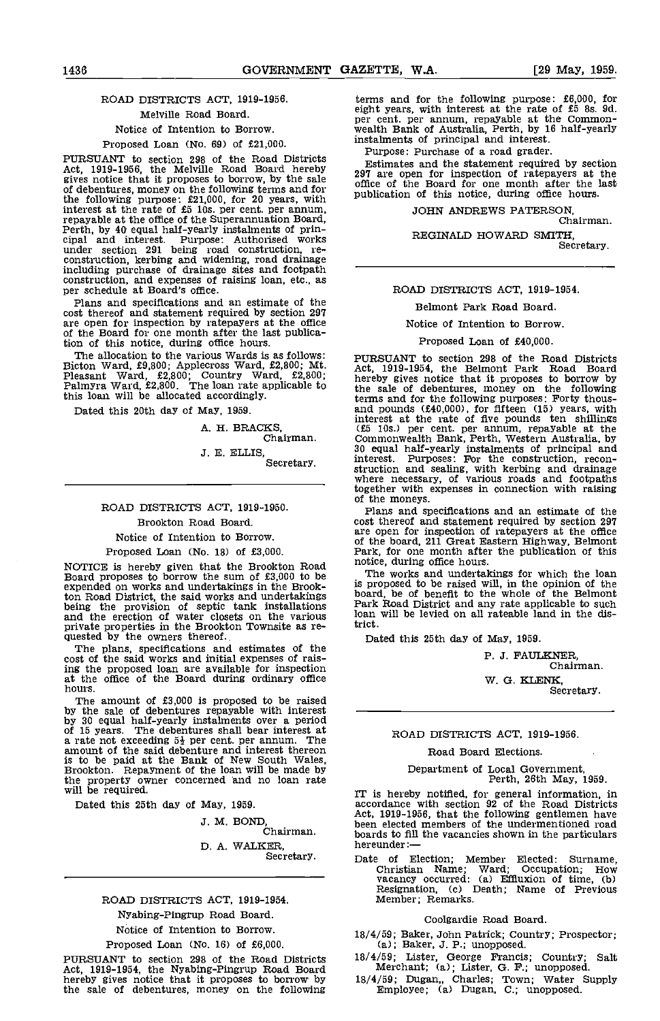# ROAD DISTRICTS ACT, 1919-1956. Melville Road Board.

# Notice of Intention to Borrow.

#### Proposed Loan (No. 69) of £21,000.

PURSUANT to section 298 of the Road Districts  $F_{R_2}$ Act, 1919-1956, the Melville Road Board hereby  $2.97\frac{\text{ESTI}}{2.97\frac{\text{SSTI}}{\text{SSTI}}}$ gives notice that it proposes to borrow, by the sale<br>of debentures, money on the following terms and for office the following purpose: f21,000, for 20 years, with<br>interest at the rate of f5 10s. per cent. per annum,<br>repayable at the office of the Superannuation Board,<br>Perth, by 40 equal half-yearly instalments of prin-<br>cipal and int under section 291 being road construction, re- construction, kerbing and widening, road drainage including purchase of drainage sites and footpath construction, and expenses of raising loan, etc., as per schedule at Board's office. Plans and specifications and an estimate of the

cost thereof and statement required by section 297 are open for inspection by ratepayers at the office are the Board for one month after the last publication of this notice, during office hours.

The allocation to the various Wards is as follows: PURE<br>Bicton Ward, £9,800; Applecross Ward, £2,800; Mt. Act,<br>Pleasant Ward, £2,800; Country Ward, £2,800; hereb<br>Palmyra Ward, £2,800. The loan rate applicable to the s this loan will be allocated accordingly.

Dated this 20th day of May, 1959.

A. H. BRACKS, Chairman.

3. E. ELLIS Secretary.

# ROAD DISTRICTS ACT, 1919-1950.

Brookton Road Board.

Notice of Intention to Borrow.

#### Proposed Loan (No. 18) of £3,000.

NOTICE is hereby given that the Brookton Road notice, during office hours.<br>Board proposes to borrow the sum of £3,000 to be The works and undertal expended on works and undertakings in the Brookton Road District, the said works and undertakings boar<br>being the provision of septic tank installations Park<br>and the erection of water closets on the various loan private properties in the Brookton Townsite as re-<br>quested by the owners thereof. The plans, specifications and estimates of the

The plans, specifications and estimates of the cost of the said works and initial expenses of raising the proposed loan are available for inspection at the office of the Board during ordinary office hours.

The amount of £3,000 is proposed to be raised<br>by the sale of debentures repayable with interest<br>by 30 equal half-yearly instalments over a period<br>of 15 years. The debentures shall bear interest at<br>rate not exceeding  $5\frac{$ Brookton. Repayment of the loan will be made by the property owner concerned and no loan rate will be required.

Dated this 25th day of May, 1959.

J. M. BOND,<br>Chairman. D. A. WALKER, Secretary.

## ROAD DISTRICTS ACT, 1919-1954.

#### Nyabing-Pingrup Road Board.

Notice of Intention to Borrow.

#### Proposed Loan (No. 16) of £6,000.

PURSUANT to section 298 of the Road Districts 18/ Act, 1919-1954, the Nyabing-Pingrup Road Board Monet by gives notice that it proposes to borrow by 18/4/5 the sale of debentures, money on the following

terms and for the following purpose:  $£6,000$ , for eight years, with interest at the rate of  $£5$  8s. 9d. eight years, with interest at the common-<br>wealth Bank of Australia, Perth, by 16 half-yearly instalments of principal and interest.

Purpose: Purchase of a road grader. Estimates and the statement required by section 297 are open for inspection of ratepayers at the office of the Board for one month after the last publication of this notice, during office hours.

JOHN ANDREWS PATERSON, Chairman.

REGINALD HOWARD SMITH, Secretary.

#### ROAD DISTRICTS ACT, 1919-1954.

#### Belmont Park Road Board.

#### Notice of Intention to Borrow.

#### Proposed Loan of £40,000.

PURSUANT to section 298 of the Road Districts Act, 1919-1954, the Belmont Park Road Board hereby gives notice that it proposes to borrow by the sale of debentures, money on the following terms and for the following purposes: Forty thous-<br>and pounds (£40,000), for fifteen (15) years, with interest at the rate of five pounds ten shillings (25 lOs.) per cent, per annum, repayable at the Commonwealth Bank, Perth, Western Australia, by 30 equal half-yearly instalments of principal and interest. Purposes: For the construction, recon- struction and sealing, with kerbing and drainage where necessary, of various roads and footpaths together with expenses In connection with raising of the moneys.

Plans and specifications and an estimate of the cost thereof and statement required by section 297 are open for inspection of ratepayers at the office of the board, 211 Great Eastern Highway, Belmont Park, for one month after the publication of this

The works and undertakings for which the loan is proposed to be raised will, in the opinion of the board, be of benefit to the whole of the Belmont Park Road District and any rate applicable to such loan will be levied on all rateable land in the district.

Dated this 25th day of May, 1959.

P. J. FAULKNER, Chairman.

W. G. KLENK, Secretary.

#### ROAD DISTRICTS ACT, 1919-1956.

#### Road Board Elections.

# Department of Local Government, Perth, 26th May, 1959.

IT is hereby notified, for general information, in accordance with section 92 of the Road Districts Act, 1919-1956, that the following gentlemen have been elected members of the undermentioned road been elected members of the undermentioned road boards to fill the vacancies shown in the particulars hereunder:—

Date of Election; Member Elected: Surname, Christian Name; Ward; Occupation; How vacancy occurred: (a) Effiuxion of time, (b) Resignation, (c) Death; Name of Previous Member; Remarks.

#### Coolgardie Road Board.

- 18/4/59; Baker, John Patrick; Country; Prospector; (a); Baker, 3. P.; unopposed.
- 18/4/59; Lister, George Francis; Country; Salt Merchant; (a); Lister, 0. F.; unopposed.
- 18/4/59; Dugan,, Charles; Town; Water Supply Employee; (a) Dugan, C.; unopposed.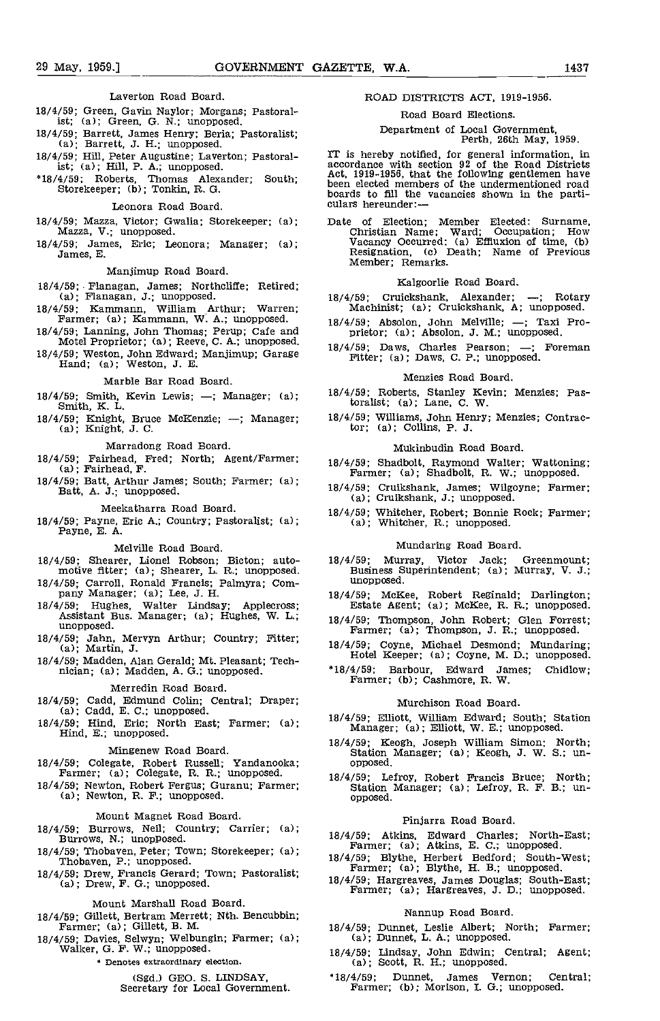Laverton Road Board.

- 18/4/59; Green, Gavin Naylor; Morgans; Pastoral- 1st; (a); Green, G. N.; unopposed.
- 18/4/59; Barrett, James Henry' Beria; Pastoralist; (a); Barrett, J. H.; unopposed.
- 18/4/59; Hill, Peter Augustine; Laverton; Pastoralist; (a); Hill, P. A.; unopposed.
- $18/4/59$ ; Roberts, Thomas Alexander; South; Storekeeper; (b); Tonkin, R. G.

#### Leonora Road Board.

- 18/4/59; Mazza, Victor; Gwalia; Storekeeper; (a); Mazza, V.; unopposed.
- 18/4/59; James, Eric; Leonora; Manager; (a); James, E.

#### Manjimup Road Board.

- 18/4/59; Flanagan, James; Northcliffe; Retired; (a); Flanagan, J.; unopposed.
- 18/4/59; Kammann, William Arthur; Warren; Farmer; (a); Kammann, W. A.; unopposed.
- 18/4/59; Lanning, John Thomas; Perup; Cafe and Motel Proprietor; (a); Reeve, C. A.; unopposed.
- 18/4/59; Weston, John Edward; Manjimup; Garage Hand; (a); Weston, J. E.

Marble Bar Road Board.

- 18/4/59; Smith, Kevin Lewis;  $-$ ; Manager; (a); Smith, K. L.
- 18/4/59; Knight, Bruce McKenzie; -; Manager; (a); Knight, J. C.

Marradong Road Board.

- 18/4/59; Fairhead, Fred; North; Agent/Farmer; (a); Fairhead,F.
- 18/4/59; Batt, Arthur James; South; Farmer; (a); Batt, A. J.; unopposed.

Meekatharra Road Board.

18/4/59; Payne, Eric A.; Country; Pastoralist; (a); Payne, E. A.

Melville Road Board.

- 18/4/59; shearer, Lionel Robson; Bicton; automotive fitter;  $(a)$ ; Shearer, L. R.; unopposed.
- 18/4/59; Carroll, Ronald Francis; Palmyra; Com- pany Manager; (a); Lee, J. H.
- 18/4/59; Hughes, Walter Lindsay; Applecross; Assistant Bus. Manager; (a); Hughes, W. L.; unopposed.
- 18/4/59; Jahn, Mervyn Arthur; Country; Fitter; (a); Martin, J.
- 18/4/59; Madden, Alan Gerald; Mt. Pleasant; Tech- nician; (a); Madden, A. G.; unopposed.

- Merredin Road Board.<br>18/4/59; Cadd, Edmund Colin; Central; Draper;
- 

Mingenew Road Board.

- 18/4/59; Colegate, Robert Russell; Yandanooka; Farmer; (a); Colegate, R. R.; unopposed.
- 18/4/59; Newton, Robert Fergus; Guranu' Farmer; (a); Newton, R. F.; unopposed.

Mount Magnet Road Board.

- 18/4/59; Burrows, Neil; Country; Carrier; (a); Burrows, N.; unopposed.
- 18/4/59; Thobaven, Peter; Town; Storekeeper; (a); Thobaven, P.; unopposed.
- 18/4/59; Drew, Francis Gerard; Town; Pastoralist; (a); Drew, F. G.; unopposed.

Mount Marshall Road Board.

- 18/4/59; Gillett, Bertram Merrett; Nth. Bencubbin; Farmer; (a); Gillett, B. M.
- 18/4/59; Davies, Selwyn; Welbungin; Farmer; (a); Walker, G. F. W.; unopposed.
	- Denotes extraordinary election.

(Sgd.) GEO. 5. LINDSAY, Secretary for Local Government.

### ROAD DISTRICTS ACT, 1919-1956.

## Road Board Elections.

# Department of Local Government, Perth, 26th May, 1959.

IT is hereby notified, for general information, in accordance with section 92 of the Road Districts Act, 1919-1956, that the following gentlemen have been elected members of the undermentioned road boards to fill the vacancies shown in the parti-<br>culars hereunder:—

Date of Election; Member Elected: Surname, Christian Name; Ward; Occupation; How Vacancy Occurred: (a) Effiuxion of time, (b) Resignation, (c) Death; Name of Previous Member; Remarks.

#### Kalgoorlie Road Board.

- 18/4/59; Cruickshank, Alexander; --; Rotary Machinist; (a); Cruickshank, A; unopposed.
- 18/4/59; Absolon, John Melville; -; Taxi Proprietor; (a); Absolon, J. M.; unopposed.
- 18/4/59; Daws, Charles Pearson; -; Foreman Fitter; (a); Daws, C. P.; unopposed.

#### Menzies Road Board.

- 18/4/59; Roberts, Stanley Kevin; Menzies; Paztoralist; (a); Lane, C. W.
- 18/4/59; Williams, John Henry; Menzies; Contrac-tor; (a); Collins, P. J.

#### Mukinbudin Road Board.

- 18/4/59; Shadbolt, Raymond Walter; Wattoning; Farmer; (a); Shadbolt, R. W.; unopposed.
- 18/4/59; Cruikshank, James; Wilgoyne; Farmer; (a); Cruikshank, J.; unopposed.
- 18/4/59; Whitcher, Robert; Bonnie Rock; Farmer; (a); Whitcher, R.; unopposed.

#### Mundaring Road Board.

- 18/4/59; Murray, Victor Jack; Greenmount; Business Superintendent; (a); Murray, V. J.; unopposed.
- 18/4/59; McKee, Robert Reginald; Darlington; Estate Agent; (a); McKee, R. R.; unopposed.
- 18/4/59; Thompson, John Robert; Glen Forrest; Farmer; (a); Thompson, J. R.; unopposed.
- 18/4/59; Coyne, Michael Desmond; Mundaring; Hotel Keeper; (a); Coyne, M. D.; unopposed.
- 18/4/59; Barbour, Edward James; Chidlow; Farmer; (b); Cashmore, R. W.

#### Murchison Road Board.

- (a); Cadd, E. C.; unopposed.<br>
18/4/59; Elliott, William Edward; South; Station<br>
Hind, E.; unopposed.<br>
18/4/59; Central; Calistic Manager; (a); Elliott, W. E.; unopposed.<br>
18/4/59; Keogh, Joseph William Simon; North; 18/4/59; Elliott, William Edward; South; Station Manager; (a); Elliott, W. E.; unopposed.
	- 18/4/59; Keogh, Joseph William Simon; North; Station Manager; (a); Keogh, J. W. S.; un- opposed.
	- 18/4/59; Lefroy, Robert Francis Bruce; North; Station Manager; (a); Lefroy, R. F. B.; un- opposed.

#### Pinjarra Road Board.

- 18/4/59; Atkins, Edward Charles; North-East; Farmer; (a); Atkins, E. C.; unopposed.
- 18/4/59; Blythe, Herbert Bedford; South-West; Farmer; (a); Blythe, H. B.; unopposed.
- 18/4/59; Hargreaves, James Douglas; South-East; Farmer; (a); Hargreaves, J. D.; unopposed.

#### Nannup Road Board.

- 18/4/59; Dunnet, Leslie Albert; North; Farmer; (a); Dunnet, L. A.; unopposed.
- 18/4/59; Lindsay, John Edwin; Central; Agent; (a); Scott, R. H.; unopposed.
- 18/4/59; Dunnet, James Vernon; Central; Farmer; (b); Morison, I. G.; unopposed.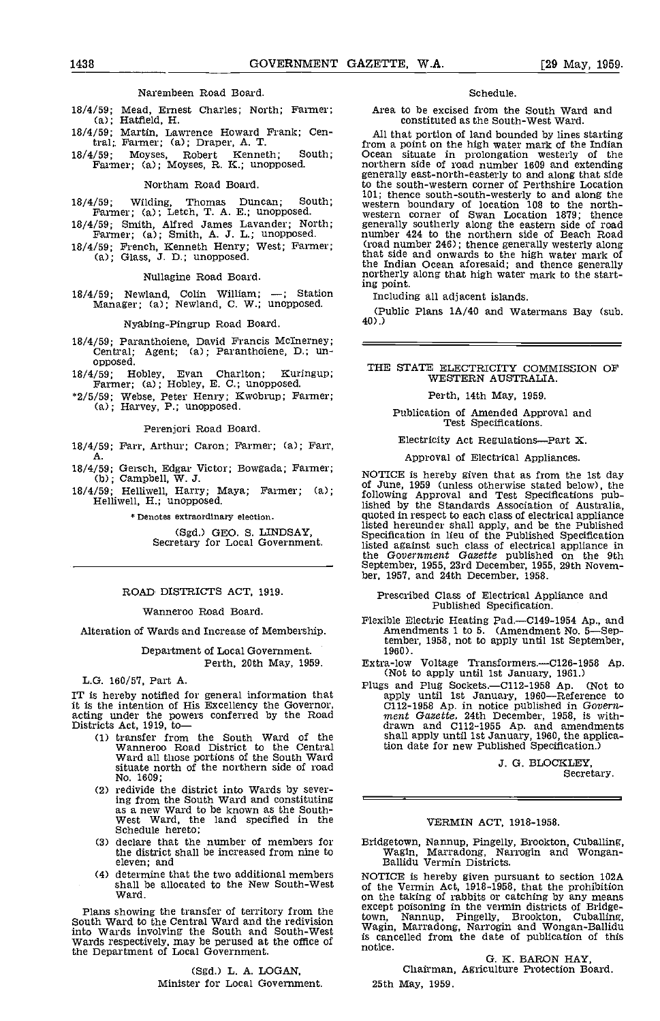### Narembeen Road Board.

- 18/4/59; Mead, Ernest Charles; North; Farmer; (a); Hatfield, H.
- 18/4/59; Martin, Lawrence Howard Frank; Cen-tral;, Farmer; (a); Draper, A. T.
- 18/4/59; Moyses, Robert Kenneth; South; Farmer; (a); Moyses, R. K.; unopposed.

#### Northam Road Board.

18/4/59; Wilding, Thomas Duncan; South; Farmer; (a); Letch, T. A. E.; unopposed. 18/4/59; Smith, Alfred James Lavander; North; Farmer; (a); Smith, A. J. L.; unopposed.

18/4/59; French, Kenneth Henry; West; Farmer; (a); Glass, J. 0.; unopposed.

Nullagine Road Board.

 $18/4/59$ ; Newland, Colin William;  $-$ ; Station  $\frac{1}{100}$ Manager; (a); Newland, C. W.; unopposed.

#### Nyabing-Pingrup Road Board.

18/4/59; Paranthoiene, David Francis Mclnerney; Central; Agent, (a); Paranthoiene, ID.; unopposed.

18/4/59; Hobley, Evan Charlton; Kuringup; Farmer; (a); Hobley, E. C.; unopposed.

\*2/5/59; Webse, Peter Henry; Kwobrup; Farmer; (a); Harvey, P.; unopposed.

#### Perenjori Road Board.

18/4/59; Farr, Arthur; Caron; Farmer; (a); Farr, A.

- 18/4/59; Gersch, Edgar Victor; Bowgada; Farmer;<br>(b); Campbell, W. J.  $\frac{C}{L}$  of line 1959 (uples otherwise stand below) the
- 18/4/59; Hehliwell, Harry; Maya; Farmer; (a); Helliwell, H.; unopposed.

\* Denotes extraordinary election.

(Sgd.) GEO. S. LINDSAY, Secretary for Local Government.

#### ROAD DISTRICTS ACT, 1919.

#### Wanneroo Road Board.

Alteration of Wards and Increase of Membership.

Department of Local Government, Perth, 20th May, 1959.

#### L.G. 160/57, Part A.

IT is hereby notified for general information that it is the intention of His Excellency the Governor,  $\overline{C}$ ; acting under the powers conferred by the Road  $\overline{m}$ <br>Districts Act, 1919, to — dr

- transfer from the South Ward of the Wanneroo Road District to the Central Ward all those portions of the South Ward situate north of the northern side of road No. 1609;
- redivide the district into Wards by severing from the South Ward and constituting<br>as a new Ward to be known as the South-<br>West Ward, the land specified in the<br>Schedule hereto; Schedule hereto;<br>(3) declare that the number of members for
- the district shall be increased from nine to eleven; and
- determine that the two additional members shall be allocated to the New South-West Ward.

Plans showing the transfer of territory from the  $\frac{\text{excep}}{\text{South}}$ <br>South Ward to the Central Ward and the redivision  $\frac{\text{town}}{\text{Wa}}$ into Wards involving the South and South-West<br>Wards respectively, may be perused at the office of is the Department of Local Government.

#### (Sgd.) L. A. LOGAN, Minister for Local Govermnent.

### Schedule.

Area to be excised from the South Ward and constituted as the South-West Ward.

All that portion of land bounded by lines starting from a point on the high water mark of the Indian Ocean situate in prolongation westerly of the northern side of road number 1609 and extending generally east-north-easterly to and along that side to the south-western corner of Perthshire Location 101; thence south-south-westerly to and along the western boundary of location 108 to the north- western corner of Swan Location 1879; thence generally southerly along the eastern side of road number 424 to the northern side of Beach Road (road number 246); thence generally westerly along that side and onwards to the high water mark of the Indian Ocean aforesaid; and thence generally northerly along that high water mark to the starting point.

Including all adjacent islands.

(Public Plans  $1A/40$  and Watermans Bay (sub. 40).

#### THE STATE ELECTRICITY COMMISSION OF WESTERN AUSTRALIA.

Perth, 14th May, 1959.

Publication of Amended Approval and Test Specifications.

Electricity Act Regulations-Part X.

Approval of Electrical Appliances.

NOTICE is hereby given that as from the 1st day of June 1959 (unless otherwise stated below), the following Approval and Test Specifications published by the Standards Association of Australia quoted in respect to each class of electrical appliance listed hereunder shall apply, and be the Published Specification in lieu of the Published Specification listed against such class of electrical appliance in the Government Gazette published on the 9th September, 1955, 23rd December, 1955, 29th Novem- ber, 1957, and 24th December, 1958.

- Prescribed Class of Electrical Appliance and Published Specification.
- Flexible Electric Heating Pad.—C149-1954 Ap., and Amendments 1 to 5. (Amendment No. 5—September, 1958, not to apply until 1st September, 1960).
- Extra-low Voltage Transformers.—Cl26-1958 Ap.<br>(Not to apply until 1st January, 1961.)
- Plugs and Plug Sockets.—C112-1958 Ap. (Not to apply until 1st January, 1960—Reference to C112-1958 Ap. in notice published in *Govern-* ment Gazette. 24th December, 1958, is with- drawn and C112-1955 Ap. and amendments shall apply until 1st January, 1960, the application date for new Published Specification.)

J. G. BLOCKLEY,

Secretary.

#### VERMIN ACT, 1918-1958.

Bridgetown, Nannup, Pingelly, Brookton, Cubalhing, Wagin, Marradong, Narrogin and Wongan- Balhidu Vermin Districts.

NOTICE is hereby given pursuant to section 102A of the Vermin Act, 1918-1958, that the prohibition on the taking of rabbits or catching by any means except poisoning in the vermin districts of Bridgetown, Nannup, Pingelly, Brookton, Cubalhing, Wagin, Marradong, Narrogin and Wongan-Bahlidu is cancelled from the date of publication of this notice.

G. K. BARON HAY,<br>Chairman, Agriculture Protection Board. 25th May, 1959.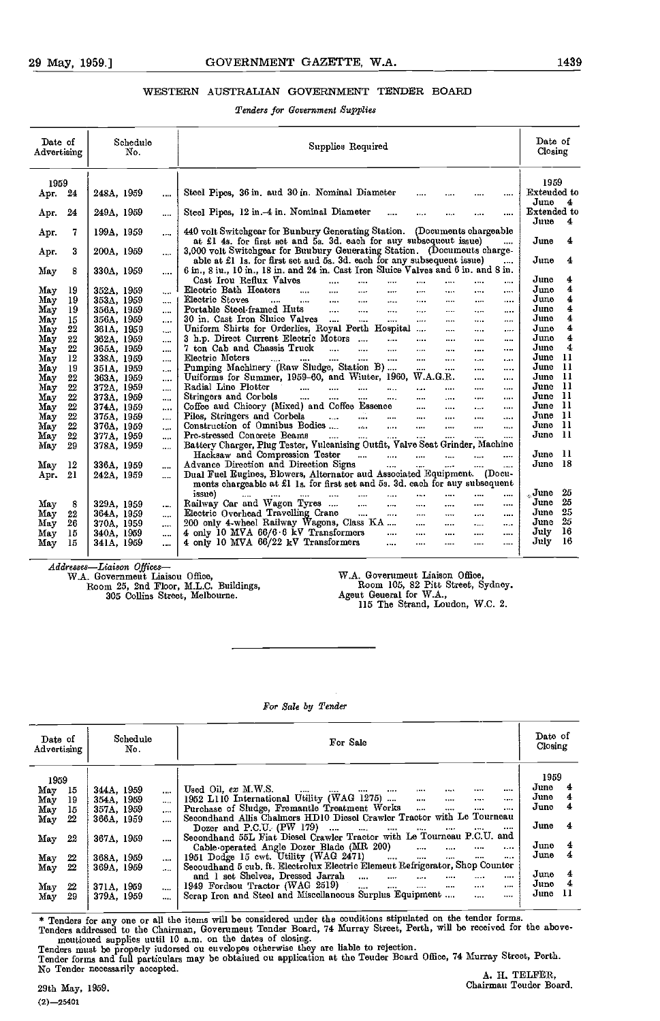### WESTERN AUSTRALIAN GOVERNMENT TENDER BOARD

### Tenders for Government Supplies

| Date of<br>Advertising |         | Schedule<br>No. |           | Supplies Required                                                                                                                                     | Date of<br>Closing                             |
|------------------------|---------|-----------------|-----------|-------------------------------------------------------------------------------------------------------------------------------------------------------|------------------------------------------------|
| 1959                   |         | 248A, 1959      |           | Steel Pipes, 36 in. aud 30 in. Nominal Diameter                                                                                                       | 1959<br>Extended to                            |
| Apr. 24                |         |                 | $\cdots$  | $\cdots$<br>$\cdots$                                                                                                                                  | June 4                                         |
| Арг.                   | 24      | 249A, 1959      |           | Steel Pipes, 12 in.-4 in. Nominal Diameter<br>$\cdots$<br><br>$\cdots$<br>                                                                            | Extended to<br>Juue<br>$\overline{\mathbf{4}}$ |
| Арг.                   | 7       | 199A, 1959      | $\cdots$  | 440 volt Switchgear for Bunbury Generating Station. (Documents chargeable                                                                             |                                                |
|                        |         |                 |           | at £1 4s. for first set and 5s. 3d. each for auy subsequeut issue)                                                                                    | 4<br>June                                      |
| Арг.                   | 3       | 200A, 1959      |           | 3,000 volt Switchgear for Buubury Geuerating Station. (Documeuts charge-                                                                              |                                                |
|                        |         |                 |           | able at £1 1s. for first set aud 5s. 3d. each for any subsequent issue)<br>$\cdots$                                                                   | June<br>4                                      |
| May                    | 8       | 330A, 1959      |           | 6 in., 8 iu., 10 in., 18 in. and 24 in. Cast Iron Sluice Valves and 6 in. and 8 in.                                                                   |                                                |
|                        |         |                 |           | Cast Irou Reflux Valves<br>$\cdots$<br>$\cdots$<br>$\cdots$<br>$\cdots$<br>$\cdots$<br>$\cdots$<br>$\cdots$                                           | 4<br>June                                      |
| May                    | 19      | 352A, 1959      | $\ddotsc$ | Electric Bath Heaters<br>$\ldots$<br>$\cdots$<br>$\sim$ $\sim$<br>$\cdots$<br>1.111<br>$\cdots$<br>$\cdots$<br>$\cdots$                               | 4<br>June                                      |
| May                    | 19      | 353A, 1959      | $\cdots$  | Electric Stoves<br>$\sim 10^{-10}$<br>and the state of the state of the<br>$\cdots$<br>$\sim 100$<br><b>TABLE</b><br>$\cdots$<br>$\cdots$<br>$\cdots$ | June<br>4                                      |
| $\rm{M}$ a $\rm{v}$    | 19      | 356A, 1959      | $\cdots$  | Portable Steel-framed Huts<br>$\sim$<br>$\sim$ .<br>$\cdots$<br>$\cdots$<br>$\cdots$<br>$\sim$ 0.00 $\pm$                                             | 4<br>June                                      |
| Mav                    | 15      | 356A, 1959      | $\cdots$  | 30 in. Cast Iron Sluice Valves<br>$\cdots$<br>$\sim$ $\sim$<br><br>$\cdots$<br>$\cdots$                                                               | 4<br>June                                      |
| May                    | $^{22}$ | 361A, 1959      | $\cdots$  | Uniform Shirts for Orderlies, Royal Perth Hospital<br><br><br>$\cdots$                                                                                | 4<br>$_{\rm June}$                             |
| May                    | 22      | 362A, 1959      |           | 3 h.p. Direct Current Electric Motors<br>$\cdots$<br>$\cdots$<br><br><br>$\cdots$                                                                     | 4<br>June                                      |
| May                    | 22      | 365A, 1959      |           | 7 ton Cab and Chassis Truck<br>$\cdots$ $\cdots$ $\cdots$<br>$\cdots$<br>$\cdots$<br>$\cdots$<br>$\cdots$<br>                                         | 4<br>June                                      |
| May                    | 12      | 338A, 1959      | $\cdots$  | Electric Meters<br>$\ldots$ . $\ldots$<br><br><b>Sales</b><br>$\cdots$<br>sales and<br>$\sim 100$ km s $^{-1}$<br>$\cdots$<br>$\cdots$                | June 11                                        |
| May                    | 19      | 351A, 1959      | $\cdots$  | Pumping Machinery (Raw Sludge, Station B)<br>$\cdots$<br>$\cdots$<br>$\cdots$<br>$\cdots$                                                             | - 11<br>June                                   |
| May                    | 22      | 363A, 1959      | $\cdots$  | Uuiforms for Summer, 1959-60, and Wiuter, 1960, W.A.G.R.<br>$\cdots$<br>$\cdots$                                                                      | June 11                                        |
| May                    | 22      | 372A, 1959      | $\cdots$  | Radial Line Plotter<br>$\mathbf{r}$ and $\mathbf{r}$<br>$\cdots$<br>$\cdots$<br>1.11<br>$\cdots$                                                      | June 11                                        |
| May                    | 22      | 373A, 1959      | $\cdots$  | Stringers and Corbels<br>and the<br>$\sim 100$ km s $^{-1}$<br>$\cdots$<br><b>Service</b> Contract<br>$\cdots$<br>$\cdots$<br>$\cdots$<br>$\cdots$    | June 11                                        |
| May                    | 22      | 374A, 1959      | $\cdots$  | Coffee aud Chicory (Mixed) and Coffee Essence<br>$\cdots$<br>$\cdots$<br>$\cdots$<br>$\cdots$                                                         | June 11                                        |
| May                    | $22\,$  | 375A, 1959      | $\sim$    | المستحقق المتناول<br>Piles, Stringers and Corbels<br>$\sim 10^{-10}$<br>$\cdots$<br>$\cdots$<br>$\sim$                                                | June 11                                        |
| May                    | $22\,$  | 376A, 1959      | $\cdots$  | Construction of Omnibus Bodies<br><b>Sales Contract</b><br>$\cdots$<br>$\cdots$<br>$\cdots$                                                           | - 11<br>June                                   |
| May                    | 22      | 377A, 1959      |           | Prc-stressed Concrete Beams<br>$\cdots$<br>$\cdots$<br>$\cdots$<br>$\sim$ 100 $\mu$<br>$\cdots$<br><br>                                               | - 11<br>June                                   |
| May                    | 29      | 378A, 1959      | $\cdots$  | Battery Charger, Plug Tester, Vulcanising Outfit, Valve Seat Grinder, Machine                                                                         |                                                |
|                        |         |                 |           | Hacksaw and Compression Tester<br>$\cdots$ $\cdots$<br>$\ddotsc$<br>$\sim$ $\sim$ $\sim$<br>$\cdots$<br>$\cdots$                                      | June 11                                        |
| May                    | 12      | 336A, 1959      |           | Advance Direction and Direction Signs<br>$\cdots$<br>1.0000<br>$\cdots$                                                                               | June 18                                        |
| Apr.                   | 21      | 242A, 1959      |           | Dual Fuel Eugines, Blowers, Alternator aud Associated Equipment. (Docu-                                                                               |                                                |
|                        |         |                 |           | ments chargeable at £1 1s. for first set and 5s. 3d. each for auy subsequent                                                                          |                                                |
|                        |         |                 |           | issue)<br>$\cdots$<br>$\cdots$<br>$\sim$<br>$\sim$ $\sim$<br>$\cdots$<br>$\cdots$                                                                     | 25<br>June                                     |
| May                    | 8       | 329A, 1959      |           | Railway Car and Wagon Tyres<br>$\sim 10^{-1}$<br>$\sim 10^{-11}$<br>$\cdots$<br>$\cdots$<br>$\cdots$<br>$\cdots$                                      | 25<br>June                                     |
| May                    | 22      | 364A, 1959      | $\cdots$  | Electric Overhead Travelling Crane<br><b>Service</b> Contractor<br>$\cdots$<br>$\sim$ - $\sim$<br>$\cdots$                                            | 25<br>June                                     |
| May                    | 26      | 370A, 1959      | $\cdots$  | 200 only 4-wheel Railway Wagons, Class KA<br>$\cdots$<br>$\cdots$<br>$\cdots$<br>$\cdots$                                                             | 25<br>June                                     |
| May                    | 15      | 340A, 1959      |           | 4 only 10 MVA 66/6.6 kV Transformers<br>$\cdots$<br>$\cdots$<br>$\cdots$<br>$\cdots$<br>$\cdots$                                                      | 16<br>July                                     |
| May                    | 15      | 341A, 1959      |           | $\cdots$<br>4 only 10 MVA 66/22 kV Transformers<br>$\cdots$<br>$\cdots$<br>$\cdots$<br>$\cdots$                                                       | - 16<br>July                                   |
|                        |         |                 |           |                                                                                                                                                       |                                                |

Addresses-Liaison Offices-W.A. Government Liaison Office, Room 25, 2nd Floor, M.L.C. Buildings,

305 Collins Street, Melbourne.

W.A. Government Liaison Office,<br>Room 105, 82 Pitt Street, Sydney.<br>Agent General for W.A.,<br>115 The Strand, Loudon, W.C. 2.

# For Sale by Tender

| Date of<br>Closing |         | Schedule<br>For Sale<br>No. |          |                      |                                               |                                                                              |                       |          |  | Date of<br>Advertising |    |      |
|--------------------|---------|-----------------------------|----------|----------------------|-----------------------------------------------|------------------------------------------------------------------------------|-----------------------|----------|--|------------------------|----|------|
|                    | 1959    |                             |          |                      |                                               |                                                                              |                       |          |  |                        |    | 1959 |
| 4                  | June    |                             |          |                      | $\cdots$                                      | $\cdots$<br>$\cdots$                                                         | Used Oil. $ex$ M.W.S. | $\cdots$ |  | 344A, 1959             | 15 | May  |
| 4                  | June    | $\cdots$                    | $\cdots$ | $\sim$<br>$\cdots$   |                                               | 1952 L110 International Utility (WAG 1275)                                   |                       | $\cdots$ |  | 354A, 1959             | 19 | May  |
| 4                  | June    | $\cdots$                    |          | $\sim$<br>$\cdots$   |                                               | Purchase of Sludge, Fremantle Treatment Works                                |                       |          |  | 357A, 1959             | 15 | May  |
|                    |         |                             |          |                      |                                               | Secondhand Allis Chalmers HD10 Diesel Crawler Tractor with Le Tourneau       |                       |          |  | 366A, 1959             | 22 | May  |
|                    | June 4  |                             |          | 1.111<br>$\cdots$    | <b>Contract Contract Contract</b><br>$\cdots$ | Dozer and P.C.U. $(PW 179)$                                                  |                       |          |  |                        |    |      |
|                    |         |                             |          |                      |                                               | Secondhand 55L Fiat Diesel Crawler Tractor with Le Tourneau P.C.U. and       |                       |          |  | 367A, 1959             | 22 | May  |
|                    | June 4  | $\cdots$                    | $\cdots$ | $\sim$ 100 $\sim$    |                                               | Cable-operated Angle Dozer Blade (MR 200)                                    |                       |          |  |                        |    |      |
| 4                  | June    | $\cdots$                    |          | $\cdots$             |                                               | 1951 Dodge 15 cwt. Utility (WAG 2471)                                        |                       |          |  | 368A, 1959             | 22 | May  |
|                    |         |                             |          |                      |                                               | Secoudhand 5 cub. ft. Electrolux Electric Element Refrigerator, Shop Counter |                       |          |  | 369A, 1959             | 22 | May  |
| - 4                | June    |                             | $\cdots$ | $\cdots$             | $\cdots$<br>$\cdots$                          | and 1 set Shelves, Dressed Jarrah                                            |                       |          |  |                        |    |      |
| $\overline{4}$     | June    | $\cdots$                    | $\cdots$ | $\cdots$<br>$\cdots$ | <b>Service</b> Contractor                     | 1949 Fordsou Tractor (WAG 2519)                                              |                       |          |  | 371A, 1959             | 22 | Max  |
|                    | June 11 |                             |          |                      |                                               | Scrap Iron and Steel and Miscellaneous Surplus Equipment                     |                       | $\cdots$ |  | 379A, 1959             | 29 | May  |

\* Tenders for any one or all the items will be considered under the couditions stipulated on the tender forms.<br>Tenders addressed to the Chairman, Government Tender Board, 74 Murray Street, Perth, will be received for the a

meutioued supplies uutil 10 a.m. on the dates of closing.<br>Tenders must be properly iudorsed ou euvelopes otherwise they are liable to rejection.<br>Tender forms and full particulars may be obtaiued ou application at the Teude No Tender necessarily accepted. A H TELFER, No Tender necessarily accepted.<br>
29th May, 1959. Chairman Tender Board.<br>
Chairman Tender Board.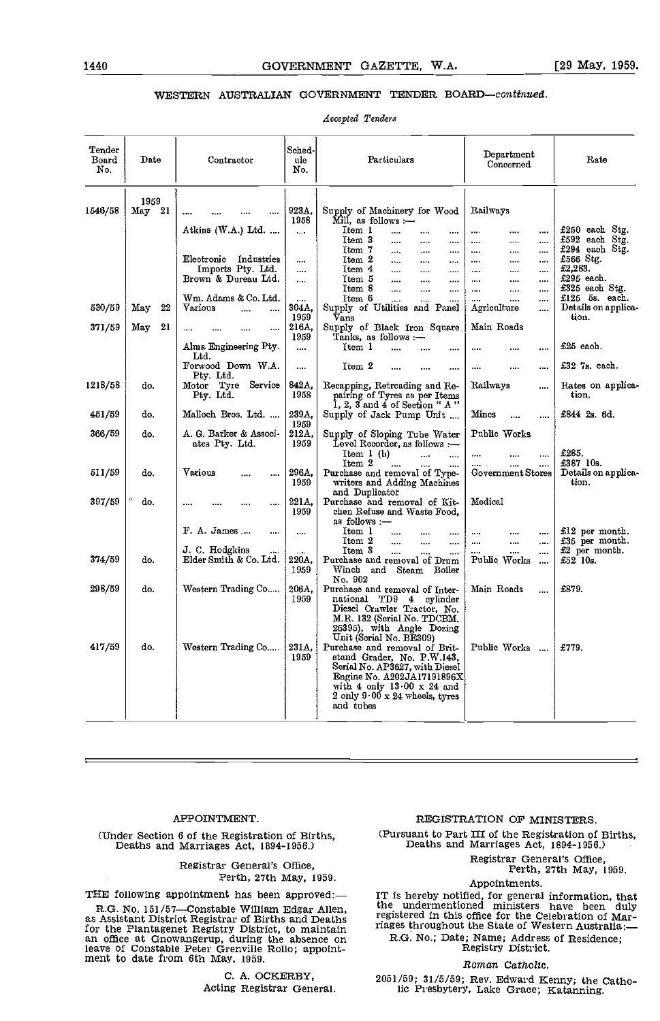# WESTERN AUSTRALIAN GOVERNMENT TENDER BOARD-continued.

Accepted Tenders

| Sched-<br>${\bf Tender}$<br>Department<br>Particulars<br>Board<br>Date<br>Rate<br>Contractor<br>ule<br>Concerned<br>No.<br>No.<br>1959<br>1546/58<br>May 21<br>923A,<br>Supply of Machinery for Wood<br>Railways<br>1958<br>Mill. as follows :-<br>Atkins (W.A.) Ltd.<br>Item 1<br><br><br><br><br><br>$\cdots$<br><br>Item 3<br><br><br>$\cdots$<br>$\cdots$<br>$\cdots$<br><br>Item 7<br><br><br><br><br><br>$\cdots$<br>Electronic<br>Industries<br>Item 2<br>£566 Stg.<br>$\cdots$<br><br><br><br>$\cdots$<br><br>$\cdots$<br>£2.283.<br>Imports Pty. Ltd.<br>Item 4<br><br><br>$\cdots$<br><br>$\cdots$<br>$\cdots$<br><br>£295 each.<br>Brown & Dureau Ltd.<br>Item 5<br>$\cdots$<br>$\cdots$<br>$\cdots$<br><br><br><br>$\cdots$<br>Item 8<br>.<br><br>$\ddotsc$<br><br><br>$\cdots$<br>$\cdots$<br>Wm. Adams & Co. Ltd.<br>Ttem 6<br>.<br>$\cdots$<br>$\cdots$<br>$\cdots$<br>$\cdots$<br>Supply of Utilities and Panel<br>530/59<br>22<br>Various<br>304A,<br>May<br>Agriculture<br>$\ddotsc$<br>$\cdots$<br><br>tion.<br>1959<br>Vans<br>21<br>216A.<br>Main Roads<br>371/59<br>May<br>Supply of Black Iron Square<br>$\cdots$<br>$\cdots$<br>$\cdots$<br>Tanks, as follows :—<br>1959<br>£25 each.<br>Alma Engineering Pty.<br>Item 1<br><br><br><br>$\cdots$<br><br>Ltd.<br>Forwood Down W.A.<br>Item 2<br>$£327s.$ each.<br><br><br><br><br>Pty. Ltd.<br>Motor Tyre Service<br>842A,<br>1218/58<br>Railways<br>Recapping, Retreading and Re-<br>do.<br><br>1958<br>pairing of Tyres as per Items<br>tion.<br>Pty. Ltd.<br>1, 2, 3 and 4 of Section " A "<br>239A.<br>£844 2s. 6d.<br>451/59<br>Malloch Bros. Ltd.<br>Mines<br>do.<br>Supply of Jack Pump Unit<br>$\cdots$<br>1959<br>366/59<br>A. G. Barker & Associ-<br>212A,<br>Public Works<br>do.<br>Supply of Sloping Tube Water<br>ates Pty. Ltd.<br>1959<br>Level Recorder, as follows :-<br>£285.<br>Item 1 (b)<br>$\cdots$<br>$\cdots$<br>$\cdots$<br>Item 2<br>£387 10s.<br>$\cdots$<br>$\cdots$<br>296A,<br>511/59<br>Various<br>Government Stores<br>do.<br>Purchase and removal of Type-<br><br>tion.<br>1959<br>writers and Adding Machines<br>and Duplicator<br>221A,<br>Medical<br>397/59<br>do.<br>Purchase and removal of Kit-<br><br><br>1959<br>chen Refuse and Waste Food.<br>as follows :—<br>F. A. James<br>Item 1<br><br><br>$\cdots$<br><br>$\cdots$<br><br><br>Item 2<br>$\cdots$<br>$\cdots$<br><br>$\cdots$<br>$\cdots$<br>$\cdots$<br>J. C. Hodgkins<br>Item 3<br>$£2$ per month.<br>$\cdots$<br><br><br>$\cdots$<br>374/59<br>Elder Smith & Co. Ltd.<br>220A,<br>Purchase and removal of Drum<br>Public Works<br>$£52$ 10s.<br>do.<br>$\cdots$<br>1959<br>Winch and Steam Boiler<br>No. 902<br>298/59<br>£879.<br>Western Trading Co<br>206A,<br>Main Roads<br>do.<br>Purchase and removal of Inter-<br>$\ddotsc$<br>1959<br>national TD9 4 cylinder<br>Diesel Crawler Tractor, No.<br>M.R. 132 (Serial No. TDCBM.<br>26395), with Angle Dozing<br>Unit (Serial No. BE309)<br>417/59<br>Western Trading Co<br>do.<br>231A,<br>Purchase and removal of Brit-<br>Public Works<br>£779.<br>1959<br>stand Grader, No. P.W.143.<br>Serial No. AP3627, with Diesel<br>Engine No. A202JA17191896X<br>with 4 only $13.00 \times 24$ and |  |  |                                       |                                                         |
|----------------------------------------------------------------------------------------------------------------------------------------------------------------------------------------------------------------------------------------------------------------------------------------------------------------------------------------------------------------------------------------------------------------------------------------------------------------------------------------------------------------------------------------------------------------------------------------------------------------------------------------------------------------------------------------------------------------------------------------------------------------------------------------------------------------------------------------------------------------------------------------------------------------------------------------------------------------------------------------------------------------------------------------------------------------------------------------------------------------------------------------------------------------------------------------------------------------------------------------------------------------------------------------------------------------------------------------------------------------------------------------------------------------------------------------------------------------------------------------------------------------------------------------------------------------------------------------------------------------------------------------------------------------------------------------------------------------------------------------------------------------------------------------------------------------------------------------------------------------------------------------------------------------------------------------------------------------------------------------------------------------------------------------------------------------------------------------------------------------------------------------------------------------------------------------------------------------------------------------------------------------------------------------------------------------------------------------------------------------------------------------------------------------------------------------------------------------------------------------------------------------------------------------------------------------------------------------------------------------------------------------------------------------------------------------------------------------------------------------------------------------------------------------------------------------------------------------------------------------------------------------------------------------------------------------------------------------------------------------------------------------------------------------------------------------------------------------------------------------------------------------------------------------------------------------------------------------------------|--|--|---------------------------------------|---------------------------------------------------------|
|                                                                                                                                                                                                                                                                                                                                                                                                                                                                                                                                                                                                                                                                                                                                                                                                                                                                                                                                                                                                                                                                                                                                                                                                                                                                                                                                                                                                                                                                                                                                                                                                                                                                                                                                                                                                                                                                                                                                                                                                                                                                                                                                                                                                                                                                                                                                                                                                                                                                                                                                                                                                                                                                                                                                                                                                                                                                                                                                                                                                                                                                                                                                                                                                                            |  |  |                                       |                                                         |
|                                                                                                                                                                                                                                                                                                                                                                                                                                                                                                                                                                                                                                                                                                                                                                                                                                                                                                                                                                                                                                                                                                                                                                                                                                                                                                                                                                                                                                                                                                                                                                                                                                                                                                                                                                                                                                                                                                                                                                                                                                                                                                                                                                                                                                                                                                                                                                                                                                                                                                                                                                                                                                                                                                                                                                                                                                                                                                                                                                                                                                                                                                                                                                                                                            |  |  |                                       | $£250$ each $Stg$ .<br>£592 each Stg.<br>£294 each Stg. |
|                                                                                                                                                                                                                                                                                                                                                                                                                                                                                                                                                                                                                                                                                                                                                                                                                                                                                                                                                                                                                                                                                                                                                                                                                                                                                                                                                                                                                                                                                                                                                                                                                                                                                                                                                                                                                                                                                                                                                                                                                                                                                                                                                                                                                                                                                                                                                                                                                                                                                                                                                                                                                                                                                                                                                                                                                                                                                                                                                                                                                                                                                                                                                                                                                            |  |  |                                       | £325 each Stg.                                          |
|                                                                                                                                                                                                                                                                                                                                                                                                                                                                                                                                                                                                                                                                                                                                                                                                                                                                                                                                                                                                                                                                                                                                                                                                                                                                                                                                                                                                                                                                                                                                                                                                                                                                                                                                                                                                                                                                                                                                                                                                                                                                                                                                                                                                                                                                                                                                                                                                                                                                                                                                                                                                                                                                                                                                                                                                                                                                                                                                                                                                                                                                                                                                                                                                                            |  |  |                                       | $£125$ $5s$ each.<br>Details on applica-                |
|                                                                                                                                                                                                                                                                                                                                                                                                                                                                                                                                                                                                                                                                                                                                                                                                                                                                                                                                                                                                                                                                                                                                                                                                                                                                                                                                                                                                                                                                                                                                                                                                                                                                                                                                                                                                                                                                                                                                                                                                                                                                                                                                                                                                                                                                                                                                                                                                                                                                                                                                                                                                                                                                                                                                                                                                                                                                                                                                                                                                                                                                                                                                                                                                                            |  |  |                                       |                                                         |
|                                                                                                                                                                                                                                                                                                                                                                                                                                                                                                                                                                                                                                                                                                                                                                                                                                                                                                                                                                                                                                                                                                                                                                                                                                                                                                                                                                                                                                                                                                                                                                                                                                                                                                                                                                                                                                                                                                                                                                                                                                                                                                                                                                                                                                                                                                                                                                                                                                                                                                                                                                                                                                                                                                                                                                                                                                                                                                                                                                                                                                                                                                                                                                                                                            |  |  |                                       |                                                         |
|                                                                                                                                                                                                                                                                                                                                                                                                                                                                                                                                                                                                                                                                                                                                                                                                                                                                                                                                                                                                                                                                                                                                                                                                                                                                                                                                                                                                                                                                                                                                                                                                                                                                                                                                                                                                                                                                                                                                                                                                                                                                                                                                                                                                                                                                                                                                                                                                                                                                                                                                                                                                                                                                                                                                                                                                                                                                                                                                                                                                                                                                                                                                                                                                                            |  |  |                                       | Rates on applica-                                       |
|                                                                                                                                                                                                                                                                                                                                                                                                                                                                                                                                                                                                                                                                                                                                                                                                                                                                                                                                                                                                                                                                                                                                                                                                                                                                                                                                                                                                                                                                                                                                                                                                                                                                                                                                                                                                                                                                                                                                                                                                                                                                                                                                                                                                                                                                                                                                                                                                                                                                                                                                                                                                                                                                                                                                                                                                                                                                                                                                                                                                                                                                                                                                                                                                                            |  |  |                                       |                                                         |
|                                                                                                                                                                                                                                                                                                                                                                                                                                                                                                                                                                                                                                                                                                                                                                                                                                                                                                                                                                                                                                                                                                                                                                                                                                                                                                                                                                                                                                                                                                                                                                                                                                                                                                                                                                                                                                                                                                                                                                                                                                                                                                                                                                                                                                                                                                                                                                                                                                                                                                                                                                                                                                                                                                                                                                                                                                                                                                                                                                                                                                                                                                                                                                                                                            |  |  |                                       |                                                         |
|                                                                                                                                                                                                                                                                                                                                                                                                                                                                                                                                                                                                                                                                                                                                                                                                                                                                                                                                                                                                                                                                                                                                                                                                                                                                                                                                                                                                                                                                                                                                                                                                                                                                                                                                                                                                                                                                                                                                                                                                                                                                                                                                                                                                                                                                                                                                                                                                                                                                                                                                                                                                                                                                                                                                                                                                                                                                                                                                                                                                                                                                                                                                                                                                                            |  |  |                                       | Details on applica-                                     |
|                                                                                                                                                                                                                                                                                                                                                                                                                                                                                                                                                                                                                                                                                                                                                                                                                                                                                                                                                                                                                                                                                                                                                                                                                                                                                                                                                                                                                                                                                                                                                                                                                                                                                                                                                                                                                                                                                                                                                                                                                                                                                                                                                                                                                                                                                                                                                                                                                                                                                                                                                                                                                                                                                                                                                                                                                                                                                                                                                                                                                                                                                                                                                                                                                            |  |  |                                       |                                                         |
|                                                                                                                                                                                                                                                                                                                                                                                                                                                                                                                                                                                                                                                                                                                                                                                                                                                                                                                                                                                                                                                                                                                                                                                                                                                                                                                                                                                                                                                                                                                                                                                                                                                                                                                                                                                                                                                                                                                                                                                                                                                                                                                                                                                                                                                                                                                                                                                                                                                                                                                                                                                                                                                                                                                                                                                                                                                                                                                                                                                                                                                                                                                                                                                                                            |  |  |                                       | $£12$ per month.<br>£35 per month.                      |
|                                                                                                                                                                                                                                                                                                                                                                                                                                                                                                                                                                                                                                                                                                                                                                                                                                                                                                                                                                                                                                                                                                                                                                                                                                                                                                                                                                                                                                                                                                                                                                                                                                                                                                                                                                                                                                                                                                                                                                                                                                                                                                                                                                                                                                                                                                                                                                                                                                                                                                                                                                                                                                                                                                                                                                                                                                                                                                                                                                                                                                                                                                                                                                                                                            |  |  |                                       |                                                         |
|                                                                                                                                                                                                                                                                                                                                                                                                                                                                                                                                                                                                                                                                                                                                                                                                                                                                                                                                                                                                                                                                                                                                                                                                                                                                                                                                                                                                                                                                                                                                                                                                                                                                                                                                                                                                                                                                                                                                                                                                                                                                                                                                                                                                                                                                                                                                                                                                                                                                                                                                                                                                                                                                                                                                                                                                                                                                                                                                                                                                                                                                                                                                                                                                                            |  |  |                                       |                                                         |
| and tubes                                                                                                                                                                                                                                                                                                                                                                                                                                                                                                                                                                                                                                                                                                                                                                                                                                                                                                                                                                                                                                                                                                                                                                                                                                                                                                                                                                                                                                                                                                                                                                                                                                                                                                                                                                                                                                                                                                                                                                                                                                                                                                                                                                                                                                                                                                                                                                                                                                                                                                                                                                                                                                                                                                                                                                                                                                                                                                                                                                                                                                                                                                                                                                                                                  |  |  | 2 only $9.00 \times 24$ wheels, tyres |                                                         |

#### APPOINTMENT.

(Under Section 6 of the Registration of Births, Deaths and Marriages Act, 1894-1956.)

#### Registrar General's Office, Perth, 27th May, 1959.

THE following appointment has been approved:-

R.G. No. 151/57—Constable William Edgar Allen, as Assistant District Registrar of Births and Deaths for the Plantagenet Registry District, to maintain an office at Gnowangerup, during the absence on R.C. leave of Constable Peter Grenville Rollo; appoint- ment to date from 6th May, 1959.

> C. A. OCKERBY, Acting Registrar General.

# REGISTRATION OF MINISTERS.

(Pursuant to Part III of the Registration of Births, Deaths and Marriages Act, 1894-1956.)

Registrar General's Office, Perth, 27th May, 1959.

# Appointments.

IT is hereby notified, for general information, that the undermentioned ministers have been duly registered in this office for the Celebration of Mar-<br>riages throughout the State of Western Australia:— R.G. No.; Date; Name; Address of Residence;<br>Registry District.

#### Roman Catholic.

2051/59; 31/5/59; Rev. Edward Kenny; the Catholic Presbytery, Lake Grace; Katanning.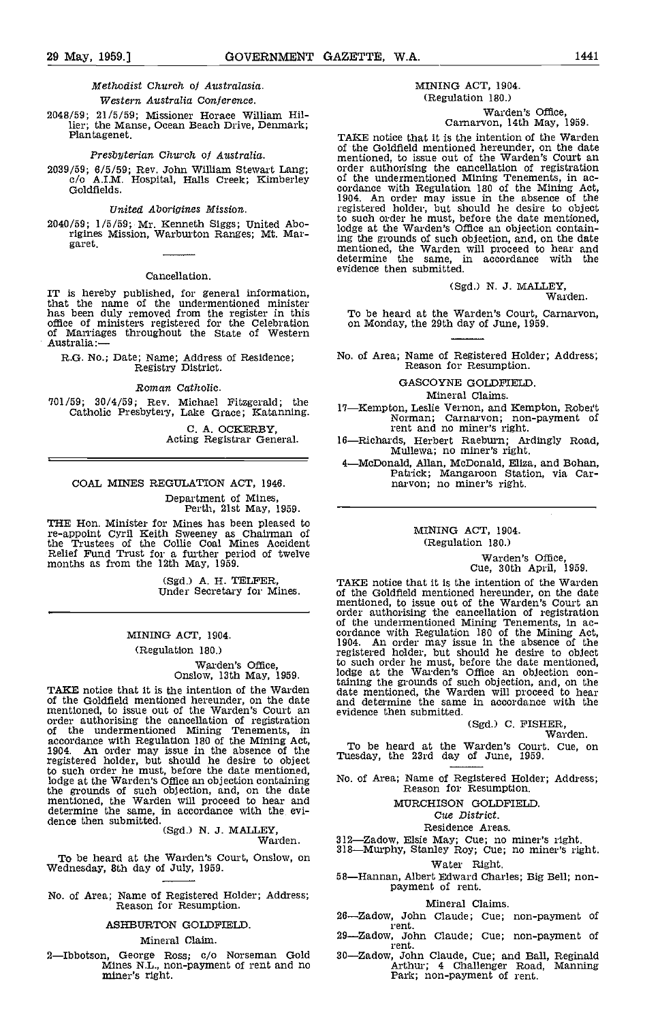### Methodist Church of Australasia. Western Australia Conference.

2048/59; 21/5/59; Missioner Horace William Hillier; the Manse, Ocean Beach Drive, Denmark; Plantagenet.

#### Presbyterian Church of Australia.

#### United Aborigines Mission.

2040/59; 1/5/59; Mr. Kenneth Siggs; United Aborigines Mission, Warburton Ranges; Mt. Margaret.

#### Cancellation.

IT is hereby published, for general information, that the name of the undermentioned minister has been duly removed from the register in this To b office of ministers registered for the Celebration on M<br>of Marriages throughout the State of Western Australia:-

R.G. No.; Date; Name; Address of Residence; Registry District.

Roman Catholic.

701/59; 30/4/59; Rev. Michael Fitzgerald; the Catholic Presbytery, Lake Grace; ICatanning.

C. A. OCKERBY,<br>Acting Registrar General.

#### COAL MINES REGULATION ACT, 1946.

Department of Mines, Perth, 21st May, 1959.

THE Hon. Minister for Mines has been pleased to re-appoint Cyril Keith Sweeney as Chairman of the Trustees of the Collie Coal Mines Accident Relief Fund Trust for a further period of twelve months as from the 12th May, 1959.

(Sgd.) A. H. TELFER, Under Secretary for Mines.

#### MINING ACT, 1904.

(Regulation 180.)

# Warden's Office, Onslow, 13th May, 1959.

TAKE notice that it is the intention of the Warden of the Goldfield mentioned hereunder, on the date and definementioned, to issue out of the Warden's Court an order authorising the cancellation of registration of the undermentioned Mining Tenements, in accordance with Regulation 180 of the Mining Act, 1904. An order may issue in the absence of the 1911 registered holder, but should he desire to object to such order he must, before the date mentioned,<br>lodge at the Warden's Office an objection containing No. of<br>the grounds of such objection, and, on the date<br>mentioned, the Warden will proceed to hear and determine the same in accordance with the date<br>mentioned, the Warden will proceed to hear and<br>determine the same, in accordance with the evi-<br>dence then submitted.

(Sgd.) N. J. MALLEY, Warden.

To be heard at the Warden's Court, Onslow, on Wednesday, 8th day of July. 1959.

No. of Area; Name of Registered Holder; Address; Reason for Resumption.

#### ASIIBURTON GOLDPIELD

# Mineral Claim.

2-Ibbotson, George Ross; c/o Norseman Gold 30-Za Mines N.L., non-payment of rent and no miner's right.

# MINING ACT, 1904. (Regulation 180.)

# Warden's Office, Carnarvon, 14th May, 1959.

2039/59; 6/5/59; Rev. John William Stewart Lang; e/o all morising the cancellation of registration c/o A.I.M. Hospital, Halls Creek; Kimberley of the undermentioned Mining Tenements, in according the cancellation 180 of th TAKE notice that it is the intention of the Warden of the Goldfleld mentioned hereunder, on the date mentioned, to issue out of the Warden's Court an order authorising the cancellation of registration of the undermentioned Mining Tenements, in ac- cordance with Regulation 180 of the Mining Act, 1904. An order may issue in the absence of the registered holder, but should he desire to object to such order he must, before the date mentioned, lodge at the Warden's Office an objection containing the grounds of such objection, and, on the date mentioned, the Warden will proceed to hear and determine the same, in accordance with the evidence then submitted.

(Sgd.) N. J. MALLEY,<br>Warden.

To be heard at the Warden's Court, Carnarvon, on Monday, the 29th day of June 1959.

No. of Area; Name of Registered Holder; Address; Reason for Resumption.

#### GASCOYNE GOLDFIELD.

Mineral Claims.

17—Kempton, Leslie Vernon, and Kempton, Robert<br>Norman; Carnarvon; non-payment of<br>rent and no miner's right.

- 16-Richards, Herbert Raeburn; Ardingly Road, Mullewa; no miner's right.
- 4McDonald, Allan, McDonald, Eliza, and Bohan, Patrick; Mangaroon Station, via Car- narvon; no miner's right.

#### MINING ACT, 1904. (Regulation 180.)

Warden's Office, Cue, 30th April, 1959.

TAKE notice that it is the intention of the Warden of the Goldfleld mentioned hereunder, on the date mentioned, to issue out of the Warden's Court an order authorising the cancellation of registration of the undermentioned Mining Tenements, in ac- cordance with Regulation 180 of the Mining Act, 1904. An order may issue in the absence of the registered holder, but should he desire to object to such order he must, before the date mentioned, lodge at the Warden's Office an objection containing the grounds of such objection, and on the date mentioned, the Warden will proceed to hear and determine the same in accordance with the evidence then submitted.

# (Sgd.) C. FISHER, Warden.

To be heard at the Warden's Court. Cue, on Tuesday, the 23rd day of June, 1959.

No. of Area; Name of Registered Holder; Address; Reason for Resumption.

#### MURCHISON GOLDPIELD

#### Cue District.

Residence Areas.<br>212—Zadow, Elsie May; Cue; no miner's right.

318 Murphy, Stanley Roy; Cue; no miner's right. Water Right.

58—Hannan, Albert Edward Charles; Big Bell; non-<br>payment of rent.

#### Mineral Claims.

- 26-Zadow, John Claude; Cue; non-payment of i ent.
- 29-Zadow, John Claude; Cue; non-payment of rent.
- 30—Zadow, John Claude, Cue; and Ball, Reginald Arthur; 4 Challenger Road, Manning Park; non-payment of rent.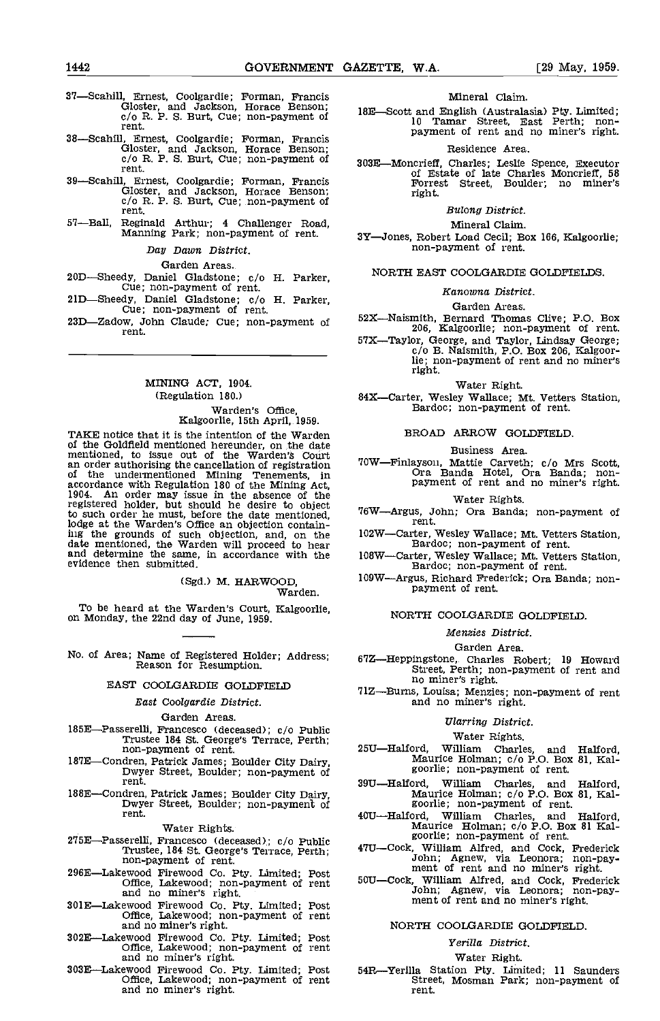- 37—Scahill, Ernest, Coolgardie; Forman, Francis<br>
Gloster, and Jackson, Horace Benson;<br>
c/o R. P. S. Burt, Cue; non-payment of<br>
rent.
- 38—Scahill, Ernest, Coolgardie; Forman, Francis<br>Gloster, and Jackson, Horace Benson;<br>c/o R. P. S. Burt, Cue; non-payment of 3031 rent.
- 39—Scahill, Ernest, Coolgardie; Forman, Francis<br>
Gloster, and Jackson, Horace Benson;<br>
c/o R. P. S. Burt, Cue; non-payment of<br>
rent.
- 57—Ball, Reginald Arthur; 4 Challenger Road, Manning Park; non-payment of rent.

#### Day Dawn District.

- Garden Areas.<br>20D—Sheedy, Daniel Gladstone; c/o H. Parker,
- 21D—Sheedy, Daniel Gladstone; c/o H. Parker, Cue; non-payment of rent.<br>23D—Zadow, John Claude; Cue; non-payment of rent.
- 23D-Zadow, John Claude; Cue; non-payment of

# MINING ACT, 1904. (Regulation 180.) Warden's Office, Kalgoorlie, 15th April, 1959.

TAKE notice that it is the intention of the Warden of the Goldfield mentioned hereunder, on the date mentioned, to issue out of the Warden's Court an order authorising the cancellation of registration of the undermentioned Mining Tenements, in accordance with Regulation 180 of the Mining Act, 1904. An order may issue in the absence of the registered holder, but should he desire to object  $_{\text{refM}}$ to such order he must, before the date mentioned, lodge at the Warden's Office an objection containing the grounds of such objection, and, on the date mentioned, the Warden will proceed to hear and determine the same, in accordance with the evidence then submitted.

(Sgd.) M. HARWOOD, Warden.

To be heard at the Warden's Court, Kalgoorlie, on Monday, the 22nd day of June, 1959.

No. of Area; Name of Registered Holder; Address; Reason for Resumption.

#### EAST COOLGARDIE GOLDFIELD

## East Coolgardie District.

#### Garden Areas.

- 185E-Passerelli, Francesco (deceased); c/o Public Trustee 184 St. George's Terrace, Perth; non-payment of rent.
- rent.
- 188E-Condren, Patrick James; Boulder City Dairy, Dwyer Street, Boulder; non-payment of rent.

Water Rights.

- 275E-Passerelli, Francesco (deceased); c/o Public Trustee, 184 St. George's Terrace, Perth;<br>non-payment of rent.
- 296E—Lakewood Firewood Co. Pty. Limited; Post Office, Lakewood; non-payment of rent and no miner's right.
- 3OlELakewood Firewood Co. Pty. Limited; Post Office, Lakewood; non-payment of rent and no miner's right.
- and no miner's right.<br>302E—Lakewood Firewood Co. Pty. Limited; Post<br>Office, Lakewood; non-payment of rent<br>and no miner's right.
- 303ELakewood Firewood Co. Pty. Limited; Post Office, Lakewood; non-payment of rent and no miner's right.

#### Mineral Claim.

18E—Scott and English (Australasia) Pty. Limited;<br>10 Tamar Street, East Perth; nonpayment of rent and no miner's right.

#### Residence Area.

303E-Moncrieff, Charles; Leslie Spence, Executor of Estate of late Charles Moncrieff, 58<br>Forrest Street, Boulder; no miner's right.

#### Bulong District.

Mineral Claim.

3Y-Jones, Robert Load Cecil; Box 166, Kalgoorlie; non-payment of rent.

#### NORTH EAST COOLGARDIE GOLDFIELDS.

#### Kanowna District.

#### Garden Areas.

52X-Naismith, Bernard Thomas Clive; P.O. Box 206, Kalgoorlie; non-payment of rent.

57X-Taylor, George, and Taylor, Lindsay George; c/o B. Naismith, P.O. Box 206, Kalgoorlie; non-payment of rent and no miner's right.

Water Right.

84X-Carter, Wesley Wallace; Mt. Vetters Station, Bardoc; non-payment of rent.

#### BROAD ARROW GOLDFIELD

#### Business Area.

70WFinlayson, Mattie Carveth; c/o Mrs Scott, Ora Banda Hotel, Ora Banda; non- payment of rent and no miner's right.

Water Rights.<br>76W—Argus, John; Ora Banda; non-payment of rent.

102W-Carter, Wesley Wallace; Mt. Vetters Station, Bardoc; non-payment of rent.

- 108W-Carter, Wesley Wallace; Mt. Vetters Station, Bardoc; non-payment of rent.
- 109WArgus, Richard Frederick; Ora Banda; non- payment of rent.

#### NORTh COOLGARDIE GOLDFIELD.

#### Menzies District.

#### Garden Area.

- 67Z—Heppingstone, Charles Robert; 19 Howard Street, Perth; non-payment of rent and no miner's right.
- 71Z-Burns, Louisa; Menzies; non-payment of rent and no miner's right.

#### Ularring District.

- Water Rights.<br>25U—Halford, William Charles, and Halford,<br>Maurice Holman; c/o P.O. Box 81, Kal-<br>goorlie; non-payment of rent.
- 187E—Condren, Patrick James; Boulder City Dairy, Maurice Holman; c/o P.O. Box 81, Kal-<br>Dwyer Street, Boulder; non-payment of<br>188E—Condren, Patrick James; Boulder City Dairy, Dwyer Street, Boulder; non-payment of<br>Dwyer Stre
	- 39U—Halford, William Charles, and Halford, Maurice Holman; c/o P.O. Box 81 Kalport goorlie; non-payment of rent. 40UHalford,  $\frac{1}{2}$
	- 47U—Cock, William Alfred, and Cock, Frederick<br>John; Agnew, via Leonora; non-pay-<br>ment of rent and no miner's right.<br>50U—Cock, William Alfred, and Cock, Frederick
	- 50U-Cock, William Alfred, and Cock, Frederick John; Agnew, via Leonora; non-pay-<br>ment of rent and no miner's right.

#### NORTH COOLGARDIE GOLDFIELD.

# Yerilla District.

Water Right.<br>54R—Yerilla Station Pty. Limited; 11 Saunders Street, Mosman Park; non-payment of rent.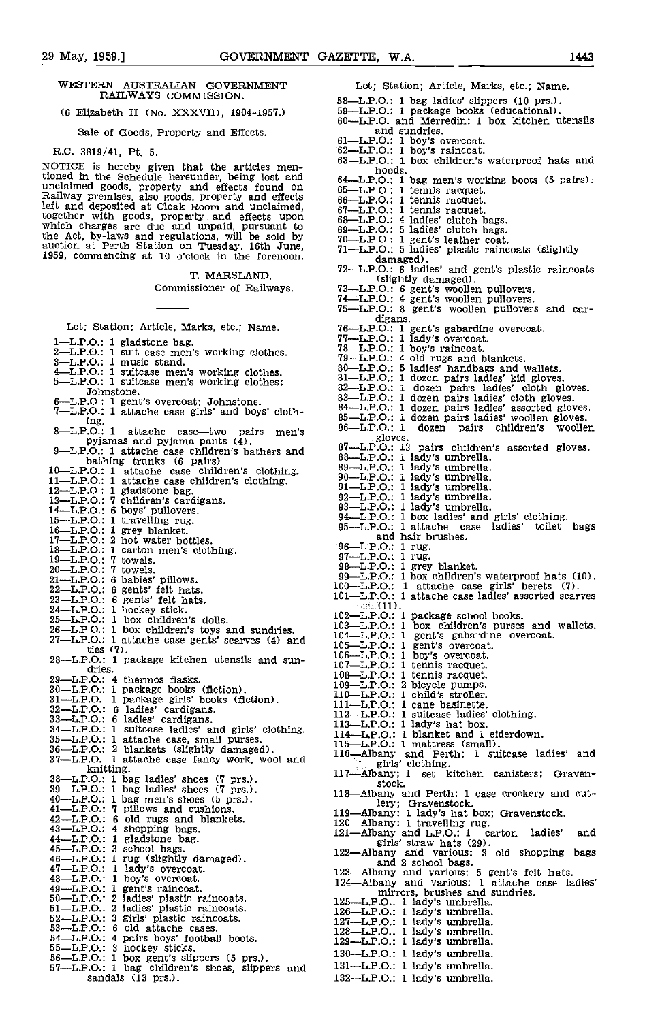(6 Elizabeth II (No. XXXVII), 1904-1957.)

Sale of Goods, Property and Effects.

PLC. 3819/41, Pt. 5.

NOTICE is hereby given that the articles mentioned in the Schedule hereunder, being lost and unclaimed goods, property and effects found on  $65-1$ <br>Railway premises, also goods, property and effects  $66-1$ left and deposited at Cloak Room and unclaimed,<br>together with goods, property and effects upon<br>which charges are due and unpaid, pursuant to  $68-\text{L}$ <br>the Act, by-laws and regulations, will be sold by  $70-\text{L}$ auction at Perth Station on Tuesday, 16th June, 1959, commencing at 10 o'clock in the forenoon.

T. MARSLAND,

Commissioner of Railways.

Lot; Station; Article, Marks, etc.; Name,

- 
- $1$ —L.P.O.: 1 gladstone bag. 2—L.P.O.: I suit case men's working clothes.<br>3—L.P.O.: 1 music stand. 4-L.P.O.: 1 suitcase men's working clothes.<br>5-L.P.O.: 1 suitcase men's working clothes;<br>Johnstone.
- 
- 50 Johnstone.<br>6—L.P.O.: 1 gent's overcoat; Johnstone.<br>7—L.P.O.: 1 attache case girls' and boys' cloth-<br>ing.
- $8$ -L.P.O.: 1 attache case-two pairs men's<br>pyjamas and pyjama pants  $(4)$ . pyjamas and pyjama pants  $(4)$ .<br>9—L.P.O.: 1 attache case children's bathers and  $87$ —L
- bathing trunks (6 pairs).<br>
10—L.P.O.: 1 attache case children's clothing.<br>
11—L.P.O.: 1 attache case children's clothing.<br>
12—L.P.O.: 1 gladstone bag.
- 13—L.P.O.: 7 children's cardigans.<br>14—L.P.O.: 6 boys' pullovers.<br>15—L.P.O.: 1 travelling rug.<br>16—L.P.O.: 1 grey blanket.<br>17—L.P.O.: 2 hot water bottles.<br>18—L.P.O.: 7 towels. 20—L.P.O.: 7 towels.
- 
- 
- 
- 
- 
- 
- 
- 
- 
- 
- 
- 
- 21—L.P.O.: 6 babies' pillows.  $99 L$ <br>
22—L.P.O.: 6 gents' felt hats.  $100 L$ <br>
23—L.P.O.: 6 gents' felt hats.  $101 L$ <br>
24—L.P.O.: 1 hockey stick.  $25 L$ .P.O.: 1 box children's dolls.  $102 L$ <br>
26—L.P.O.: 1 box children's to
- ties (7).<br>28—L.P.O.: 1 package kitchen utensils and sun-<br>dries. 107
- 
- $29$ —L.P.O.: 4 thermos flasks.
- 
- 
- 
- 
- $30$ —L.P.O.: 1 package books (fiction).<br>  $31$ —L.P.O.: 1 package books (fiction).<br>  $110$ —L.P.O.: 6 ladies' cardigans.<br>  $32$ —L.P.O.: 6 ladies' cardigans.<br>  $112$ —L.<br>  $112$ —L.P.O.: 6 ladies' cardigans.<br>  $112$ —L.P.O.: 1 suitca
- 
- 
- 35—L.P.O.: 1 attache case, small purses.<br>36—L.P.O.: 1 attache case, small purses.<br>36—L.P.O.: 2 blankets (slightly damaged).<br>37—L.P.O.: 1 attache case fancy work, wool and<br>38—L.P.O.: 1 bag ladies' shoes (7 prs.).<br>39—L.P.O.:
- 
- 
- 
- 
- 
- 
- 
- 
- 
- 
- 
- 
- 
- 
- 
- 
- $54$ —L.P.O.: 4 pairs boys' football boots.  $129$ <br>  $55$ —L.P.O.: 3 hockey sticks.  $56$ —E.P.O.: 1 box gent's slippers (5 prs.).  $130$ —L<br>  $57$ —L.P.O.: 1 bag children's shoes, slippers and  $131$ —L<br>  $-$ L
- sandals (13 prs.).
- Lot; Station; Article, Marks, etc.; Name.
- 
- 
- 58—L.P.O.: 1 bag ladies' slippers (10 prs.).<br>59—L.P.O.: 1 package books (educational).<br>60—L.P.O. and Merredin: 1 box kitchen utensils
- 
- 
- 
- and sundries.<br>
61—L.P.O.: 1 boy's overcoat.<br>
62—L.P.O.: 1 boy's raincoat.<br>
63—L.P.O.: 1 box children's waterproof hats and
- hoods.<br>64—L.P.O.: 1 bag men's working boots (5 pairs).<br>65—L.P.O.: 1 tennis racquet.
- 
- 
- 
- 
- 
- 
- 64—L.P.O.: 1 bag men's working boots (5 pairs),<br>65—L.P.O.: 1 tennis racquet.<br>66—L.P.O.: 1 tennis racquet.<br>67—L.P.O.: 1 tennis racquet.<br>67—L.P.O.: 4 ladies' clutch bags.<br>69—L.P.O.: 5 ladies' clutch bags.<br>70—L.P.O.: 1 gent'
- damaged). damaged).<br>72—L.P.O.: 6 ladies' and gent's plastic raincoats<br>(slightly damaged).
- 
- 
- 73—L.P.O.: 6 gent's woollen pullovers.<br>
74—L.P.O.: 6 gent's woollen pullovers.<br>
75—L.P.O.: 8 gent's woollen pullovers and car-<br>
digans.<br>
digans.<br>
76—L.P.O.: 1 lady's overcoat.<br>
77—L.P.O.: 1 lady's overcoat.<br>
77—L.P.O.: 1
	-
- 
- 
- 
- 
- 
- 
- 
- 
- 
- 
- 
- 
- 
- 
- 
- 
- -
- 86—L.P.O.: 1 dozen pairs children's woollen<br>
gloves.<br>
gloves.<br>
87—L.P.O.: 1 lady's umbrella.<br>
89—L.P.O.: 1 lady's umbrella.<br>
89—L.P.O.: 1 lady's umbrella.<br>
90—L.P.O.: 1 lady's umbrella.<br>
92—L.P.O.: 1 lady's umbrella.<br>
93—L and hair brushes.<br>
97—L.P.O.: 1 rug.<br>
98—L.P.O.: 1 grey blanket.<br>
99—L.P.O.: 1 box children's waterproof hats (10).<br>
100—L.P.O.: 1 attache case girls' berets (7).<br>
101—L.P.O.: 1 attache case ladies' assorted scarves<br>  $\sim$

102-L.P.O.: 1 package school books.<br>103-L.P.O.: 1 package school books.<br>103-L.P.O.: 1 box children's purses and wallets.<br>104-L.P.O.: 1 gent's gabardine overcoat.<br>105-L.P.O.: 1 tennis racquet.<br>107-L.P.O.: 1 tennis racquet.

girls' clothing.<br>117—Albany; 1 set kitchen canisters; Gravenstock. 118Albany and Perth: I case crockery and cut-

mirrors, brushes and sundries. 125—L.P.O.: 1 lady's umbrella.<br>126—L.P.O.: 1 lady's umbrella 126—L.P.O.: 1 lady's umbrella 128—L.P.O.: 1 lady's umbrella. 129—L.P.O.: 1 lady's umbrella.

130—L.P.O.: 1 lady's umbrella. 131-L.P.O.: 1 lady's umbrella. 132-L.P.O.: 1 lady's umbrella.

111. E.P.O.: 1 mattress (small).<br>115—L.P.O.: 1 mattress (small).<br>116—Albany and Perth: 1 suitcase ladies' and

lery; Gravenstock.<br>
119—Albany: 1 lady's hat box; Gravenstock.<br>
120—Albany: 1 travelling rug.<br>
121—Albany and L.P.O.: 1 carton ladies' and

girls' straw hats (29).<br>
122—Albany and various: 3 old shopping bags and 2 school bags.<br>
123—Albany and various: 5 gent's felt hats.<br>
124—Albany and various: 1 attache case ladies'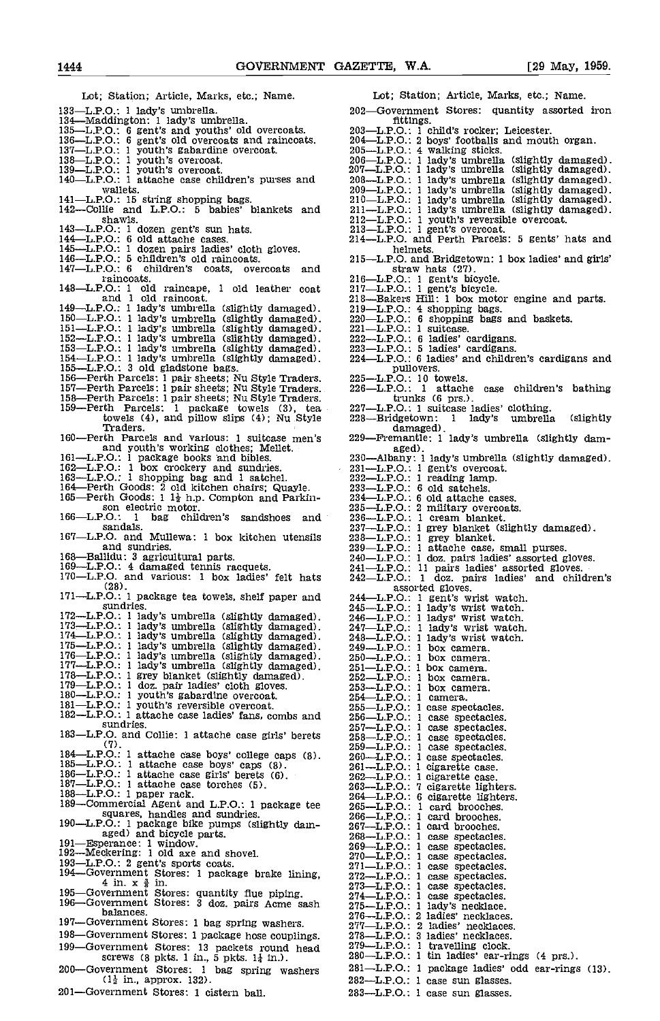Lot; Station; Article, Marks, etc.; Name. 133L.P.O.: 1 lady's umbrella, 134Maddington: 1 lady's umbrella. 135L.P.O.: 6 gent's and youths' old overcoats. 136L.P.O.: 6 gent's old overcoats and raincoats. 137L.P.O.: 1 youth's gabardine overcoat. 138L.P.O.: 1 youth's overcoat. 139L.P.O.: 1 youth's overcoat. 140L.P.O.: 1 attache case children's purses and wallets. 141—L.P.O.: 15 string shopping bags.<br>142—Collie and L.P.O.: 5 babies' blankets and shawls. shawls. 143L.P.O.: 1 dozen gent's sun hats. 144L.P.O.: 6 old attache cases. 145—L.P.O.: 1 dozen pairs ladies' cloth gloves. 146—L.P.O.: 5 children's old raincoats. 215—147—L.P.O.: 6 children's coats, overcoats and raincoats. 21<br>148—L.P.O.: 1 old raincape, 1 old leather coat 21<br>and 1 old raincoat. 21 149—L.P.O.: 1 lady's umbrella (slightly damaged).  $219-151-11$ .P.O.: 1 lady's umbrella (slightly damaged).  $220-151-11$ .P.O.: 1 lady's umbrella (slightly damaged).  $222-152-11$ .P.O.: 1 lady's umbrella (slightly damaged). towels (4), and pillow slips (4); Nu Style 228-<br>Traders. 160—Perth Parcels and various: 1 suitcase men's 229and youth's working clothes; Mellet.<br>
161—L.P.O.: 1 package books and bibles.<br>
162—L.P.O.: 1 box crockery and sundries.<br>
163—E.P.O.: 1 shopping bag and 1 satchel.<br>
164—Perth Goods: 2 old kitchen chairs; Quayle.<br>
165—Perth 166—L.P.O.: 1 bag children's sandshoes and sandals. 167L,P.Q. and Mullewa: 1 box kitchen utensils and sundries. 168—Ballidu: 3 agricultural parts.<br>169—L.P.O.: 4 damaged tennis racquets.<br>170—L.P.O. and various: 1 box ladies' felt hats (28). 171—L.P.O.: 1 package tea towels, shelf paper and sundries. sundries.<br>  $172-L.P.O.: 1 \text{ lady's umbrella (slightly damaged).} 246-1173-L.P.O.: 1 \text{ lady's umbrella (slightly damaged).} 247-1174-L.P.O.: 1 \text{ lady's umbrella (slightly damaged).} 247-1175-L.P.O.: 1 \text{ lady's umbrella (slightly damaged).} 248-1175-L.P.O.: 1 \text{ lady's umbrella (slightly damaged).} 248-1176-L.P.O.: 1 \text{ lady's umbrella (slightly damaged).} 250-1177-L.P.O.: 1 \text{ lady's umbrella (slightly damaged).} 251-1178-L.P.O.: 1 \text{$ sundries.<br>
183—LP.O. and Collie: 1 attache case girls' berets<br>
183—LP.O.:<br>
259—LP.O.:<br>
259—LP.O.:<br>
259—LP.O.: (7).<br>  $184$ -L.P.O.: 1 attache case boys' college caps (8).<br>  $260$ -L.P.O.: 1 attache case boys' caps (8).<br>  $261$ -L.P.O.: 1 attache case girls' berets (6).<br>  $187$ -L.P.O.: 1 attache case torches (5).<br>  $188$ -L.P.O.: 1 paper r squares, handles and sundries. 190—L.P.O.: 1 package bike pumps (slightly dam- 26 aged) and bicycle parts. 26 aged and bicycle parts. 191—Esperance: 1 window. 26 192—Meckering: 1 old axe and shovel.<br>
193—L.P.O.: 2 gent's sports coats. 194—Government Stores: 1 package brake lining, 4 in. x  $\frac{3}{8}$  in. 195—Government Stores: quantity flue piping.  $274-1$ <br>196—Government Stores: 3 doz. pairs Acme sash  $274-1$ <br>balances.  $276-1$ balances.<br>197—Government Stores: 1 bag spring washers. 198-Government Stores: 1 package hose couplings. 199–Government Stores: 13 packets round head  $279-1$ screws (8 pkts. 1 in., 5 pkts. 1 $\frac{1}{4}$  in.). 280-<br>200—Government Stores: 1 bag spring washers 281-200-Government Stores: 1 bag spring washers  $(1\frac{1}{2}$  in., approx. 132). fittings.<br>
203—L.P.O.: 1 child's rocker; Leicester.<br>
204—L.P.O.: 2 boys' footballs and mouth organ.<br>
205—L.P.O.: 2 boys' footballs and mouth organ.<br>
206—L.P.O.: 1 lady's umbrella (slightly damaged).<br>
207—L.P.O.: 1 lady's u helmets.<br>
215—L.P.O. and Bridgetown: 1 box ladies' and girls'<br>
straw hats (27).<br>
216—L.P.O.: 1 gent's bicycle.<br>
217—L.P.O.: 1 gent's bicycle.<br>
218—Bakers Hill: 1 box motor engine and parts. 218—Bakers rim: 1 oox motor engine and parts.<br>229—L.P.O.: 4 shopping bags.<br>223—L.P.O.: 6 shopping bags and baskets.<br>221—L.P.O.: 6 ladies' cardigans.<br>223—L.P.O.: 5 ladies' cardigans and children's cardigans and<br>224—L.P.O.: pullovers.<br>
225-L.P.O.: 10 towels.<br>
226-L.P.O.: 1 attache case children's bathing<br>
trunks (6 prs.). 11 Trunks (6 prs.).<br>
227—L.P.O.: 1 suitcase ladies' clothing.<br>
228—Bridgetown: 1 lady's umbrella (slightly damaged).<br>
229—Fremantle: 1 lady's umbrella (slightly dam-<br>
aged).<br>
230—Albany: 1 lady's umbrella (slightly dam-<br>
2 234L.P.O.: 6 old attache cases. 235—L.P.O.: 2 military overcoats.<br>236—L.P.O.: 1 cream blanket. 237—L.P.O.: 1 grey blanket (slightly damaged).<br>238—L.P.O.: 1 grey blanket.<br>239—L.P.O.: 1 attache case, small purses.<br>240—L.P.O.: 1 doz. pairs ladies' assorted gloves.<br>241—L.P.O.: 11 pairs ladies' assorted gloves.<br>242—L.P.O assorted gloves.<br>
244—L.P.O.: 1 gent's wrist watch.<br>
245—L.P.O.: 1 lady's wrist watch.<br>
246—L.P.O.: 1 lady's wrist watch.<br>
247—L.P.O.: 1 lady's wrist watch.<br>
248—L.P.O.: 1 lady's wrist watch.<br>
249—L.P.O.: 1 box camera.<br>
25 1 box camera.<br>1 box camera.  $252$ —L.P.O.: 1 box camera.  $253$ —L.P.O.: 1 box camera. 253-L.P.O.: 1 box camera.<br>254-L.P.O.: 1 camera.<br>255-L.P.O.: 1 case spectacles. 256—L.P.O.: 1 case spectacles.<br>257—L.P.O.: 1 case spectacles.<br>257—L.P.O.: 1 case spectacles.<br>259—L.P.O.: 1 case spectacles.<br>260—L.P.O.: 1 case spectacles.<br>260—L.P.O.: 1 cigarette case.<br>262—L.P.O.: 1 cigarette dighters.<br>263 1 card brooches.<br>1 card brooches. 267-L.P.O.: 1 card brooches.<br>268-L.P.O.: 1 case spectacles. 268—L.P.O.: 1 case spectacles.<br>269—L.P.O.: 1 case spectacles.<br>270—L.P.O.: 1 case spectacles.<br>271—L.P.O.: 1 case spectacles.<br>271—L.P.O.: 1 case spectacles.<br>273—L.P.O.: 1 case spectacles.<br>274—L.P.O.: 1 case spectacles.<br>275—L 277L.P.O.: 2 ladies' necklaces.  $278$ —L.P.O.:  $3$  ladies' necklaces.  $279$ -L.P.O.: 1 travelling clock.<br> $280$ -L.P.O.: 1 tin ladies' ear-rings (4 prs.). 281—L.P.O.: 1 package ladies' odd ear-rings (13).<br>282—L.P.O.: 1 case sun glasses.<br>283—L.P.O.: 1 case sun glasses.

201-Government Stores: 1 cistern ball.

Lot; Station; Article, Marks, etc.; Name.

- 202-Government Stores: quantity assorted iron<br>fittings.
- 
- 
- 
- 
- 
- 
- 
- 
- 
- 
- 
- 
- 
- 
- 
- 
- 
- 
- 
- 
- 
- 
- 
- 
- 
- 
- 
- 
- 
- 
- 
- 
- 
- 
- 
- 
- 
- 
- 
- 
- 
- 
- 
- 
- 
- 
- 
- 
- 
- 
- 
- 
- 
- 
- 
- 
- 
- -
- -
- 
- 
- 
- 
- 
- 
- 
- 
- 
- 
- 
- 
- -
- 
- 
-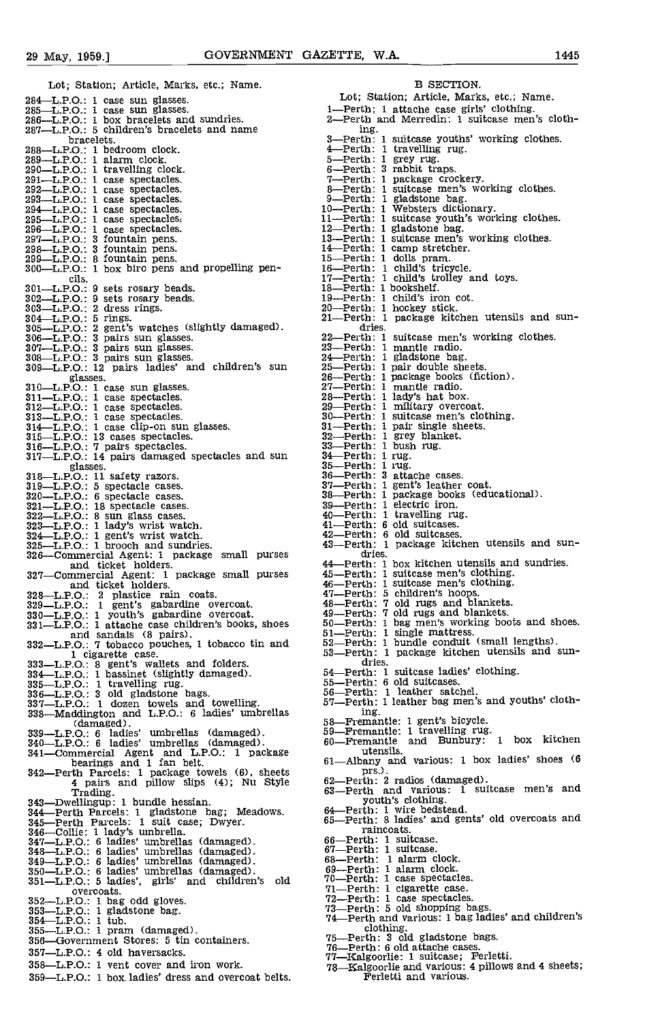| Lot; Station; Article, Marks, etc.; Name.                                         | B SECTION.                                                                   |
|-----------------------------------------------------------------------------------|------------------------------------------------------------------------------|
| 284—L.P.O.: 1 case sun glasses.                                                   | Lot; Station; Article, Marks, etc.; Name.                                    |
| 285—L.P.O.: 1 case sun glasses.                                                   | 1—Perth; 1 attache case girls' clothing.                                     |
| 286-L.P.O.: 1 box bracelets and sundries.                                         | 2—Perth and Merredin: 1 suitcase men's cloth-                                |
| 287-L.P.O.: 5 children's bracelets and name                                       | ing.                                                                         |
| bracelets.                                                                        | 3—Perth: 1 suitcase youths' working clothes.                                 |
| 288-L.P.O.: 1 bedroom clock.<br>289—L.P.O.: 1 alarm clock.                        | 4 Perth: 1 travelling rug.<br>5—Perth: 1 grey rug.                           |
| 290—L.P.O.: 1 travelling clock.                                                   | 6-Perth: 3 rabbit traps.                                                     |
| 291—L.P.O.: 1 case spectacles.                                                    | 7-Perth: 1 package crockery.                                                 |
| 292-L.P.O.: 1 case spectacles.                                                    | 8-Perth: 1 suitcase men's working clothes.                                   |
| 293—L.P.O.: 1 case spectacles.                                                    | 9-Perth: 1 gladstone bag.                                                    |
| 294 L.P.O.: 1 case spectacles.                                                    | 10-Perth: 1 Websters dictionary.                                             |
| 295-L.P.O.: 1 case spectacles.                                                    | 11-Perth: 1 suitcase youth's working clothes.                                |
| 296-L.P.O.: 1 case spectacles.                                                    | 12-Perth: 1 gladstone bag.                                                   |
| 297-L.P.O.: 3 fountain pens.                                                      | 13—Perth: 1 suitcase men's working clothes.                                  |
| 298-L.P.O.: 3 fountain pens.                                                      | 14 Perth: 1 camp stretcher.                                                  |
| 299—L.P.O.: 8 fountain pens.<br>300-L.P.O.: 1 box biro pens and propelling pen-   | 15—Perth: 1 dolls pram.<br>16-Perth: 1 child's tricycle.                     |
| cils.                                                                             | 17-Perth: 1 child's trolley and toys.                                        |
| 301-L.P.O.: 9 sets rosary beads.                                                  | 18—Perth: 1 bookshelf.                                                       |
| 302-L.P.O.: 9 sets rosary beads.                                                  | 19—Perth: 1 child's iron cot.                                                |
| 303-L.P.O.: 2 dress rings.                                                        | 20—Perth: 1 hockey stick.                                                    |
| $304$ —L.P.O.: 5 rings.                                                           | 21—Perth: 1 package kitchen utensils and sun-                                |
| 305-L.P.O.: 2 gent's watches (slightly damaged).                                  | dries.                                                                       |
| 306—L.P.O.: 3 pairs sun glasses.                                                  | 22-Perth: 1 suitcase men's working clothes.                                  |
| 307—L.P.O.: 3 pairs sun glasses.                                                  | 23-Perth: 1 mantle radio.                                                    |
| 308-L.P.O.: 3 pairs sun glasses.                                                  | 24 Perth: 1 gladstone bag.                                                   |
| 309-L.P.O.: 12 pairs ladies' and children's sun                                   | 25—Perth: 1 pair double sheets.<br>26—Perth: 1 package books (fiction).      |
| glasses.<br>310-L.P.O.: 1 case sun glasses.                                       | 27-Perth: 1 mantle radio.                                                    |
| 311-L.P.O.: 1 case spectacles.                                                    | 28—Perth: 1 lady's hat box.                                                  |
| 312—L.P.O.: 1 case spectacles.                                                    | 29-Perth: 1 military overcoat.                                               |
| 313-L.P.O.: 1 case spectacles.                                                    | 30—Perth: 1 suitcase men's clothing.                                         |
| 314 L.P.O.: 1 case clip-on sun glasses.                                           | 31—Perth: 1 pair single sheets.                                              |
| 315-L.P.O.: 13 cases spectacles.                                                  | 32-Perth: 1 grey blanket.                                                    |
| 316-L.P.O.: 7 pairs spectacles.                                                   | 33—Perth: 1 bush rug.                                                        |
| 317—L.P.O.: 14 pairs damaged spectacles and sun                                   | 34 - Perth: 1 rug.                                                           |
| glasses.                                                                          | 35—Perth: 1 rug.                                                             |
| 318-L.P.O.: 11 safety razors.                                                     | 36-Perth: 3 attache cases.<br>37-Perth: 1 gent's leather coat.               |
| 319-L.P.O.: 5 spectacle cases.<br>320-L.P.O.: 6 spectacle cases.                  | 38-Perth: 1 package books (educational).                                     |
| 321—L.P.O.: 18 spectacle cases.                                                   | 39—Perth: 1 electric iron.                                                   |
| 322—L.P.O.: 8 sun glass cases.                                                    | 40—Perth: 1 travelling rug.                                                  |
| 323—L.P.O.: 1 lady's wrist watch.                                                 | 41—Perth: 6 old suitcases.                                                   |
| $324$ -L.P.O.: 1 gent's wrist watch.                                              | 42-Perth: 6 old suitcases.                                                   |
| 325-L.P.O.: 1 brooch and sundries.                                                | 43-Perth: 1 package kitchen utensils and sun-                                |
| 326-Commercial Agent: 1 package small purses                                      | dries.                                                                       |
| and ticket holders.                                                               | 44 Perth: 1 box kitchen utensils and sundries.                               |
| 327-Commercial Agent: 1 package small purses                                      | 45-Perth: 1 suitcase men's clothing.<br>46-Perth: 1 suitcase men's clothing. |
| and ticket holders.<br>328-L.P.O.: 2 plastice rain coats.                         | 47—Perth: 5 children's hoops.                                                |
| 329-L.P.O.: 1 gent's gabardine overcoat.                                          | 48—Perth: 7 old rugs and blankets.                                           |
| 330—L.P.O.: 1 youth's gabardine overcoat.                                         | 49-Perth: 7 old rugs and blankets.                                           |
| 331-L.P.O.: 1 attache case children's books, shoes                                | 50-Perth: 1 bag men's working boots and shoes.                               |
| and sandals (8 pairs).                                                            | 51—Perth: 1 single mattress.                                                 |
| 332-L.P.O.: 7 tobacco pouches, 1 tobacco tin and                                  | 52-Perth: 1 bundle conduit (small lengths).                                  |
| 1 cigarette case.                                                                 | 53 Perth: 1 package kitchen utensils and sun-                                |
| 333-L.P.O.: 8 gent's wallets and folders.                                         | dries.<br>54—Perth: 1 suitcase ladies' clothing.                             |
| 334 L.P.O.: 1 bassinet (slightly damaged).                                        | 55-Perth: 6 old suitcases.                                                   |
| $335-L.P.O.:$ 1 travelling rug.                                                   | 56-Perth: 1 leather satchel.                                                 |
| 336-L.P.O.: 3 old gladstone bags.<br>337—L.P.O.: 1 dozen towels and towelling.    | 57-Perth: 1 leather bag men's and youths' cloth-                             |
| 338-Maddington and L.P.O.: 6 ladies' umbrellas                                    | ing.                                                                         |
| (damaged).                                                                        | 58—Fremantle: 1 gent's bicycle.                                              |
| 339—L.P.O.: 6 ladies' umbrellas (damaged).                                        | 59-Fremantle: 1 travelling rug.                                              |
| 340—L.P.O.: 6 ladies' umbrellas (damaged).                                        | 60-Fremantle and Bunbury: 1 box kitchen                                      |
| 341-Commercial Agent and L.P.O.: 1 package                                        | utensils.                                                                    |
| bearings and 1 fan belt.                                                          | 61-Albany and various: 1 box ladies' shoes (6                                |
| 342-Perth Parcels: 1 package towels (6), sheets                                   | prs.).                                                                       |
| 4 pairs and pillow slips (4); Nu Style                                            | 62—Perth: 2 radios (damaged).<br>63-Perth and various: 1 suitcase men's and  |
| Trading.                                                                          | youth's clothing.                                                            |
| 343—Dwellingup: 1 bundle hessian.<br>344 Perth Parcels: 1 gladstone bag; Meadows. | 64 Perth: 1 wire bedstead.                                                   |
| 345-Perth Parcels: 1 suit case; Dwyer.                                            | 65-Perth: 8 ladies' and gents' old overcoats and                             |
| 346-Collie: 1 lady's umbrella.                                                    | raincoats.                                                                   |
| 347—L.P.O.: 6 ladies' umbrellas (damaged).                                        | 66—Perth: 1 suitcase.                                                        |
| 348—L.P.O.: 6 ladies' umbrellas (damaged).                                        | 67—Perth: 1 suitcase.                                                        |
| 349-L.P.O.: 6 ladies' umbrellas (damaged).                                        | 68-Perth: 1 alarm clock.                                                     |
| 350—L.P.O.: 6 ladies' umbrellas (damaged).                                        | 69-Perth: 1 alarm clock.                                                     |
| 351—L.P.O.: 5 ladies', girls' and children's old                                  | 70—Perth: 1 case spectacles.                                                 |
| overcoats.                                                                        | 71—Perth: 1 cigarette case.                                                  |
| 352-L.P.O.: 1 bag odd gloves.                                                     | 72-Perth: 1 case spectacles.<br>73—Perth: 5 old shopping bags.               |
| $353$ -LPO: 1 gladstone bag.                                                      | 74 Perth and various: 1 bag ladies' and children's                           |
| $354$ —L.P.O.: 1 tub.<br>$355 - L.P.O.: 1 gram$ (damaged).                        | clothing.                                                                    |
| 356—Government Stores: 5 tin containers.                                          | 75—Perth: 3 old gladstone bags.                                              |
|                                                                                   | 76-Perth: 6 old attache cases.                                               |
| 357—L.P.O.: 4 old haversacks.                                                     | 77-Kalgoorlie: 1 suitcase; Ferletti.                                         |
| 358—LPO: 1 vent cover and iron work.                                              | 78-Kalgoorlie and various: 4 pillows and 4 sheets;                           |
| 359—L.P.O.: 1 box ladies' dress and overcoat belts.                               | Ferletti and various.                                                        |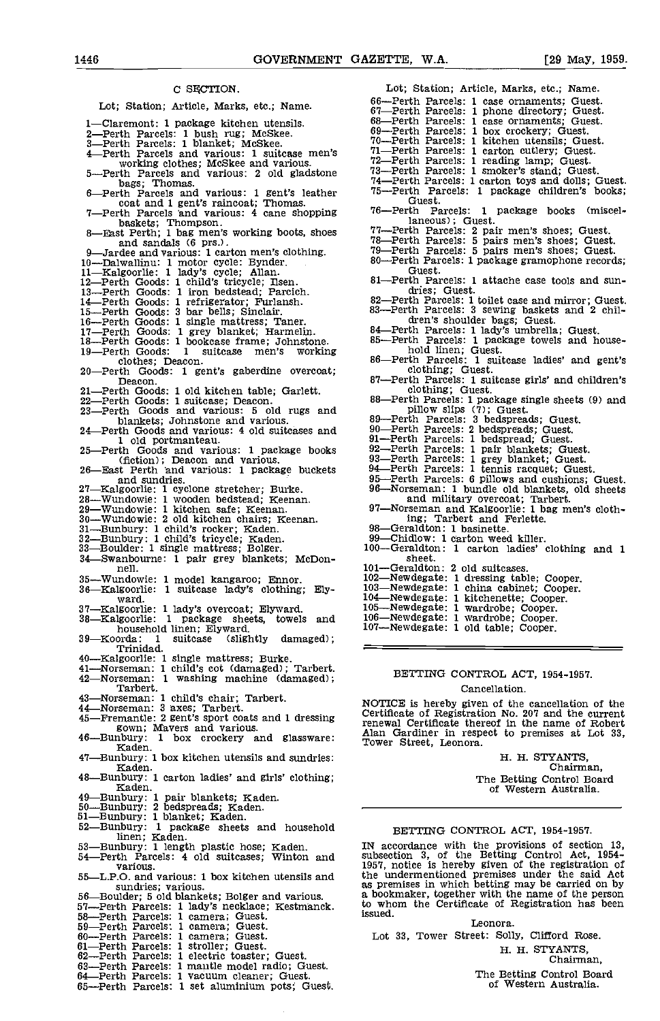### C SFCTION.

Lot; Station; Article, Marks, etc.; Name.

| LOG SCREDIT, APRICIE, METRS, EC., Name.                                                        | 67—Perth Parcels: 1 phone directory; Guest.                                                          |
|------------------------------------------------------------------------------------------------|------------------------------------------------------------------------------------------------------|
| 1—Claremont: 1 package kitchen utensils.                                                       | 68—Perth Parcels: 1 case ornaments; Guest.                                                           |
| 2—Perth Parcels: 1 bush rug; McSkee.                                                           | 69-Perth Parcels: 1 box crockery; Guest.<br>70—Perth Parcels: 1 kitchen utensils; Guest.             |
| 3—Perth Parcels: 1 blanket; McSkee.<br>4—Perth Parcels and various: 1 suitcase men's           | 71-Perth Parcels: 1 carton cutlery; Guest.                                                           |
| working clothes; McSkee and various.                                                           | 72-Perth Parcels: 1 reading lamp; Guest.                                                             |
| 5—Perth Parcels and various: 2 old gladstone                                                   | 73-Perth Parcels: 1 smoker's stand; Guest.                                                           |
| bags: Thomas.                                                                                  | 74—Perth Parcels: 1 carton toys and dolls; Guest.                                                    |
| 6—Perth Parcels and various: 1 gent's leather                                                  | 75—Perth Parcels: 1 package children's books;                                                        |
| coat and 1 gent's raincoat; Thomas.                                                            | Guest.<br>76-Perth Parcels: 1 package books (miscel-                                                 |
| 7—Perth Parcels and various: 4 cane shopping<br>baskets; Thompson.                             | laneous); Guest.                                                                                     |
| 8-East Perth; 1 bag men's working boots, shoes                                                 | 77—Perth Parcels: 2 pair men's shoes; Guest.                                                         |
| and sandals (6 prs.).                                                                          | 78-Perth Parcels: 5 pairs men's shoes; Guest.                                                        |
| 9-Jardee and various: 1 carton men's clothing.                                                 | 79—Perth Parcels: 5 pairs men's shoes; Guest.                                                        |
| 10—Dalwallinu: 1 motor cycle: Bynder.                                                          | 80-Perth Parcels: 1 package gramophone records;<br>Guest.                                            |
| 11-Kalgoorlie: 1 lady's cycle; Allan.                                                          | 81—Perth Parcels: 1 attache case tools and sun-                                                      |
| 12-Perth Goods: 1 child's tricycle; Ilsen.<br>13-Perth Goods: 1 iron bedstead; Parcich.        | dries; Guest.                                                                                        |
| 14-Perth Goods: 1 refrigerator; Furlansh.                                                      | 82-Perth Parcels: 1 toilet case and mirror; Guest.                                                   |
| 15—Perth Goods: 3 bar bells; Sinclair.                                                         | 83-Perth Parcels: 3 sewing baskets and 2 chil-                                                       |
| 16—Perth Goods: 1 single mattress; Taner.                                                      | dren's shoulder bags; Guest.                                                                         |
| 17—Perth Goods: 1 grey blanket; Harmelin.                                                      | 84-Perth Parcels: 1 lady's umbrella; Guest.<br>85-Perth Parcels: 1 package towels and house-         |
| 18-Perth Goods: 1 bookcase frame; Johnstone.                                                   | hold linen; Guest.                                                                                   |
| 19—Perth Goods: 1 suitcase men's working<br>clothes; Deacon.                                   | 86—Perth Parcels: 1 suitcase ladies' and gent's                                                      |
| 20—Perth Goods: 1 gent's gaberdine overcoat;                                                   | clothing; Guest.                                                                                     |
| Deacon.                                                                                        | 87-Perth Parcels: 1 suitcase girls' and children's                                                   |
| 21-Perth Goods: 1 old kitchen table; Garlett.                                                  | clothing; Guest.                                                                                     |
| 22—Perth Goods: 1 suitcase; Deacon.                                                            | 88—Perth Parcels: 1 package single sheets (9) and<br>pillow slips (7); Guest.                        |
| 23—Perth Goods and various: 5 old rugs and<br>blankets; Johnstone and various.                 | 89—Perth Parcels: 3 bedspreads; Guest.                                                               |
| 24—Perth Goods and various: 4 old suitcases and                                                | 90—Perth Parcels: 2 bedspreads; Guest.                                                               |
| 1 old portmanteau.                                                                             | 91—Perth Parcels: 1 bedspread; Guest.                                                                |
| 25—Perth Goods and various: 1 package books                                                    | 92-Perth Parcels: 1 pair blankets; Guest.                                                            |
| (fiction); Deacon and various.                                                                 | 93-Perth Parcels: 1 grey blanket; Guest.                                                             |
| 26-East Perth and various: 1 package buckets                                                   | 94 Perth Parcels: 1 tennis racquet; Guest.<br>95-Perth Parcels: 6 pillows and cushions; Guest.       |
| and sundries.<br>27—Kalgoorlie: 1 cyclone stretcher; Burke.                                    | 96-Norseman: 1 bundle old blankets, old sheets                                                       |
| 28-Wundowie: 1 wooden bedstead; Keenan.                                                        | and military overcoat; Tarbert.                                                                      |
| 29-Wundowie: 1 kitchen safe; Keenan.                                                           | 97-Norseman and Kalgoorlie: 1 bag men's cloth-                                                       |
| 30—Wundowie: 2 old kitchen chairs; Keenan.                                                     | ing; Tarbert and Ferlette.                                                                           |
| 31—Bunbury: 1 child's rocker; Kaden.                                                           | 98-Geraldton: 1 basinette.                                                                           |
| 32-Bunbury: 1 child's tricycle; Kaden.<br>33—Boulder: 1 single mattress; Bolger.               | 99-Chidlow: 1 carton weed killer.<br>100-Geraldton: 1 carton ladies' clothing and 1                  |
| 34 Swanbourne: 1 pair grey blankets; McDon-                                                    | sheet.                                                                                               |
| nell.                                                                                          | 101-Geraldton: 2 old suitcases.                                                                      |
| 35-Wundowie: 1 model kangaroo; Ennor.                                                          | 102—Newdegate: 1 dressing table; Cooper.                                                             |
| 36-Kalgoorlie: 1 suitcase lady's clothing; Ely-                                                | 103-Newdegate: 1 china cabinet; Cooper.                                                              |
| ward.                                                                                          | 104-Newdegate: 1 kitchenette; Cooper.                                                                |
| 37—Kalgoorlie: 1 lady's overcoat; Elyward.                                                     | 105-Newdegate: 1 wardrobe; Cooper.<br>106-Newdegate: 1 wardrobe; Cooper.                             |
| 38—Kalgoorlie: 1 package sheets, towels and<br>household linen; Elyward.                       | 107-Newdegate: 1 old table; Cooper.                                                                  |
| 39—Koorda: 1 suitcase (slightly damaged);                                                      |                                                                                                      |
| Trinidad.                                                                                      |                                                                                                      |
| 40—Kalgoorlie: 1 single mattress; Burke.                                                       |                                                                                                      |
| 41—Norseman: 1 child's cot (damaged): Tarbert.                                                 | BETTING CONTROL ACT, 1954-1957.                                                                      |
| 42—Norseman: 1 washing machine (damaged);<br>Tarbert.                                          |                                                                                                      |
| 43—Norseman: 1 child's chair; Tarbert.                                                         | Cancellation.                                                                                        |
| 44-Norseman: 3 axes; Tarbert.                                                                  | NOTICE is hereby given of the cancellation of the                                                    |
| 45—Fremantle: 2 gent's sport coats and 1 dressing                                              | Certificate of Registration No. 207 and the current                                                  |
| gown; Mavers and various.                                                                      | renewal Certificate thereof in the name of Robert<br>Alan Gardiner in respect to premises at Lot 33, |
| 46—Bunbury: 1 box crockery and glassware:                                                      | Tower Street, Leonora.                                                                               |
| Kaden.<br>47—Bunbury: 1 box kitchen utensils and sundries:                                     | H. H. STYANTS,                                                                                       |
| Kaden.                                                                                         | Chairman,                                                                                            |
| 48—Bunbury: 1 carton ladies' and girls' clothing;                                              | The Betting Control Board                                                                            |
| Kaden.                                                                                         | of Western Australia.                                                                                |
| 49—Bunbury: 1 pair blankets; Kaden.                                                            |                                                                                                      |
| 50—Bunbury: 2 bedspreads; Kaden.                                                               |                                                                                                      |
| 51-Bunbury: 1 blanket; Kaden.<br>52-Bunbury: 1 package sheets and household                    |                                                                                                      |
| linen; Kaden.                                                                                  | BETTING CONTROL ACT, 1954-1957.                                                                      |
| 53—Bunbury: 1 length plastic hose; Kaden.                                                      | IN accordance with the provisions of section 13,                                                     |
| 54—Perth Parcels: 4 old suitcases; Winton and                                                  | subsection 3, of the Betting Control Act, 1954–                                                      |
| various.                                                                                       | 1957, notice is hereby given of the registration of                                                  |
| 55—L.P.O. and various: 1 box kitchen utensils and                                              | the undermentioned premises under the said Act<br>as premises in which betting may be carried on by  |
| sundries: various.<br>56—Boulder; 5 old blankets; Bolger and various.                          | a bookmaker, together with the name of the person                                                    |
| 57—Perth Parcels: 1 lady's necklace; Kestmanck.                                                | to whom the Certificate of Registration has been                                                     |
| 58—Perth Parcels: 1 camera; Guest.                                                             | issued.                                                                                              |
| 59—Perth Parcels: 1 camera; Guest.                                                             | Leonora.                                                                                             |
| 60—Perth Parcels: 1 camera; Guest.                                                             | Lot 33, Tower Street: Solly, Clifford Rose.                                                          |
| 61—Perth Parcels: 1 stroller; Guest.                                                           | H. H. STYANTS,                                                                                       |
| 62-Perth Parcels: 1 electric toaster; Guest.<br>63—Perth Parcels: 1 mantle model radio; Guest. | Chairman.                                                                                            |
| 64—Perth Parcels: 1 vacuum cleaner; Guest.                                                     | The Betting Control Board                                                                            |
| 65—Perth Parcels: 1 set aluminium pots; Guest.                                                 | of Western Australia.                                                                                |
|                                                                                                |                                                                                                      |

| 66-Perth Parcels: 1 case ornaments; Guest.                                                |
|-------------------------------------------------------------------------------------------|
| 67-Perth Parcels: 1 phone directory; Guest.<br>68-Perth Parcels: 1 case ornaments; Guest. |
|                                                                                           |
| 69-Perth Parcels: 1 box crockery; Guest.<br>70-Perth Parcels: 1 kitchen utensils; Guest.  |
|                                                                                           |
| 71-Perth Parcels: 1 carton cutlery; Guest.                                                |
| 72-Perth Parcels: 1 reading lamp; Guest.                                                  |
| 73-Perth Parcels: 1 smoker's stand; Guest.                                                |
| 74-Perth Parcels: 1 carton toys and dolls; Guest.                                         |
| 75-Perth Parcels: 1 package children's books;                                             |
| Guest.                                                                                    |
| 76—Perth Parcels: 1 package books (miscel-                                                |
| laneous); Guest.                                                                          |
| 77—Perth Parcels: 2 pair men's shoes; Guest.                                              |
| 78-Perth Parcels: 5 pairs men's shoes; Guest.                                             |
| 79—Perth Parcels: 5 pairs men's shoes; Guest.                                             |
| 80—Perth Parcels: 1 package gramophone records;                                           |
| Guest.                                                                                    |
| 81-Perth Parcels: 1 attache case tools and sun-                                           |
| dries; Guest.                                                                             |
| 82—Perth Parcels: 1 toilet case and mirror: Guest.                                        |
| 83-Perth Parcels: 3 sewing baskets and 2 chil-                                            |
| dren's shoulder bags; Guest.                                                              |
| 84—Perth Parcels: 1 lady's umbrella: Guest.                                               |
| 85-Perth Parcels: 1 package towels and house-                                             |
| hold linen; Guest.                                                                        |
| 86—Perth Parcels: 1 suitcase ladies' and gent's                                           |
| clothing; Guest.                                                                          |
| 87-Perth Parcels: 1 suitcase girls' and children's                                        |
| clothing: Guest.                                                                          |
| 88—Perth Parcels: 1 package single sheets (9) and                                         |
| pillow slips (7); Guest.                                                                  |
| 89—Perth Parcels: 3 bedspreads; Guest.<br>90-Perth Parcels: 2 bedspreads; Guest.          |
| 91—Perth Parcels: 1 bedspread; Guest.                                                     |
| 92-Perth Parcels: 1 pair blankets; Guest.                                                 |
| 93-Perth Parcels: 1 grey blanket; Guest.                                                  |
| 94-Perth Parcels: 1 tennis racquet; Guest.                                                |
| 95-Perth Parcels: 6 pillows and cushions; Guest.                                          |
| 96-Norseman: 1 bundle old blankets, old sheets                                            |
|                                                                                           |
| and military overcoat; Tarbert.<br>97—Norseman and Kalgoorlie: 1 bag men's cloth-         |
| ing: Tarbert and Ferlette.                                                                |
|                                                                                           |

Lot; Station; Article, Marks, etc.; Name.

- 
- 
- 
- 
- 
- 
- 
- 11 Suppose the Francisco Hernette.<br>98 Geraldton: 1 basinette.<br>99 Chidlow: 1 carton weed killer.
- 
- 
- 100–Geraldton: 1 carton ladies' clothing and 1 sheet.
- 
- 101—Geraldton: 2 old suitcases.<br>102—Newdegate: 1 dressing table; Cooper.<br>103—Newdegate: 1 china cabinet; Cooper.
- 
- 
- 
- 
- 

#### BETTING CONTROL ACT, 1954-1957.

# H. H. STYANTS,

#### BETTING CONTROL ACT, 1954-1957.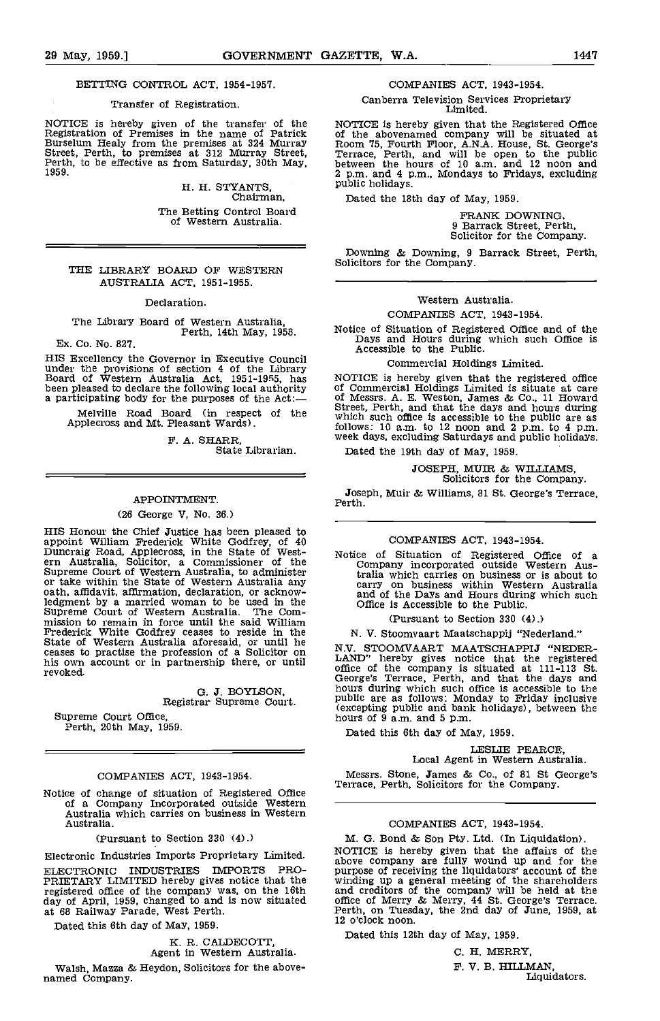#### BETTING CONTROL ACT, 1954-1957.

#### Transfer of Registration.

NOTICE is hereby given of the transfer of the Registration of Premises in the name of Patrick<br>Burselum Healy from the premises at 324 Murray<br>Street, Perth, to premises at 312 Murray Street,<br>Perth, to be effective as from S

H. H. STYANTS,<br>Chairman, The Betting Control Board of Western Australia

# THE LIBRARY BOARD OF WESTERN Solicitors for the Company. AUSTRALIA ACT, 1951-1955.

Declaration.

# The Library Board of Western Australia, Perth, 14th May, 1958.

Ex. Co. No. 827.

HIS Excellency the Governor in Executive Council under the provisions of section 4 of the Library Board of Western Australia Act, 1951-1955, has been pleased to declare the following local authority a participating body for the purposes of the Act:

Melville Road Board (in respect of the S<sup>URC</sup><br>Applecross and Mt. Pleasant Wards).

F. A. SHARR, State Librarian.

#### APPOINTMENT.

#### (26 George V, No. 36.)

HIS Honour the Chief Justice has been pleased to appoint William Frederick White Godfrey, of 40<br>Duncraig Road, Applecross, in the State of West-<br>ern Australia, Solicitor, a Commissioner of the<br>Supreme Court of Western Australia, to administer<br>or take within the State of oath, affidavit, affirmation, declaration, or acknowledgment by a married woman to be used In the Supreme Court of Western Australia. The Commission to remain in force until the said William (P) Frederick White Godfrey ceases to reside in the  $\sim$  N.<br>State of Western Australia aforesaid, or until he  $\sim$   $\sim$  N. ceases to practise the profession of a Solicitor on  $\frac{N.V.}{LAND}$ <br>his own account or in partnership there, or until  $\frac{LAND}{\text{offocor}}$ 

G. J. BOYLSON, Registrar Supreme Court.

Supreme Court Office, Perth, 20th May, 1959.

#### COMPANIES ACT, 1943-1954.

Notice of change of situation of Registered Office of a Company Incorporated outside Western Australia which carries on business in Western Australia.

(Pursuant to Section 330 (4).)

Electronic Industries Imports Proprietary Limited. ELECTRONIC INDUSTRIES IMPORTS PRO-PRIETARY LIMITED hereby gives notice that the registered office of the company was, on the 16th day of April, 1959, changed to and is now situated at 68 Railway Parade, West Perth.

Dated this 6th day of May, 1959.

K. R. CALDECOTT, Agent in Western Australia.

Walsh, Mazza & Heydon, Solicitors for the above- named Company.

#### COMPANIES ACT, 1943-1954.

Canberra Television Services Proprietary Limited.

NOTICE is hereby given that the Registered Office<br>of the abovenamed company will be situated at<br>Room 75, Fourth Floor, A.N.A. House, St. George's<br>Terrace, Perth, and will be open to the public<br>between the hours of 10 a.m. 2 p.m. and 4 p.m., Mondays to Fridays, excluding public holidays.

Dated the 18th day of May, 1959.

FRANK DOWNING.<br>9 Barrack Street, Perth. Solicitor for the Company.

Downing & Downing, 9 Barrack Street, Perth,

# Western Australia.

#### COMPANIES ACT, 1943-1954.

Notice of Situation of Registered Office and of the Days and Hours during which such Office is Accessible to the Public.

Commercial Holdings Limited.

NOTICE is hereby given that the registered office<br>of Commercial Holdings Limited is situate at care<br>of Messrs. A. E. Weston, James & Co., 11 Howard Street, Perth, and that the days and hours during<br>which such office is accessible to the public are as<br>follows: 10 a.m. to 12 noon and 2 p.m. to 4 p.m.<br>week days, excluding Saturdays and public holidays.

Dated the 19th day of May, 1959.

JOSEPH, MUIR & WILLIAMS, Solicitors for the Company.

Joseph, Muir & Williams, 81 St. George's Terrace, Perth.

#### COMPANIES ACT, 1943-1954.

Notice of Situation of Registered Office of a Company incorporated outside Western Aus-tralia which carries on business or is about to carry on business within Western Australia and of the Days and Hours during which such Office is Accessible to the Public.

#### (Pursuant to Section 330 (4).)

N. V. Stoomvaart Maatschappij "Nederland."

N.V. STOOMVAART MAATSCHAPPIJ "NEDER-<br>LAND" hereby gives notice that the registered office of the company is situated at 111-113 St. George's Terrace, Perth, and that the days and hours during which such office is accessible to the public are as follows: Monday to Friday inclusive (excepting public and bank holidays), between the hours of 9 a.m. and 5 p.m.

Dated this 6th day of May, 1959.

# LESLIE PEARCE,<br>Local Agent in Western Australia.

Messrs. Stone, James & Co., of 81 St George's Terrace, Perth, Solicitors for the Company.

## COMPANIES ACT, 1943-1954.

M. G. Bond & Son Pty. Ltd. (In Liquidation).<br>NOTICE is hereby given that the affairs of the<br>above company are fully wound up and for the<br>purpose of receiving the liquidators' account of the winding up a general meeting of the shareholders<br>and creditors of the company will be held at the<br>office of Merry & Merry, 44 St. George's Terrace.<br>Perth, on Tuesday, the 2nd day of June, 1959, at<br>12 o'clock noon.

Dated this 12th day of May, 1959.

C. H. MERRY, F. V. B. HILLMAN, Liquidators.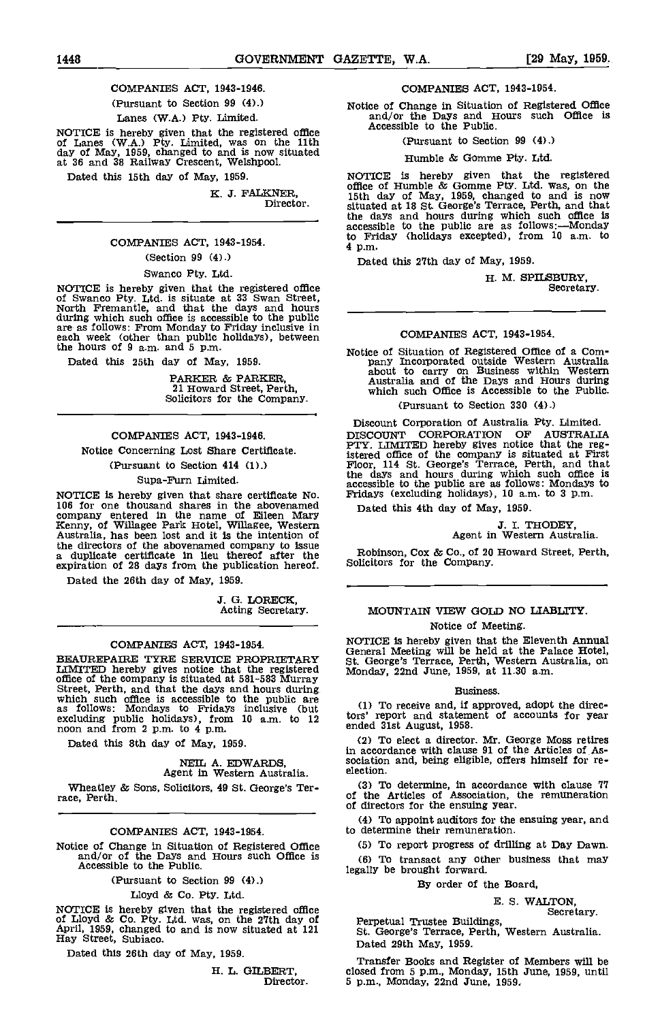COMPANIES ACT, 1943-1946. (Pursuant to Section 99 (4).)

Lanes (W.A.) Pty. Limited.

NOTICE is hereby given that the registered office  $A^{C}$  of Lanes (W.A.) Pty, Limited, was on the 11th day of May, 1959, changed to and is now situated at 36 and 38 Railway Crescent, Welshpool.

Dated this 15th day of May, 1959.

K. 3. FALKNER, Director.

COMPANIES ACT, 1943-1954.

(Section 99 (4).)

Swanco Pty. Ltd.

NOTICE is hereby given that the registered office of Swanco Pty. Ltd is situate at 33 Swan Street, North Fremantle, and that the days and hours during which such office is accessible to the public are as follows: From Monday to Friday inclusive in each week (other than public holidays) between the hours of 9 a.m. and 5 p.m.

Dated this 25th day of May, 1959.

PARKER & PARKER, 21 Howard Street, Perth, Solicitors for the Company.

# COMPANIES ACT, 1943-1946. Notice Concerning Lost Share Certificate. (Pursuant to Section 414 (1).)

Supa-Furn Limited.

NOTICE is hereby given that share certificate No.<br>106 for one thousand shares in the abovenamed<br>company entered in the name of Eileen Mary<br>Kenny, of Willagee Park Hotel, Willagee, Western<br>Australia, has been lost and it is the directors of the abovenamed company to Issue a duplicate certificate in lieu thereof after the expiration of 28 days from the publication hereof.

Dated the 26th day of May, 1959.

3. G. LORECK, Acting Secretary.

#### COMPANIES ACT, 1943-1954.

BEAUREPAIRE TYRE SERVICE PROPRIETARY LIMITED hereby gives notice that the registered office of the company is situated at 581-583 Murray<br>Street, Perth, and that the days and hours during<br>which such office is accessible to the public are<br>as follows: Mondays to Fridays inclusive (but<br>excluding public holiday

Dated this 8th day of May, 1959.

# NEIL A. EDWARDS, Agent in Western Australia.

Wheatley & Sons, Solicitors, 49 St. George's Ter- race, Perth.

### COMPANIES ACT, 1943-1954.

Notice of Change in Situation of Registered Office and/or of the Days and Hours such Office is Accessible to the Public.

(Pursuant to Section 99 (4).)

Lloyd & Co. Pty. Ltd.

NOTICE is hereby given that the registered office of Lloyd & Co. Pty. Ltd. was, on the 27th day of April, 1959, changed to and is now situated at 121 Hay Street, Subiaco.

Dated this 26th day of May, 1959.

H. L. GILBERT, Director.

COMPANIES ACT, 1943-1954.

Notice of Change in Situation of Registered Office and/or the Days and Hours such Office Is Accessible to the Public.

(Pursuant to Section 99 (4).)

Humble & Gomme Pty. Ltd.

NOTICE is hereby given that the registered office of Humble & Gomme Pty. Ltd. was, on the 15th day of May, 1959, changed to and is now situated at 18 St. George's Terrace, Perth, and that situated at 18 St. George's Terrace, Perth, and that the days and hours during which such office is accessible to the public are as follows:—Monday to Friday (holidays excepted), front 10 am, to 4 p.m.

Dated this 27th day of May, 1959.

H. M. SPILSBURY, Secretary.

#### COMPANIES ACT, 1943-1954.

Notice of Situation of Registered Office of a Company Incorporated outside Western Australia<br>about to carry on Business within Western<br>Australia and of the Days and Hours during<br>which such Office is Accessible to the Publi (Pursuant to Section 330 (4).)

Discount Corporation of Australia Pty. Limited. DISCOUNT CORPORATION OF AUSTRALIA PTY. LIMITED hereby gives notice that the reg-istered office of the company is situated at First Floor, 114 St. George's Terrace, Perth, and that the days and hours during which such office is accessible to the public are as follows: Mondays to Fridays (excluding holidays), 10 a.m. to 3 p.m.

Dated this 4th day of May, 1959.

# 3. I. THODEY, Agent in Western Australia.

Robinson, Cox & Co., of 20 Howard Street, Perth, Solicitors for the Company.

# MOUNTAIN VIEW GOLD NO LIABUTY. Notice of Meeting.

NOTICE is hereby given that the Eleventh Annual General Meeting will be held at the Palace Hotel, St. George's Terrace, Perth, Western Australia, on Monday, 22nd June, 1959, at 11.30 a.m.

#### Business.

To receive and, if approved, adopt the directors' report and statement of accounts for year ended 31st August, 1958.

To elect a director. Mr. George Moss retires in accordance with clause 91 of the Articles of Association and, being eligible, offers himself for re- election.

To determine, In accordance with clause 77 of the Articles of Association, the remuneration of directors for the ensuing year.

(4) To appoint auditors for the ensuing year, and to determine their remuneration.

To report progress of drilling at Day Dawn.

To transact any other business that may legally be brought forward.

By order of the Board,

E. S. WALTON,

Secretary. Perpetual Trustee Buildings, St. George's Terrace, Perth, Western Australia. Dated 29th May, 1959.

Transfer Books and Register of Members will be closed from 5 p.m., Monday, 15th June, 1959, until 5 p.m., Monday, 22nd June, 1959.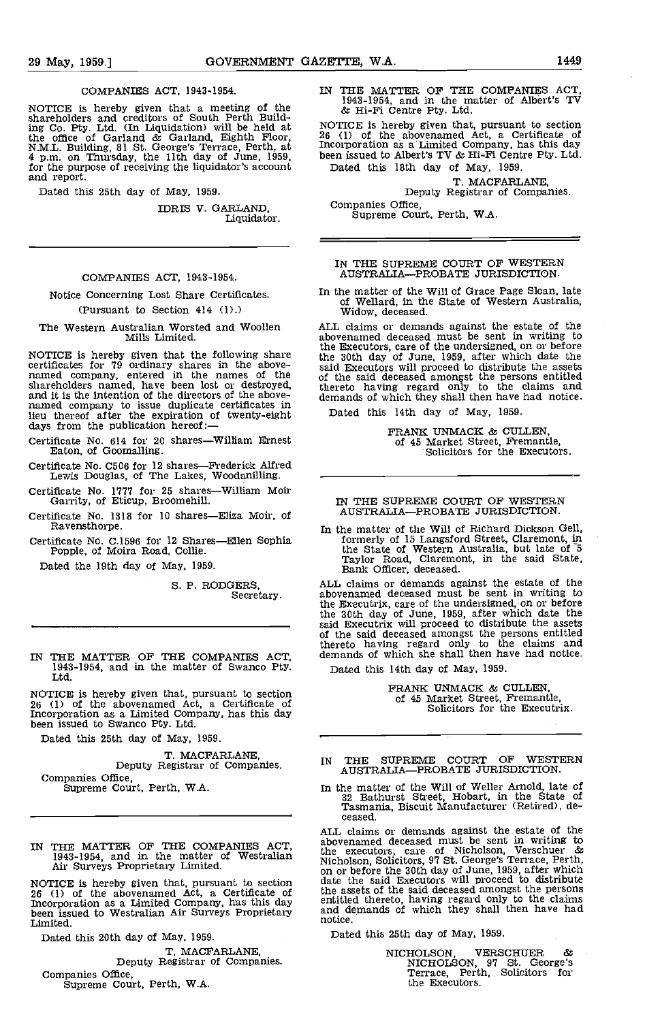#### COMPANIES ACT, 1943-1954.

NOTICE is hereby given that a meeting of the  $\frac{1}{6}$  shareholders and creditors of South Perth Building Co. Pty. Ltd. (In Liquidation) will be held at the office of Garland & Garland, Eighth Floor, 2<br>N.M.L. Building, 81 St. George's Terrace, Perth, at p.m. on Thursday, the 11th day of June, 1999, 4 p.m. on Thursday, the

Dated this 25th day of May, 1959.

IDRIS V. GARLAND, Liquidator.

#### COMPANIES ACT, 1943-1954.

## Notice Concerning Lost Share Certificates. (Pursuant to Section 414 (1).)

#### The Western Australian Worsted and Woollen Mills Limited.

NOTICE is hereby given that the following share the 3<br>certificates for 79 ordinary shares in the above-<br>named company, entered in the names of the of the shareholders named, have been lost or destroyed, and it is the intention of the directors of the abovenamed company to issue duplicate certificates in<br>lieu thereof after the expiration of twenty-eight Date<br>days from the publication hereof:—

Certificate No. 614 for 20 shares-William Ernest Eaton, of Goomalling.

Certificate No. C506 for 12 shares—Frederick Alfred Lewis Douglas, of The Lakes, Woodanilling.

Certificate No. 1777 for 25 shares-William Moir Garrity, of Eticup, Broomehill.

Certificate No. 1318 for 10 shares-Eliza Moir, of Ravensthorpe.

Certificate No. C.1596 for 12 Shares-Ellen Sophia Popple, of Moira Road, Collie.

Dated the 19th day of May, 1959.

S. P. RODGERS, Secretary.

IN THE MATTER OF THE COMPANIES ACT, 1943-1954, and in the matter of Swanco Pty. Ltd

NOTICE is hereby given that, pursuant to section 26 (1) of the abovenamed Act, a Certificate of Incorporation as a Limited Company, has this day been issued to Swanco Pty. Ltd.

Dated this 25th day of May, 1959.

T. MACFARLANE, Deputy Registrar of Companies.<br>Companies Office,

Supreme Court, Perth, W.A.

IN THE MATTER OF THE COMPANIES ACT. 1943-1954, and in the matter of Westralian Air Surveys Proprietary Limited.

NOTICE is hereby given that, pursuant to section date t<br>
26 (1) of the abovenamed Act, a Certificate of the as<br>
Incorporation as a Limited Company, has this day entitle been issued to Westralian Air Surveys Proprietary and diffusion and Limited.

Dated this 20th day of May, 1959.

T. MACFARLANE, Deputy Registrar of Companies.

Companies Office, Supreme Court, Perth, WA.

IN THE MATTER OF THE COMPANIES ACT, 1943-1954, and in the matter of Albert's TV & Hi-Fi Centre Pty. Ltd.

NOTICE Is hereby given that, pursuant to section 26 (1) of the abovenamed Act, a Certificate of Incorporation as a Limited Company, has this day been issued to Albert's TV  $\&$  Hi-Fi Centre Pty. Ltd. Dated this 18th day of May, 1959.

T. MACFARLANE,<br>Deputy Registrar of Companies.<br>Companies Office,

Supreme Court, Perth, W.A.

#### IN THE SUPREME COURT OF WESTERN AUSTRALIA-PROBATE JURISDICTION.

In the matter of the Will of Grace Page Sloan, late of Wellard, in the State of Western Australia, Widow, deceased.

ALL claims or demands against the estate of the abovenamed deceased must be sent in writing to the Executors, care of the undersigned, on or before the 30th day of June 1959, after which date the said Executors will proceed to distribute the assets of the said deceased amongst the persons entitled thereto having regard only to the claims and demands of which they shall then have had notice.

Dated this 14th day of May, 1959.

PRANK UNMACK & CULLEN, of 45 Market Street, Fremantle, Solicitors for the Executors.

#### IN THE SUPREME COURT OF WESTERN AUSTRALIA-PROBATE JURISDICTION.

In the matter of the Will of Richard Dickson Gell, formerly of 15 Langsford Street, Claremont, in the State of Western Australia, but late of 5 Taylor Road, Claremont, in the said State, Bank Officer, deceased.

ALL claims or demands against the estate of the abovenamed deceased must be sent in writing to the Executrix, care of the undersigned, on or before the 30th day of June, 1959, after which date the said Executrix will proceed to distribute the assets of the said deceased amongst the persons entitled thereto having regard only to the claims and demands of which she shall then have had notice.

Dated this 14th day of May, 1959.

FRANK UNMACK & CULLEN, of 45 Market Street, Fremantle, Solicitors for the Executrix.

## IN THE SUPREME COURT OF WESTERN AUSTRALIA-PROBATE JURISDICTION.

In the matter of the Will of Weller Arnold, late of 32 Bathurst Street, Hobart, in the State of Tasmania, Biscuit Manufacturer (Retired), deceased.

ALL claims or demands against the estate of the abovenamed deceased must be sent in writing to the executors, care of Nicholson, Verschuer & Nicholson, Solicitors, 97 St. George's Terrace, Perth, on or before the 30th day of June, 1959, after which date the said Executors will proceed to distribute the assets of the said deceased amongst the persons entitled thereto, having regard only to the claims and demands of which they shall then have had notice.

Dated this 25th day of May, 1959.

NICHOLSON, VERSCHUER & NICHOLSON, 97 St. George's Terrace, Perth, Solicitors for the Executors.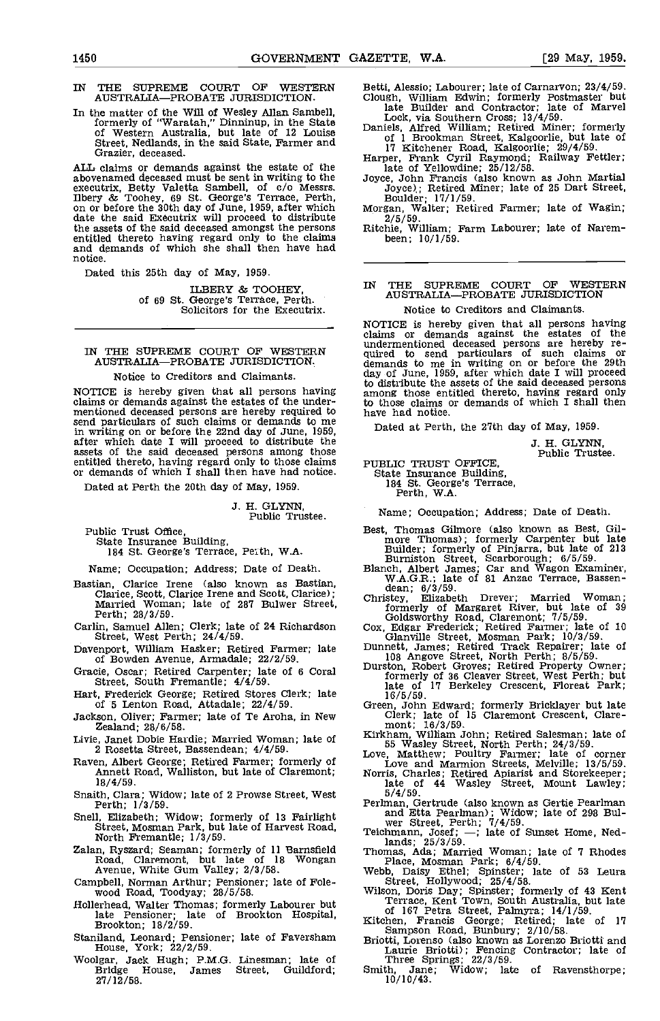- AUSTRALIA-PROBATE JURISDICTION.
- In the matter of the Will of Wesley Allan Sambell, formerly of "Waratah," Dinninup, in the State of Western Australia, but late of 12 Louise Street, Nedlands, in the said State, Farmer and Grazier, deceased.

ALL claims or demands against the estate of the Tate of Yellowdine; 25/12/58.<br>abovenamed deceased must be sent in writing to the Joyce, John Francis (also known as John Martial abovenamed deceased must be sent in writing to the Joycenecutrix, Betty Valetta Sambell, of c/o Messrs. Ilbery & Toohey, 69 St. George's Terrace, Perth, Form or before the 30th day of June, 1959, after which Morg date the said Executrix will proceed to distribute 2 date the said Executrix will proceed to distribute  $2/5/59$ .<br>the assets of the said deceased amongst the persons entitled thereto having regard only to the claims been;  $10/1/59$ .<br>and demands of which she shall then have notice.

Dated this 25th day of May, 1959.

ILBERY & TOOHEY. of 69 St. George's Terrace, Perth. Solicitors for the Executrix,

#### IN THE SUPREME COURT OF WESTERN AUSTRALIA-PROBATE JURISDICTION.

#### Notice to Creditors and Claimants.

NOTICE is hereby given that all persons having among claims or demands against the estates of the under- mentioned deceased persons are hereby required to send particulars of such claims or demands to me in writing on or before the 22nd day of June, 1959, after which date I will proceed to distribute the assets of the said deceased persons among those entitled thereto, having regard only to those claims put or demands of which I shall then have had notice.

Dated at Perth the 20th day of May, 1959.

J. H. GLYNN, Public Trustee.

Public Trust Office, State Insurance Building, 184 St. George's Terrace, Peth, W.A.

Name; Occupation; Address; Date of Death.

- Bastian, Clarice Irene (also known as Bastian, W.A.G.K.; late of 81 Anzac Terrace, Bassen-<br>Clarice, Scott, Clarice Irene and Scott, Clarice); Married Woman; late of 287 Bulwer Street, Formsty, Elizabeth Drever; Married Wom
- 
- Davenport, William Hasker; Retired Farmer; late of Bowden Avenue, Armadale; 22/2/59,
- Grade, Oscar; Retired Carpenter; late of 6 Coral Street, South Fremantle; 4/4/59.
- Hart, Frederick George; Retired Stores Clerk; late of 5 Lenton Road, Attadale; 22/4/59. Green, John Edward; formerly Bricklayer but late
- Jackson, Oliver; Farmer; late of Te Aroha, in New Zealand; 28/6/58.
- Livie, Janet Dobie Hardie; Married Woman; late of 2 Rosetta, Street, Bassendean; 4/4/59.
- Raven, Albert George; Retired Farmer; formerly of Annett Road, Walliston, but late of Claremont; 18/4/59.
- Snaith, Clara; Widow; late of 2 Prowse Street, West Perth; 1/3/59.
- Snell, Elizabeth; Widow; formerly of 13 Fairlight Street, Mosman Park, but late of Harvest Road, North Fremantle; 1/3/59.
- Zalan, Ryszard; Seaman; formerly of 11 Earnsfield Road, Claremont, but late of 18 Wongan Avenue, White Gum Valley; 2/3/58.
- Campbell, Norman Arthur; Pensioner; late of Fole- wood Road, Toodyay; 28/5/58.
- Hollerhead, Walter Thomas; formerly Labourer but late Pensioner; late of Brookton; 18/2/59.
- Staniland, Leonard; Pensioner; late of Faversham House, York; 22/2/59,
- woolgar, Jack Hugh; P.M.G. Linesman; late of Bridge House, James Street, Guildford; 27/12/58.

IN THE SUPREME COURT OF WESTERN Betti, Alessio; Labourer; late of Carnarvon; 23/4/59. Betti, Alessio; Labourer; late of Carnarvon; 23/4/59.<br>Clough, William Edwin; formerly Postmaster but<br>late Builder and Contractor; late of Marvel

- Lock, via Southern Cross; 13/4/59.<br>Daniels, Alfred William; Retired Miner; formerly<br>of 1 Brookman Street, Kalgoorlie, but late of<br>17 Kitchener Road, Kalgoorlie, 29/4/59.<br>Harper, Frank Cyril Raymond; Railway Fettler;<br>late o
- 

Joyce); Retired Miner; late of 25 Dart Street, Boulder; 17/1/59.<br>Morgan, Walter; Retired Farmer; late of Wagin;

Ritchie, William; Farm Labourer; late of Narem-

# IN THE SUPREME COURT OF WESTERN AUSTRALIA-PROBATE JURISDICTION

Notice to Creditors and Claimants.

NOTICE is hereby given that all persons having claims or demands against the estates of the undermentioned deceased lersons are hereby re- quired to send particulars of such claims or demands to me in writing on or before the 29th day of June, 1959, after which date I will proceed to distribute the assets of the said deceased persons among those entitled thereto, having regard only to those claims or demands of which I shall then have had notice.

Dated at Perth, the 27th day of May, 1959.

J. H. GLYNN, Public Trustee.

PUBLIC TRUST OFFICE, State Insurance Building, 184 St. George's Terrace, Perth, W.A.

Name; Occupation; Address; Date of Death.

- Best, Thomas Gilmore (also known as Best, Gilmore Thomas); formerly Carpenter but late Builder; formerly of Pinjarra, but late of 213 Burniston Street, Scarborough; 6/5/59.<br>Blanch, Albert James; Car and Wagon Examiner, W.A
- 
- 
- 
- 
- Carlin, Samuel Allen; Clerk; late of 24 Richardson Cox, Edgar Frederick; Retired Farmer; late of 10<br>
Street, West Perth; 24/4/59.<br>
Davenport, William Hasker; Retired Farmer; late Street, Mosman Park;  $10/3/59$ .<br>
Davenport Blanch, Albert James; Car and Wagon Examiner,<br>
W.A.G.R.; late of 81 Anzac Terrace, Bassen-<br>
dean; 6/3/59.<br>
Christey, Elizabeth Drever; Married Woman;<br>
formerly of Margaret River, but late of 39<br>
Codusworthy Road, Claremont
	-
	-
	-
	- late of 44 Wasley Street, Mount Lawley; 5/4/59.
	- Perlinan, Gertrude (also known as Gertie Pearlman and Etta Pearlman); Widow; late of 296 Bul- wer Street, Perth; 7/4/59. Teichmann, Josef; -; late of Sunset Home, Ned-
	-
	- manus, 25/3/59.<br>
	Thomas, Ada; Married Woman; late of 7 Rhodes<br>
	Place, Mosman Park; 6/4/59.<br>
	Webb, Daisy Ethel; Spinster; late of 53 Leura<br>
	Street, Hollywood; 25/4/58.
	-
	- Street, Hollywood; 25/4/58.<br>Wilson, Doris Day; Spinster; formerly of 43 Kent<br>Terrace, Kent Town, South Australia, but late<br>of 167 Petra Street, Palmyra; 14/1/59.<br>Kitchen, Francis George; Retired; late of 17<br>Sampson Road, B
	-
	- Sampson Road, Bunder Briotti); Fencing Contractor; late of Three Springs; 22/3/59.<br>Three Springs; 22/3/59. Smith, Jane; Widow; late of Ravensthorpe;
	- Smith, Jane;<br>10/10/43.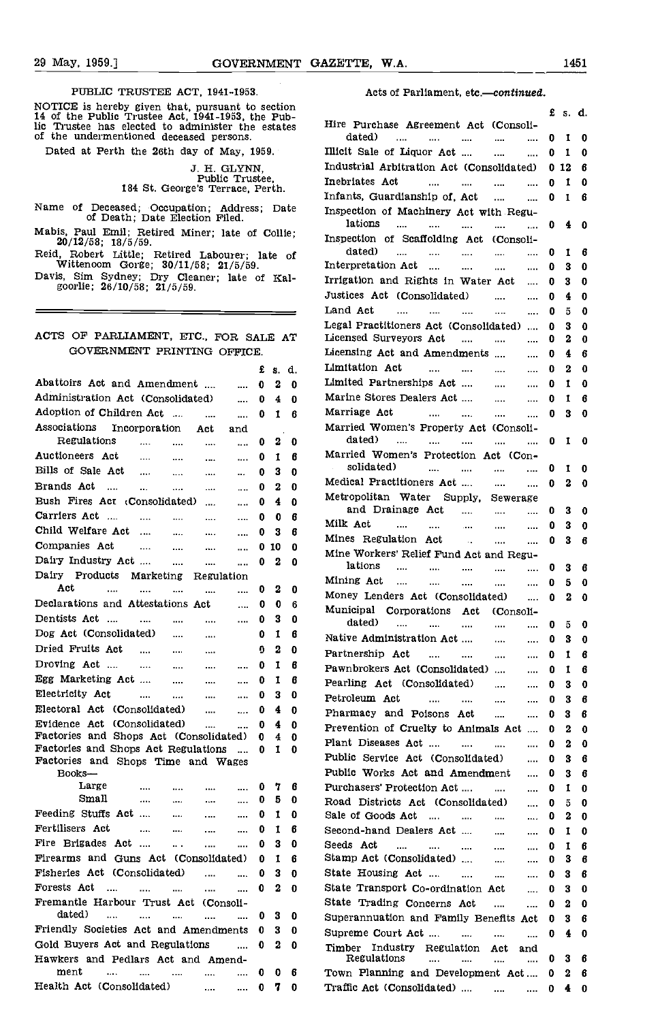$\blacksquare$ 

#### PUBLIC TRUSTEE ACT, 1941-1953.

NOTICE is hereby given that, pursuant to section 14 of the Public Trustee Act, 1941-1953, the Pub-lic Trustee has elected to administer the estates of the undermentioned deceased persons.

Dated at Perth the 26th day of May, 1959.

3. H. GLYNN, Public Trustee, 184 St. George's Terrace, Perth,

- Name of Deceased; Occupation; Address; Date of Death; Date Election Filed.
- Mabis, Paul Emil; Retired Miner; late of Collie; 20/12/58; 18/5/59.
- Reid, Robert Little; Retired Labourer; late of<br>Wittencom Gorge; 30/11/58; 21/5/59.
- Davis, Sim Sydney; Dry Cleaner; late of Kal-<br>goorlie; 26/10/58; 21/5/59.

# ACTS OF PARLIAMENT, ETC., FOR SALE AT GOVERNMENT PRINTING OFFICE.

|                                                                                         | £                 | 8.           | d.     | LIn             |
|-----------------------------------------------------------------------------------------|-------------------|--------------|--------|-----------------|
| Abattoirs Act and Amendment                                                             | 0<br>             | 2            | 0      | Lin             |
| Administration Act (Consolidated)                                                       | 0<br>$\cdots$     | 4            | 0      | Ma              |
| Adoption of Children Act<br>$\cdots$                                                    | 0<br>             | $\mathbf{I}$ | 6      | Ma              |
| Associations<br>Incorporation Act<br>and                                                |                   |              |        | Mя              |
| Regulations<br>$\cdots$<br><br>$\ldots$                                                 | 0<br>             | $\mathbf{2}$ | 0      |                 |
| Auctioneers Act<br><br>$\cdots$<br>$\cdots$                                             | 0<br>             | $\mathbf{I}$ | 6      | Ma              |
| Bills of Sale Act<br>$\cdots$<br>$\ldots$<br>$\cdots$                                   | 0<br>$\mathbf{a}$ | 3            | 0      |                 |
| Brands Act<br>$\cdots$<br>$\ddotsc$<br>$\cdots$<br>$\cdots$                             | 0<br>             | 2            | 0      | Me              |
| Bush Fires Act (Consolidated)<br>$\sim$                                                 | 0<br>             | 4            | 0      | Me              |
| Carriers Act<br><br><br>                                                                | 0<br>             | 0            | 6      |                 |
| Child Welfare Act<br>$\mathbf{1}$<br>$\cdots$<br>$\cdots$                               | 0<br>$\cdots$     | 3            | 6      | Mi.             |
| Companies Act<br>$\cdots$<br>$\sim$<br>as d                                             | 0<br>             | 10           | 0      | Mi.             |
| Dairy Industry Act<br><br>                                                              | 0<br>             | 2            | 0      | Mi.             |
| Dairy Products<br>Marketing<br>Regulation                                               |                   |              |        |                 |
| Act.<br>$\sim$<br><br><br>                                                              | 0<br>$\cdots$     | 2            | 0      | Mi.             |
| Declarations and Attestations Act                                                       | 0<br>$\cdots$     | 0            | 6      | Mo              |
| Dentists Act<br>$\cdots$<br>$\mathbf{1}$ and $\mathbf{1}$ and $\mathbf{1}$<br>$\cdots$  | 0<br>             | 3            | 0      | Mυ              |
| Dog Act (Consolidated)<br>$\sim$<br>$\cdots$                                            | 0                 | 1            | 6      |                 |
| Dried Fruits Act<br><b>Contract</b>                                                     | 0                 | 2            | 0      | Nа              |
| $\cdots$<br><br>Droving Act                                                             |                   | 1            | 6      | Pa:             |
| $\cdots$<br>$\sim$<br>$\cdots$<br>Egg Marketing Act                                     | 0<br>$\cdots$     | 1            |        | Pa <sup>-</sup> |
| $\cdots$<br>$\cdots$<br>Electricity Act                                                 | 0<br>             |              | 6      | Pea             |
| <br>.<br>$\cdots$                                                                       | 0<br>             | 3            | 0      | Pet             |
| Electoral Act (Consolidated)<br>$\cdots$                                                | 0<br>             | 4            | 0      | Ph              |
| Evidence Act (Consolidated)<br>$\cdots$<br>Factories and Shops Act (Consolidated)       | <br>0<br>0        | 4<br>4       | O<br>0 | Pre             |
| Factories and Shops Act Regulations                                                     | 0<br>             | 1            | U      | Pla             |
| Factories and Shops Time and Wages                                                      |                   |              |        | Pul             |
| Books-                                                                                  |                   |              |        | Pul             |
| Large<br>$\cdots$ .<br><br><br><br><br><br><br><br><br><br><br><br>$\cdots$<br>$\cdots$ | 0<br>$\cdots$     | 7            | 6      | Pu              |
| Small<br>$\ldots$<br>$\cdots$<br>$\cdots$                                               | 0<br>             | 5            | 0      | Ro              |
| Feeding Stuffs Act<br>$\cdots$<br>                                                      | 0<br>             | 1            | 0      | Sal             |
| Fertilisers Act<br><br>$\cdots$<br>$\cdots$                                             | 0<br>             | 1            | 6      | Sec             |
| Fire Brigades Act<br>$\ddotsc$<br>                                                      | 0<br>             | 3            | 0      | Sec             |
| Firearms and Guns Act (Consolidated)                                                    | n                 | $\mathbf{I}$ | R      | Sta             |
| Fisheries Act (Consolidated)<br>$\cdots$                                                | 0<br>             | 3            | 0      | Sta             |
| Forests Act<br><b>Contract</b><br>$\sim$ 1111<br>$\sim 10^{-11}$<br>                    | 0<br>             | 2            | 0      | Sta             |
| Fremantle Harbour Trust Act<br>(Consoli-                                                |                   |              |        | Sta             |
| dated)<br>$\cdots$<br>$\cdots$<br>$\cdots$<br>                                          | 0<br>             | 3            | 0      | Su              |
| Friendly Societies Act and Amendments                                                   | 0                 | 3            | 0      | Suj             |
| Gold Buyers Act and Regulations                                                         | 0<br>.            | 2            | 0      | Tir             |
| Hawkers and Pedlars Act and Amend-                                                      |                   |              |        |                 |
| ment<br><br><br>$\sim 100$ km s $^{-1}$<br>$\cdots$                                     | 0<br>             | 0            | 6      | To <sup>.</sup> |
| Health Act (Consolidated)<br>and the company of the company                             | 0                 | 7            | 0      | <b>Tri</b>      |

# Acts of Parliament, etc.-continued.

| section           |   |                                                                                            |        |        |        |  |
|-------------------|---|--------------------------------------------------------------------------------------------|--------|--------|--------|--|
| ie Pub-           |   | Hire Purchase Agreement Act (Consoli-                                                      |        | £s.d.  |        |  |
| estates           |   | dated)<br><br>$\cdots$<br><b>Contract Contract</b><br>$\cdots$<br>$\sim 10^{-1}$           | 0      | 1      | 0      |  |
| 159. .            |   | Illicit Sale of Liquor Act<br>$\cdots$<br>                                                 | 0.     | 1      | 0      |  |
|                   |   | Industrial Arbitration Act (Consolidated)                                                  |        | 0 12   | 6      |  |
| ſ,<br>æe,         |   | Inebriates Act<br>$\ldots$ $\ldots$                                                        | 0      | 1      | 0      |  |
| erth.             |   | $\cdots$<br>$\cdots$<br>Infants, Guardianship of, Act                                      | 0      | 1      | 6      |  |
| ; Date            |   | $\cdots$<br>$\cdots$<br>Inspection of Machinery Act with Regu-                             |        |        |        |  |
|                   |   | lations<br>and a<br><br>$\sim 10^{-10}$<br>$\cdots$<br>$\cdots$                            | 0      | 4      | 0      |  |
| Collie:           |   | Inspection of Scaffolding Act (Consoli-                                                    |        |        |        |  |
|                   |   | dated)<br>$\cdots$<br>$\cdots$<br>$\cdots$<br>$\cdots$<br>$\cdots$                         | 0      | 1      | 6      |  |
| late of           |   | Interpretation Act<br>المحدد<br>and the<br>$\ldots$ .<br>$\sim 10^{-1}$                    | 0      | 3      | 0      |  |
| of Kal-           |   | Irrigation and Rights in Water Act<br>$\cdots$                                             | 0      | 3      | 0      |  |
|                   |   | Justices Act (Consolidated)                                                                |        | 4      | 0      |  |
|                   |   | $\cdots$<br>$\cdots$                                                                       | 0      |        |        |  |
|                   |   | Land Act<br>$\sim 100$<br>$\cdots$<br>$\cdots$<br>$\cdots$<br>$\cdots$                     | 0      | 5      | 0      |  |
| LE AT             |   | Legal Practitioners Act (Consolidated)<br>Licensed Surveyors Act                           | 0<br>0 | 3<br>2 | 0<br>0 |  |
|                   |   | <b>Contract Contract</b><br>$\cdots$<br>$\cdots$<br>Licensing Act and Amendments           | 0      | 4      | 6      |  |
|                   |   | $\sim$<br>Limitation Act                                                                   |        |        |        |  |
| £<br>.s. d.       |   | $\cdots$<br>$\cdots$<br>$\cdots$<br>$\cdots$                                               | 0      | 2      | 0      |  |
| $\mathbf{2}$<br>0 | O | Limited Partnerships Act<br>$\ldots$ .<br>$\cdots$                                         | 0      | 1      | 0      |  |
| 0<br>4            | 0 | Marine Stores Dealers Act<br>$\cdots$<br>$\cdots$                                          | 0      | 1      | 6      |  |
| 0<br>$\mathbf{1}$ | 6 | Marriage Act<br><br>$\cdots$<br>$\cdots$<br>$\cdots$                                       | 0      | з      | 0      |  |
|                   |   | Married Women's Property Act (Consoli-                                                     |        |        |        |  |
| 0<br>2            | 0 | dated)<br><b>Contact Contact</b><br>$\cdots$<br>$\cdots$<br><br>$\cdots$                   | 0      | 1      | 0      |  |
| 0<br>1            | 6 | Married Women's Protection Act (Con-<br>solidated)                                         |        |        |        |  |
| 0<br>3            | o | $\cdots$<br>$\cdots$<br>$\cdots$<br>$\cdots$<br>Medical Practitioners Act                  | 0      | 1      | 0      |  |
| 0<br>2            | 0 | $\cdots$<br>$\ldots$ .                                                                     | 0      | 2      | 0      |  |
| 0<br>4            | n | Metropolitan Water<br>Supply, Sewerage<br>and Drainage Act                                 |        |        |        |  |
| 0<br>0            | 6 | and the<br>$\cdots$<br>$\cdots$<br>Milk Act<br>$\cdots$<br>$\cdots$                        | 0      | 3      | 0      |  |
| 0<br>з            | 6 | <b>Contractor</b><br>$\sim$<br>$\cdots$<br>Mines Regulation Act                            | 0      | 3      | 0      |  |
| 0 10              | 0 | $\sim$ $\sim$<br>$\cdots$<br>$\cdots$                                                      | 0      | 3      | 6      |  |
| 0<br>2            | 0 | Mine Workers' Relief Fund Act and Regu-<br>lations<br>aasan in<br>$\cdots$                 | 0      | 3      | 6      |  |
|                   |   | $\cdots$<br>$\cdots$<br>$\cdots$<br>Mining Act<br>$\sim 10^{-10}$                          |        |        | 0      |  |
| 0<br>2            | 0 | <br><br><br>$\cdots$<br>Money Lenders Act (Consolidated)                                   | 0      | 5      |        |  |
| 0<br>0            | 6 | $\cdots$<br>Municipal<br>Corporations Act                                                  | 0      | 2      | 0      |  |
| 0<br>з            | 0 | (Consoli-<br>dated)<br>$\cdots$<br>$\cdots$<br><b>Contract</b><br>$\cdots$                 | 0      | 5      | 0      |  |
| 0<br>1            | 6 | $\sim 10^{-11}$<br>Native Administration Act                                               | 0      | 3      | 0      |  |
| 2<br>0            | 0 | $\cdots$<br>$\cdots$<br>Partnership Act                                                    |        |        |        |  |
| 0<br>-1           | 6 | $\cdots$<br>$\cdots$<br>$\sim$ $\sim$<br><b>Contract</b>                                   | 0      | 1      | 6      |  |
| 0<br>-1           | 6 | Pawnbrokers Act (Consolidated)<br>$\cdots$                                                 | 0      | 1      | 6      |  |
| 0<br>-3           | 0 | Pearling Act (Consolidated)<br>$\sim$ $\sim$ $\sim$<br>$\cdots$                            | 0      | 3      | 0      |  |
| 0<br>4            | 0 | Petroleum Act<br>$\mathbf{r}$ and $\mathbf{r}$ and $\mathbf{r}$ and $\mathbf{r}$<br>$\sim$ | 0      | 3      | 6      |  |
| 0<br>4            | 0 | Pharmacy and Poisons Act<br>$\sim$ $\sim$ $\sim$<br>$\cdots$                               | 0      | 3      | 6      |  |
| 0<br>4            | 0 | Prevention of Cruelty to Animals Act                                                       | 0      | 2      | 0      |  |
| 0<br>1            | 0 | Plant Diseases Act<br>$\cdots$                                                             | 0      | 2      | 0      |  |
|                   |   | Public Service Act (Consolidated)<br>$\cdots$                                              | 0      | 3      | 6      |  |
|                   |   | Public Works Act and Amendment<br>$\cdots$                                                 | 0      | 3      | 6      |  |
| 0<br>7.           | 6 | Purchasers' Protection Act<br>$\cdots$                                                     | 0      | 1      | 0      |  |
| 0<br>5.           | 0 | Road Districts Act (Consolidated)<br>$\mathbf{r}$                                          | 0      | 5      | 0      |  |
| 0<br>1            | 0 | Sale of Goods Act<br>$\sim 100$                                                            | 0      | 2      | 0      |  |
| 0<br>1            | 6 | Second-hand Dealers Act<br>$\sim 10^{-11}$                                                 | 0      | 1      | 0      |  |
| 0<br>3.           | 0 | Seeds Act<br>and the material contracts of the state of<br>$\sim 10^{-11}$                 | 0      | 1      | 6      |  |
| 0<br>1            | 6 | Stamp Act (Consolidated)<br>$\sim 10^{-10}$                                                | 0      | 3      | 6      |  |
| 0<br>3            | 0 | State Housing Act<br>$\cdots$                                                              | 0      | 3      | 6      |  |
| $\mathbf{2}$<br>0 | O | State Transport Co-ordination Act<br>$\cdots$                                              | 0      | 3      | 0      |  |
|                   |   | State Trading Concerns Act<br>$\sim$<br>$\cdots$                                           | 0      | 2      | 0      |  |
| 0<br>3            | 0 | Superannuation and Family Benefits Act                                                     | 0.     | 3      | 6      |  |
| 0<br>3.           | 0 | Supreme Court Act                                                                          | 0      | 4      | 0      |  |
| 0<br>$\bf{2}$     | 0 | Timber Industry Regulation Act and                                                         |        |        |        |  |
|                   |   | Regulations<br>$\cdots$<br>$\cdots$<br>$\cdots$<br>$\cdots$                                | 0.     | 3      | 6      |  |
| 0<br>0            | 6 | Town Planning and Development Act                                                          | 0      | 2      | 6      |  |
| 0<br>7.           | 0 | Traffic Act (Consolidated)<br>$\sim 10^{-10}$<br>$\sim 10^{-11}$                           | 0.     | 4      | 0      |  |